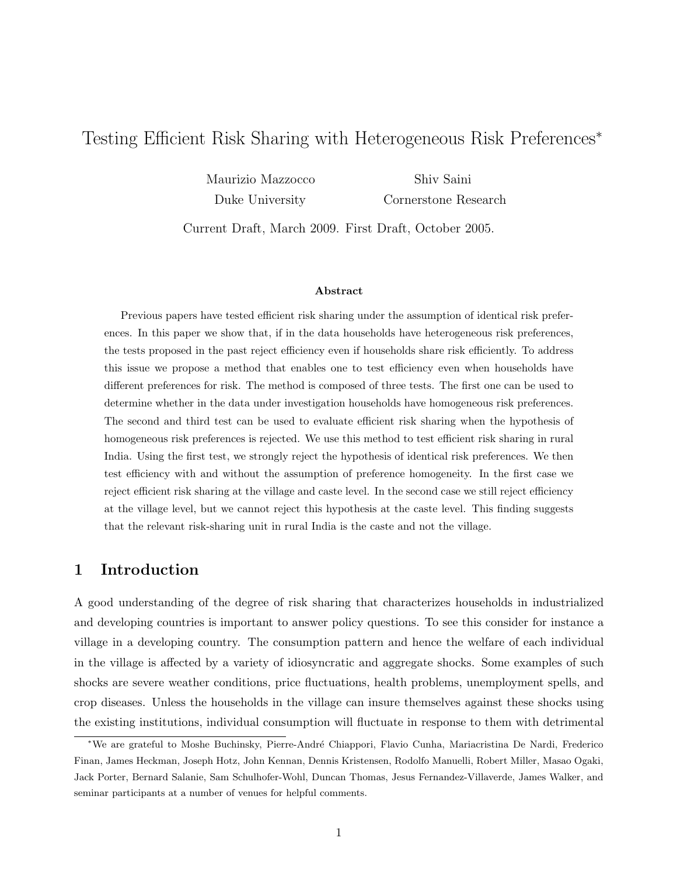# Testing Efficient Risk Sharing with Heterogeneous Risk Preferences<sup>∗</sup>

Maurizio Mazzocco Shiv Saini

Duke University Cornerstone Research

Current Draft, March 2009. First Draft, October 2005.

#### Abstract

Previous papers have tested efficient risk sharing under the assumption of identical risk preferences. In this paper we show that, if in the data households have heterogeneous risk preferences, the tests proposed in the past reject efficiency even if households share risk efficiently. To address this issue we propose a method that enables one to test efficiency even when households have different preferences for risk. The method is composed of three tests. The first one can be used to determine whether in the data under investigation households have homogeneous risk preferences. The second and third test can be used to evaluate efficient risk sharing when the hypothesis of homogeneous risk preferences is rejected. We use this method to test efficient risk sharing in rural India. Using the first test, we strongly reject the hypothesis of identical risk preferences. We then test efficiency with and without the assumption of preference homogeneity. In the first case we reject efficient risk sharing at the village and caste level. In the second case we still reject efficiency at the village level, but we cannot reject this hypothesis at the caste level. This finding suggests that the relevant risk-sharing unit in rural India is the caste and not the village.

### 1 Introduction

A good understanding of the degree of risk sharing that characterizes households in industrialized and developing countries is important to answer policy questions. To see this consider for instance a village in a developing country. The consumption pattern and hence the welfare of each individual in the village is affected by a variety of idiosyncratic and aggregate shocks. Some examples of such shocks are severe weather conditions, price fluctuations, health problems, unemployment spells, and crop diseases. Unless the households in the village can insure themselves against these shocks using the existing institutions, individual consumption will fluctuate in response to them with detrimental

<sup>\*</sup>We are grateful to Moshe Buchinsky, Pierre-André Chiappori, Flavio Cunha, Mariacristina De Nardi, Frederico Finan, James Heckman, Joseph Hotz, John Kennan, Dennis Kristensen, Rodolfo Manuelli, Robert Miller, Masao Ogaki, Jack Porter, Bernard Salanie, Sam Schulhofer-Wohl, Duncan Thomas, Jesus Fernandez-Villaverde, James Walker, and seminar participants at a number of venues for helpful comments.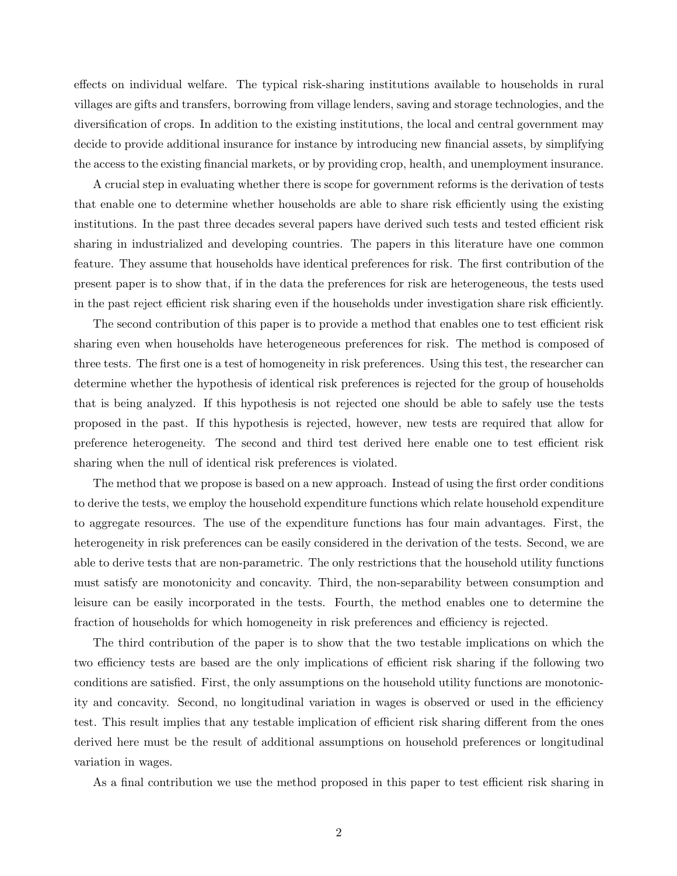effects on individual welfare. The typical risk-sharing institutions available to households in rural villages are gifts and transfers, borrowing from village lenders, saving and storage technologies, and the diversification of crops. In addition to the existing institutions, the local and central government may decide to provide additional insurance for instance by introducing new financial assets, by simplifying the access to the existing financial markets, or by providing crop, health, and unemployment insurance.

A crucial step in evaluating whether there is scope for government reforms is the derivation of tests that enable one to determine whether households are able to share risk efficiently using the existing institutions. In the past three decades several papers have derived such tests and tested efficient risk sharing in industrialized and developing countries. The papers in this literature have one common feature. They assume that households have identical preferences for risk. The first contribution of the present paper is to show that, if in the data the preferences for risk are heterogeneous, the tests used in the past reject efficient risk sharing even if the households under investigation share risk efficiently.

The second contribution of this paper is to provide a method that enables one to test efficient risk sharing even when households have heterogeneous preferences for risk. The method is composed of three tests. The first one is a test of homogeneity in risk preferences. Using this test, the researcher can determine whether the hypothesis of identical risk preferences is rejected for the group of households that is being analyzed. If this hypothesis is not rejected one should be able to safely use the tests proposed in the past. If this hypothesis is rejected, however, new tests are required that allow for preference heterogeneity. The second and third test derived here enable one to test efficient risk sharing when the null of identical risk preferences is violated.

The method that we propose is based on a new approach. Instead of using the first order conditions to derive the tests, we employ the household expenditure functions which relate household expenditure to aggregate resources. The use of the expenditure functions has four main advantages. First, the heterogeneity in risk preferences can be easily considered in the derivation of the tests. Second, we are able to derive tests that are non-parametric. The only restrictions that the household utility functions must satisfy are monotonicity and concavity. Third, the non-separability between consumption and leisure can be easily incorporated in the tests. Fourth, the method enables one to determine the fraction of households for which homogeneity in risk preferences and efficiency is rejected.

The third contribution of the paper is to show that the two testable implications on which the two efficiency tests are based are the only implications of efficient risk sharing if the following two conditions are satisfied. First, the only assumptions on the household utility functions are monotonicity and concavity. Second, no longitudinal variation in wages is observed or used in the efficiency test. This result implies that any testable implication of efficient risk sharing different from the ones derived here must be the result of additional assumptions on household preferences or longitudinal variation in wages.

As a final contribution we use the method proposed in this paper to test efficient risk sharing in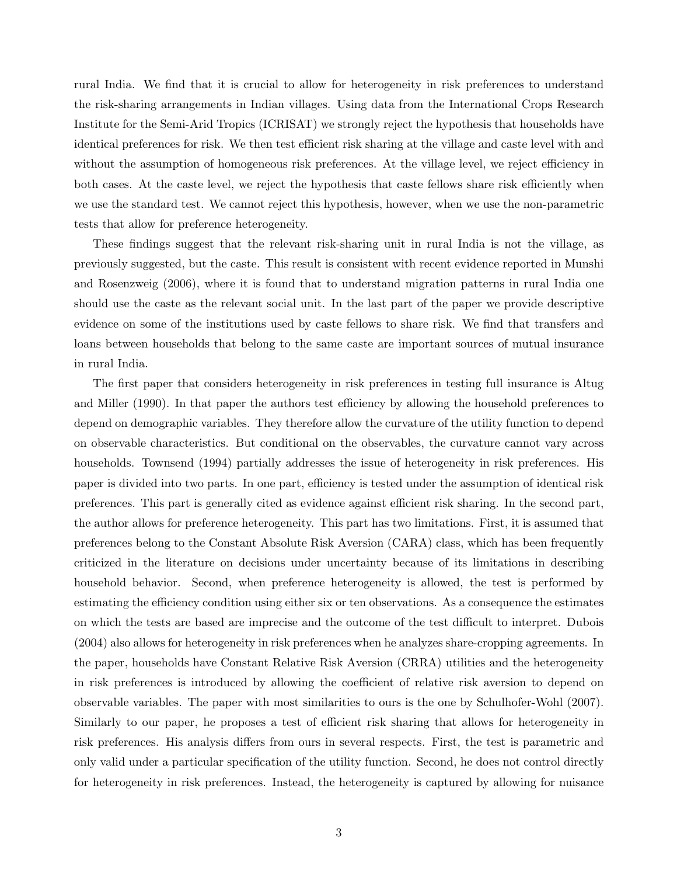rural India. We find that it is crucial to allow for heterogeneity in risk preferences to understand the risk-sharing arrangements in Indian villages. Using data from the International Crops Research Institute for the Semi-Arid Tropics (ICRISAT) we strongly reject the hypothesis that households have identical preferences for risk. We then test efficient risk sharing at the village and caste level with and without the assumption of homogeneous risk preferences. At the village level, we reject efficiency in both cases. At the caste level, we reject the hypothesis that caste fellows share risk efficiently when we use the standard test. We cannot reject this hypothesis, however, when we use the non-parametric tests that allow for preference heterogeneity.

These findings suggest that the relevant risk-sharing unit in rural India is not the village, as previously suggested, but the caste. This result is consistent with recent evidence reported in Munshi and Rosenzweig (2006), where it is found that to understand migration patterns in rural India one should use the caste as the relevant social unit. In the last part of the paper we provide descriptive evidence on some of the institutions used by caste fellows to share risk. We find that transfers and loans between households that belong to the same caste are important sources of mutual insurance in rural India.

The first paper that considers heterogeneity in risk preferences in testing full insurance is Altug and Miller (1990). In that paper the authors test efficiency by allowing the household preferences to depend on demographic variables. They therefore allow the curvature of the utility function to depend on observable characteristics. But conditional on the observables, the curvature cannot vary across households. Townsend (1994) partially addresses the issue of heterogeneity in risk preferences. His paper is divided into two parts. In one part, efficiency is tested under the assumption of identical risk preferences. This part is generally cited as evidence against efficient risk sharing. In the second part, the author allows for preference heterogeneity. This part has two limitations. First, it is assumed that preferences belong to the Constant Absolute Risk Aversion (CARA) class, which has been frequently criticized in the literature on decisions under uncertainty because of its limitations in describing household behavior. Second, when preference heterogeneity is allowed, the test is performed by estimating the efficiency condition using either six or ten observations. As a consequence the estimates on which the tests are based are imprecise and the outcome of the test difficult to interpret. Dubois (2004) also allows for heterogeneity in risk preferences when he analyzes share-cropping agreements. In the paper, households have Constant Relative Risk Aversion (CRRA) utilities and the heterogeneity in risk preferences is introduced by allowing the coefficient of relative risk aversion to depend on observable variables. The paper with most similarities to ours is the one by Schulhofer-Wohl (2007). Similarly to our paper, he proposes a test of efficient risk sharing that allows for heterogeneity in risk preferences. His analysis differs from ours in several respects. First, the test is parametric and only valid under a particular specification of the utility function. Second, he does not control directly for heterogeneity in risk preferences. Instead, the heterogeneity is captured by allowing for nuisance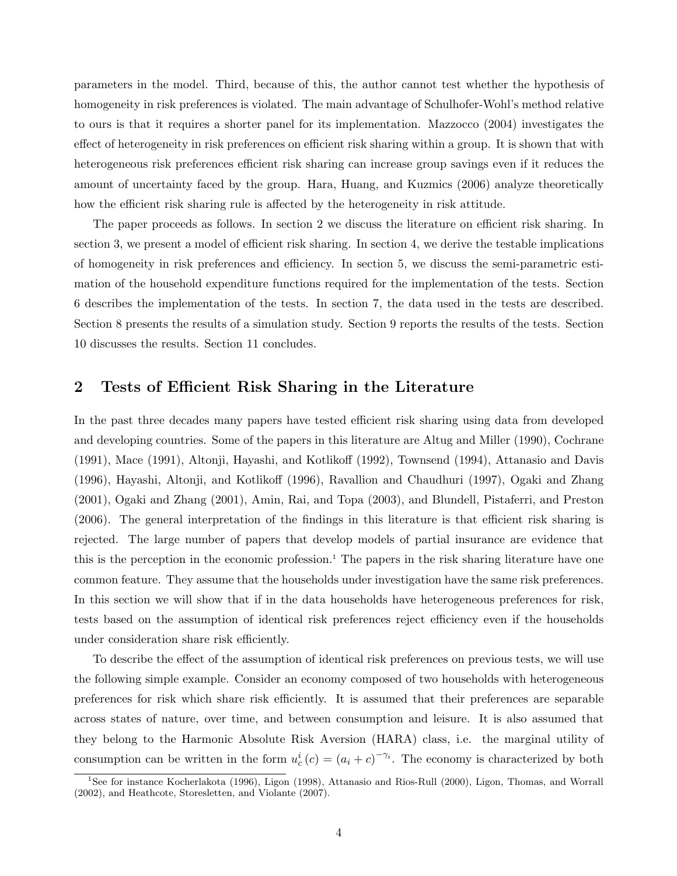parameters in the model. Third, because of this, the author cannot test whether the hypothesis of homogeneity in risk preferences is violated. The main advantage of Schulhofer-Wohl's method relative to ours is that it requires a shorter panel for its implementation. Mazzocco (2004) investigates the effect of heterogeneity in risk preferences on efficient risk sharing within a group. It is shown that with heterogeneous risk preferences efficient risk sharing can increase group savings even if it reduces the amount of uncertainty faced by the group. Hara, Huang, and Kuzmics (2006) analyze theoretically how the efficient risk sharing rule is affected by the heterogeneity in risk attitude.

The paper proceeds as follows. In section 2 we discuss the literature on efficient risk sharing. In section 3, we present a model of efficient risk sharing. In section 4, we derive the testable implications of homogeneity in risk preferences and efficiency. In section 5, we discuss the semi-parametric estimation of the household expenditure functions required for the implementation of the tests. Section 6 describes the implementation of the tests. In section 7, the data used in the tests are described. Section 8 presents the results of a simulation study. Section 9 reports the results of the tests. Section 10 discusses the results. Section 11 concludes.

# 2 Tests of Efficient Risk Sharing in the Literature

In the past three decades many papers have tested efficient risk sharing using data from developed and developing countries. Some of the papers in this literature are Altug and Miller (1990), Cochrane (1991), Mace (1991), Altonji, Hayashi, and Kotlikoff (1992), Townsend (1994), Attanasio and Davis (1996), Hayashi, Altonji, and Kotlikoff (1996), Ravallion and Chaudhuri (1997), Ogaki and Zhang (2001), Ogaki and Zhang (2001), Amin, Rai, and Topa (2003), and Blundell, Pistaferri, and Preston (2006). The general interpretation of the findings in this literature is that efficient risk sharing is rejected. The large number of papers that develop models of partial insurance are evidence that this is the perception in the economic profession.<sup>1</sup> The papers in the risk sharing literature have one common feature. They assume that the households under investigation have the same risk preferences. In this section we will show that if in the data households have heterogeneous preferences for risk, tests based on the assumption of identical risk preferences reject efficiency even if the households under consideration share risk efficiently.

To describe the effect of the assumption of identical risk preferences on previous tests, we will use the following simple example. Consider an economy composed of two households with heterogeneous preferences for risk which share risk efficiently. It is assumed that their preferences are separable across states of nature, over time, and between consumption and leisure. It is also assumed that they belong to the Harmonic Absolute Risk Aversion (HARA) class, i.e. the marginal utility of consumption can be written in the form  $u_c^i(c) = (a_i + c)^{-\gamma_i}$ . The economy is characterized by both

<sup>1</sup>See for instance Kocherlakota (1996), Ligon (1998), Attanasio and Rios-Rull (2000), Ligon, Thomas, and Worrall (2002), and Heathcote, Storesletten, and Violante (2007).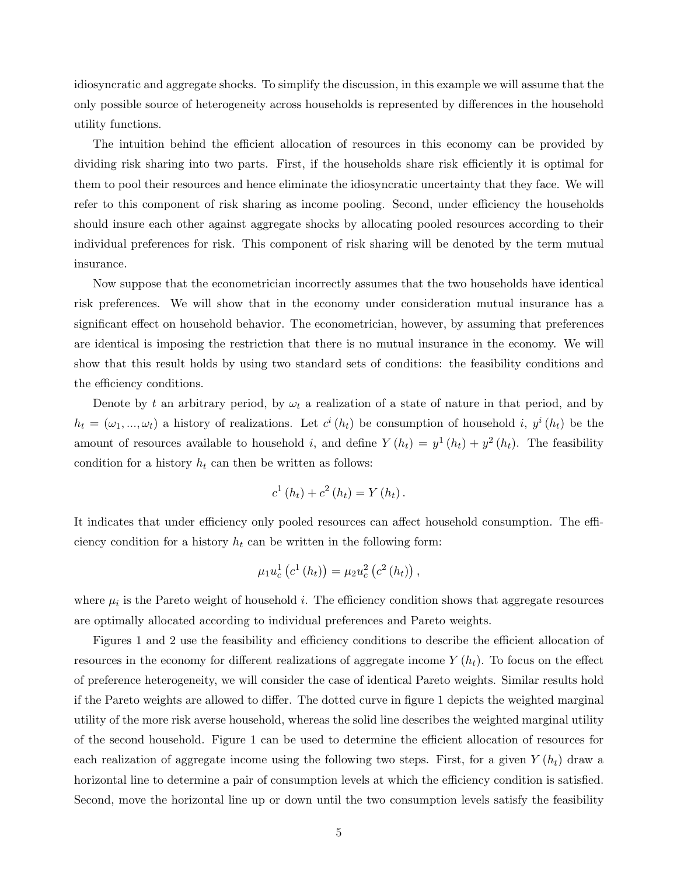idiosyncratic and aggregate shocks. To simplify the discussion, in this example we will assume that the only possible source of heterogeneity across households is represented by differences in the household utility functions.

The intuition behind the efficient allocation of resources in this economy can be provided by dividing risk sharing into two parts. First, if the households share risk efficiently it is optimal for them to pool their resources and hence eliminate the idiosyncratic uncertainty that they face. We will refer to this component of risk sharing as income pooling. Second, under efficiency the households should insure each other against aggregate shocks by allocating pooled resources according to their individual preferences for risk. This component of risk sharing will be denoted by the term mutual insurance.

Now suppose that the econometrician incorrectly assumes that the two households have identical risk preferences. We will show that in the economy under consideration mutual insurance has a significant effect on household behavior. The econometrician, however, by assuming that preferences are identical is imposing the restriction that there is no mutual insurance in the economy. We will show that this result holds by using two standard sets of conditions: the feasibility conditions and the efficiency conditions.

Denote by t an arbitrary period, by  $\omega_t$  a realization of a state of nature in that period, and by  $h_t = (\omega_1, ..., \omega_t)$  a history of realizations. Let  $c^i(h_t)$  be consumption of household i,  $y^i(h_t)$  be the amount of resources available to household i, and define  $Y(h_t) = y^1(h_t) + y^2(h_t)$ . The feasibility condition for a history  $h_t$  can then be written as follows:

$$
c^{1}(h_{t})+c^{2}(h_{t})=Y(h_{t}).
$$

It indicates that under efficiency only pooled resources can affect household consumption. The efficiency condition for a history  $h_t$  can be written in the following form:

$$
\mu_1 u_c^1(c^1(h_t)) = \mu_2 u_c^2(c^2(h_t)),
$$

where  $\mu_i$  is the Pareto weight of household *i*. The efficiency condition shows that aggregate resources are optimally allocated according to individual preferences and Pareto weights.

Figures 1 and 2 use the feasibility and efficiency conditions to describe the efficient allocation of resources in the economy for different realizations of aggregate income  $Y(h_t)$ . To focus on the effect of preference heterogeneity, we will consider the case of identical Pareto weights. Similar results hold if the Pareto weights are allowed to differ. The dotted curve in figure 1 depicts the weighted marginal utility of the more risk averse household, whereas the solid line describes the weighted marginal utility of the second household. Figure 1 can be used to determine the efficient allocation of resources for each realization of aggregate income using the following two steps. First, for a given  $Y(h_t)$  draw a horizontal line to determine a pair of consumption levels at which the efficiency condition is satisfied. Second, move the horizontal line up or down until the two consumption levels satisfy the feasibility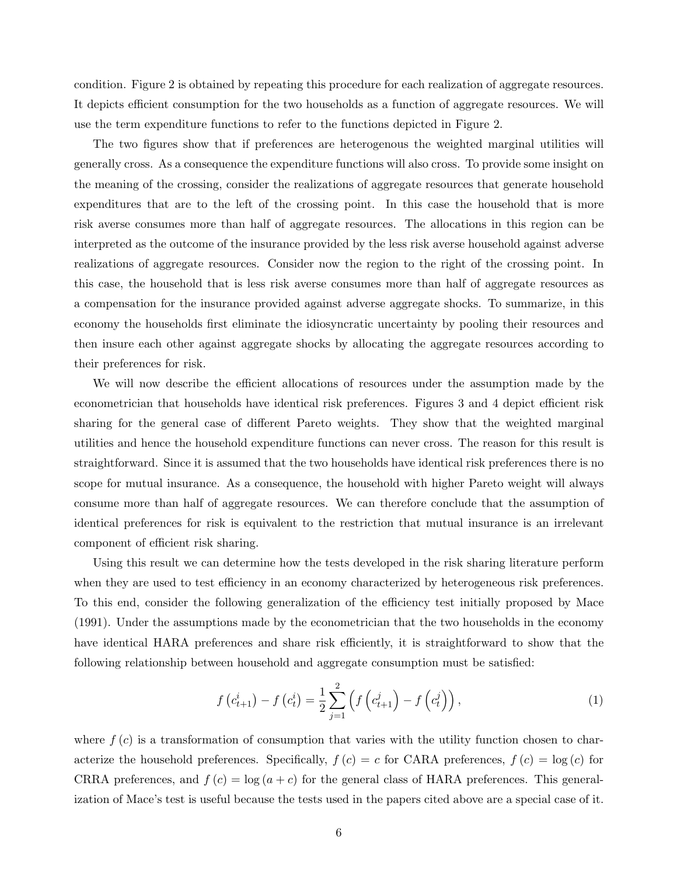condition. Figure 2 is obtained by repeating this procedure for each realization of aggregate resources. It depicts efficient consumption for the two households as a function of aggregate resources. We will use the term expenditure functions to refer to the functions depicted in Figure 2.

The two figures show that if preferences are heterogenous the weighted marginal utilities will generally cross. As a consequence the expenditure functions will also cross. To provide some insight on the meaning of the crossing, consider the realizations of aggregate resources that generate household expenditures that are to the left of the crossing point. In this case the household that is more risk averse consumes more than half of aggregate resources. The allocations in this region can be interpreted as the outcome of the insurance provided by the less risk averse household against adverse realizations of aggregate resources. Consider now the region to the right of the crossing point. In this case, the household that is less risk averse consumes more than half of aggregate resources as a compensation for the insurance provided against adverse aggregate shocks. To summarize, in this economy the households first eliminate the idiosyncratic uncertainty by pooling their resources and then insure each other against aggregate shocks by allocating the aggregate resources according to their preferences for risk.

We will now describe the efficient allocations of resources under the assumption made by the econometrician that households have identical risk preferences. Figures 3 and 4 depict efficient risk sharing for the general case of different Pareto weights. They show that the weighted marginal utilities and hence the household expenditure functions can never cross. The reason for this result is straightforward. Since it is assumed that the two households have identical risk preferences there is no scope for mutual insurance. As a consequence, the household with higher Pareto weight will always consume more than half of aggregate resources. We can therefore conclude that the assumption of identical preferences for risk is equivalent to the restriction that mutual insurance is an irrelevant component of efficient risk sharing.

Using this result we can determine how the tests developed in the risk sharing literature perform when they are used to test efficiency in an economy characterized by heterogeneous risk preferences. To this end, consider the following generalization of the efficiency test initially proposed by Mace (1991). Under the assumptions made by the econometrician that the two households in the economy have identical HARA preferences and share risk efficiently, it is straightforward to show that the following relationship between household and aggregate consumption must be satisfied:

$$
f(c_{t+1}^{i}) - f(c_{t}^{i}) = \frac{1}{2} \sum_{j=1}^{2} \left( f(c_{t+1}^{j}) - f(c_{t}^{j}) \right),
$$
\n(1)

where  $f(c)$  is a transformation of consumption that varies with the utility function chosen to characterize the household preferences. Specifically,  $f(c) = c$  for CARA preferences,  $f(c) = \log(c)$  for CRRA preferences, and  $f(c) = \log(a + c)$  for the general class of HARA preferences. This generalization of Mace's test is useful because the tests used in the papers cited above are a special case of it.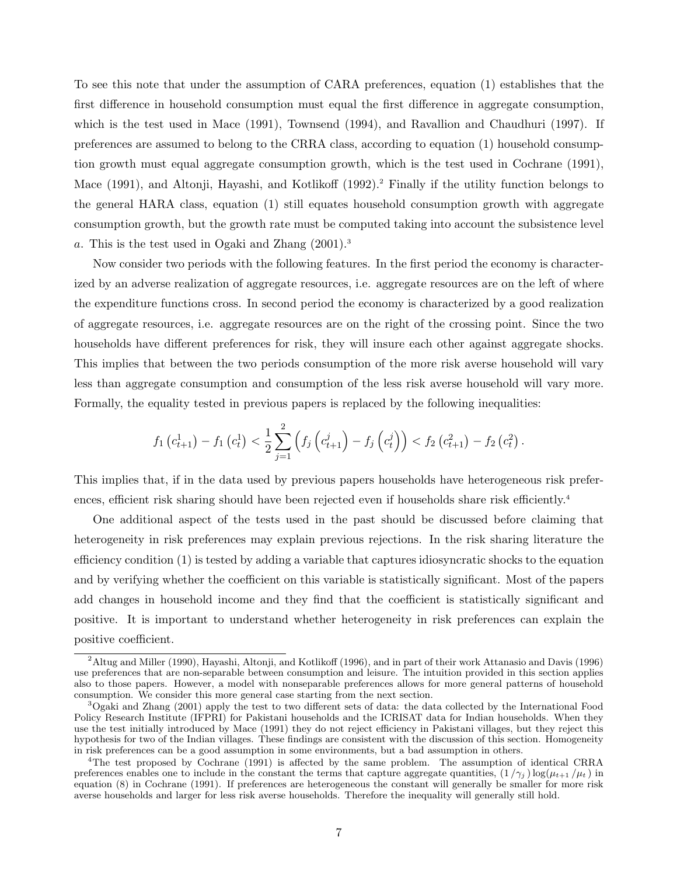To see this note that under the assumption of CARA preferences, equation (1) establishes that the first difference in household consumption must equal the first difference in aggregate consumption, which is the test used in Mace (1991), Townsend (1994), and Ravallion and Chaudhuri (1997). If preferences are assumed to belong to the CRRA class, according to equation (1) household consumption growth must equal aggregate consumption growth, which is the test used in Cochrane (1991), Mace (1991), and Altonji, Hayashi, and Kotlikoff (1992).<sup>2</sup> Finally if the utility function belongs to the general HARA class, equation (1) still equates household consumption growth with aggregate consumption growth, but the growth rate must be computed taking into account the subsistence level a. This is the test used in Ogaki and Zhang (2001).<sup>3</sup>

Now consider two periods with the following features. In the first period the economy is characterized by an adverse realization of aggregate resources, i.e. aggregate resources are on the left of where the expenditure functions cross. In second period the economy is characterized by a good realization of aggregate resources, i.e. aggregate resources are on the right of the crossing point. Since the two households have different preferences for risk, they will insure each other against aggregate shocks. This implies that between the two periods consumption of the more risk averse household will vary less than aggregate consumption and consumption of the less risk averse household will vary more. Formally, the equality tested in previous papers is replaced by the following inequalities:

$$
f_1\left(c_{t+1}^1\right) - f_1\left(c_t^1\right) < \frac{1}{2} \sum_{j=1}^2 \left(f_j\left(c_{t+1}^j\right) - f_j\left(c_t^j\right)\right) < f_2\left(c_{t+1}^2\right) - f_2\left(c_t^2\right).
$$

This implies that, if in the data used by previous papers households have heterogeneous risk preferences, efficient risk sharing should have been rejected even if households share risk efficiently.<sup>4</sup>

One additional aspect of the tests used in the past should be discussed before claiming that heterogeneity in risk preferences may explain previous rejections. In the risk sharing literature the efficiency condition (1) is tested by adding a variable that captures idiosyncratic shocks to the equation and by verifying whether the coefficient on this variable is statistically significant. Most of the papers add changes in household income and they find that the coefficient is statistically significant and positive. It is important to understand whether heterogeneity in risk preferences can explain the positive coefficient.

<sup>&</sup>lt;sup>2</sup>Altug and Miller (1990), Hayashi, Altonji, and Kotlikoff (1996), and in part of their work Attanasio and Davis (1996) use preferences that are non-separable between consumption and leisure. The intuition provided in this section applies also to those papers. However, a model with nonseparable preferences allows for more general patterns of household consumption. We consider this more general case starting from the next section.

 $3^3$ Ogaki and Zhang (2001) apply the test to two different sets of data: the data collected by the International Food Policy Research Institute (IFPRI) for Pakistani households and the ICRISAT data for Indian households. When they use the test initially introduced by Mace (1991) they do not reject efficiency in Pakistani villages, but they reject this hypothesis for two of the Indian villages. These findings are consistent with the discussion of this section. Homogeneity in risk preferences can be a good assumption in some environments, but a bad assumption in others.

<sup>4</sup>The test proposed by Cochrane (1991) is affected by the same problem. The assumption of identical CRRA preferences enables one to include in the constant the terms that capture aggregate quantities,  $(1/\gamma_j) \log(\mu_{t+1}/\mu_t)$  in equation (8) in Cochrane (1991). If preferences are heterogeneous the constant will generally be smaller for more risk averse households and larger for less risk averse households. Therefore the inequality will generally still hold.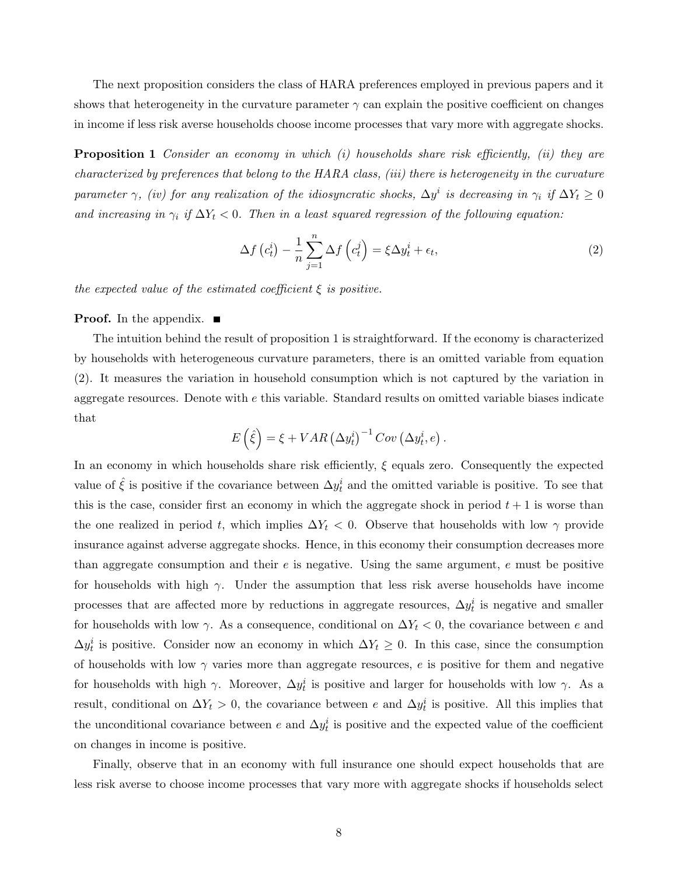The next proposition considers the class of HARA preferences employed in previous papers and it shows that heterogeneity in the curvature parameter  $\gamma$  can explain the positive coefficient on changes in income if less risk averse households choose income processes that vary more with aggregate shocks.

**Proposition 1** Consider an economy in which  $(i)$  households share risk efficiently,  $(ii)$  they are characterized by preferences that belong to the HARA class, (iii) there is heterogeneity in the curvature parameter  $\gamma$ , (iv) for any realization of the idiosyncratic shocks,  $\Delta y^i$  is decreasing in  $\gamma_i$  if  $\Delta Y_t \geq 0$ and increasing in  $\gamma_i$  if  $\Delta Y_t < 0$ . Then in a least squared regression of the following equation:

$$
\Delta f\left(c_t^i\right) - \frac{1}{n} \sum_{j=1}^n \Delta f\left(c_t^j\right) = \xi \Delta y_t^i + \epsilon_t,\tag{2}
$$

the expected value of the estimated coefficient  $\xi$  is positive.

#### **Proof.** In the appendix.  $\blacksquare$

The intuition behind the result of proposition 1 is straightforward. If the economy is characterized by households with heterogeneous curvature parameters, there is an omitted variable from equation (2). It measures the variation in household consumption which is not captured by the variation in aggregate resources. Denote with  $e$  this variable. Standard results on omitted variable biases indicate that  $\overline{a}$ ´

$$
E(\hat{\xi}) = \xi + VAR(\Delta y_t^i)^{-1}Cov(\Delta y_t^i, e).
$$

In an economy in which households share risk efficiently, ξ equals zero. Consequently the expected value of  $\hat{\xi}$  is positive if the covariance between  $\Delta y_t^i$  and the omitted variable is positive. To see that this is the case, consider first an economy in which the aggregate shock in period  $t + 1$  is worse than the one realized in period t, which implies  $\Delta Y_t < 0$ . Observe that households with low  $\gamma$  provide insurance against adverse aggregate shocks. Hence, in this economy their consumption decreases more than aggregate consumption and their  $e$  is negative. Using the same argument,  $e$  must be positive for households with high  $\gamma$ . Under the assumption that less risk averse households have income processes that are affected more by reductions in aggregate resources,  $\Delta y_t^i$  is negative and smaller for households with low  $\gamma$ . As a consequence, conditional on  $\Delta Y_t < 0$ , the covariance between e and  $\Delta y_t^i$  is positive. Consider now an economy in which  $\Delta Y_t \geq 0$ . In this case, since the consumption of households with low  $\gamma$  varies more than aggregate resources, e is positive for them and negative for households with high  $\gamma$ . Moreover,  $\Delta y_t^i$  is positive and larger for households with low  $\gamma$ . As a result, conditional on  $\Delta Y_t > 0$ , the covariance between e and  $\Delta y_t^i$  is positive. All this implies that the unconditional covariance between e and  $\Delta y_t^i$  is positive and the expected value of the coefficient on changes in income is positive.

Finally, observe that in an economy with full insurance one should expect households that are less risk averse to choose income processes that vary more with aggregate shocks if households select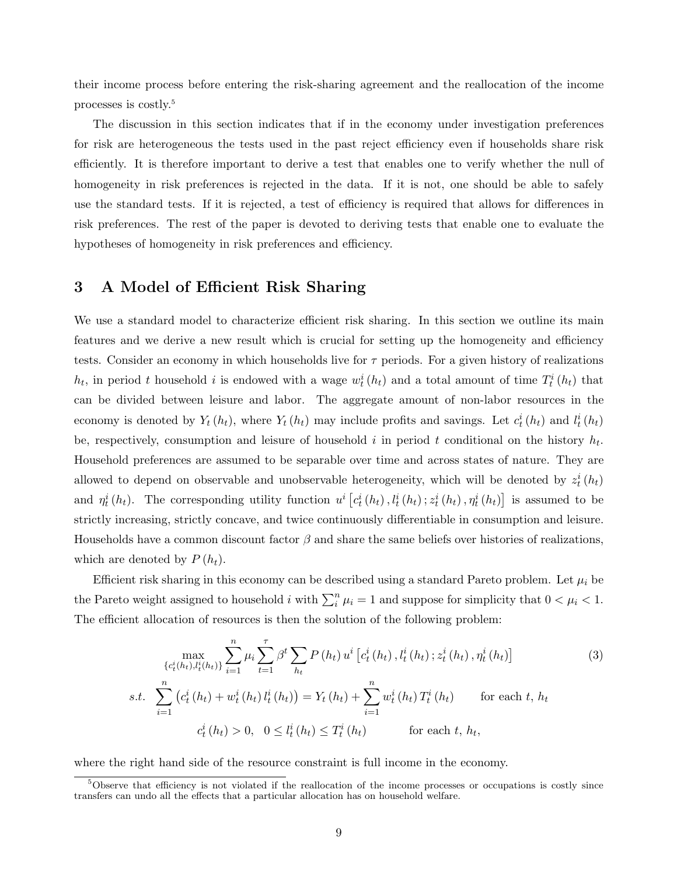their income process before entering the risk-sharing agreement and the reallocation of the income processes is costly.<sup>5</sup>

The discussion in this section indicates that if in the economy under investigation preferences for risk are heterogeneous the tests used in the past reject efficiency even if households share risk efficiently. It is therefore important to derive a test that enables one to verify whether the null of homogeneity in risk preferences is rejected in the data. If it is not, one should be able to safely use the standard tests. If it is rejected, a test of efficiency is required that allows for differences in risk preferences. The rest of the paper is devoted to deriving tests that enable one to evaluate the hypotheses of homogeneity in risk preferences and efficiency.

# 3 A Model of Efficient Risk Sharing

We use a standard model to characterize efficient risk sharing. In this section we outline its main features and we derive a new result which is crucial for setting up the homogeneity and efficiency tests. Consider an economy in which households live for  $\tau$  periods. For a given history of realizations  $h_t$ , in period t household i is endowed with a wage  $w_t^i(h_t)$  and a total amount of time  $T_t^i(h_t)$  that can be divided between leisure and labor. The aggregate amount of non-labor resources in the economy is denoted by  $Y_t(h_t)$ , where  $Y_t(h_t)$  may include profits and savings. Let  $c_t^i(h_t)$  and  $l_t^i(h_t)$ be, respectively, consumption and leisure of household i in period t conditional on the history  $h_t$ . Household preferences are assumed to be separable over time and across states of nature. They are allowed to depend on observable and unobservable heterogeneity, which will be denoted by  $z_t^i(h_t)$ and  $\eta_t^i(h_t)$ . The corresponding utility function  $u^i$  [  $c_{t}^{i}\left(h_{t}\right),l_{t}^{i}\left(h_{t}\right);z_{t}^{i}\left(h_{t}\right),\eta_{t}^{i}\left(h_{t}\right)$ ¤ is assumed to be strictly increasing, strictly concave, and twice continuously differentiable in consumption and leisure. Households have a common discount factor  $\beta$  and share the same beliefs over histories of realizations, which are denoted by  $P(h_t)$ .

Efficient risk sharing in this economy can be described using a standard Pareto problem. Let  $\mu_i$  be the Pareto weight assigned to household i with  $\sum_{i}^{n} \mu_{i} = 1$  and suppose for simplicity that  $0 < \mu_{i} < 1$ . The efficient allocation of resources is then the solution of the following problem:

$$
\max_{\{c_t^i(h_t), l_t^i(h_t)\}} \sum_{i=1}^n \mu_i \sum_{t=1}^\tau \beta^t \sum_{h_t} P(h_t) u^i \left[c_t^i(h_t), l_t^i(h_t); z_t^i(h_t), \eta_t^i(h_t)\right]
$$
\n
$$
s.t. \sum_{i=1}^n \left(c_t^i(h_t) + w_t^i(h_t) l_t^i(h_t)\right) = Y_t(h_t) + \sum_{i=1}^n w_t^i(h_t) T_t^i(h_t)
$$
\nfor each  $t, h_t$ \n
$$
c_t^i(h_t) > 0, \quad 0 \leq l_t^i(h_t) \leq T_t^i(h_t)
$$
\nfor each  $t, h_t$ ,\n
$$
\sum_{i=1}^n \left(c_t^i(h_t) - 0\right)^i \left(c_t^i(h_t) - 0\right)^i \leq C_t^i(h_t)
$$

where the right hand side of the resource constraint is full income in the economy.

<sup>&</sup>lt;sup>5</sup>Observe that efficiency is not violated if the reallocation of the income processes or occupations is costly since transfers can undo all the effects that a particular allocation has on household welfare.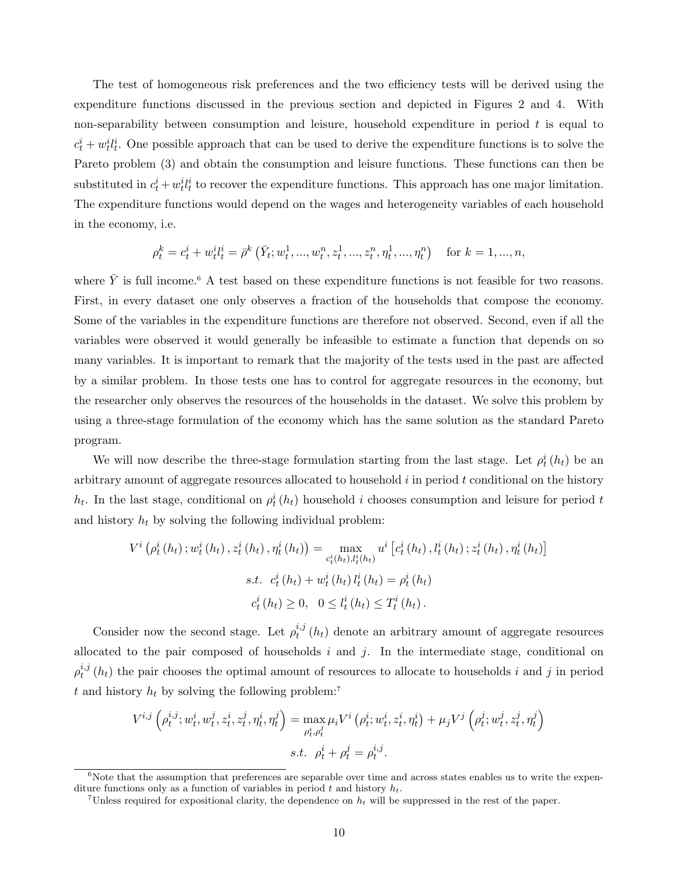The test of homogeneous risk preferences and the two efficiency tests will be derived using the expenditure functions discussed in the previous section and depicted in Figures 2 and 4. With non-separability between consumption and leisure, household expenditure in period  $t$  is equal to  $c_t^i + w_t^i l_t^i$ . One possible approach that can be used to derive the expenditure functions is to solve the Pareto problem (3) and obtain the consumption and leisure functions. These functions can then be substituted in  $c_t^i + w_t^i l_t^i$  to recover the expenditure functions. This approach has one major limitation. The expenditure functions would depend on the wages and heterogeneity variables of each household in the economy, i.e.

$$
\rho_t^k = c_t^i + w_t^i t_t^i = \bar{\rho}^k \left( \bar{Y}_t; w_t^1, ..., w_t^n, z_t^1, ..., z_t^n, \eta_t^1, ..., \eta_t^n \right) \quad \text{for } k = 1, ..., n,
$$

where  $\bar{Y}$  is full income.<sup>6</sup> A test based on these expenditure functions is not feasible for two reasons. First, in every dataset one only observes a fraction of the households that compose the economy. Some of the variables in the expenditure functions are therefore not observed. Second, even if all the variables were observed it would generally be infeasible to estimate a function that depends on so many variables. It is important to remark that the majority of the tests used in the past are affected by a similar problem. In those tests one has to control for aggregate resources in the economy, but the researcher only observes the resources of the households in the dataset. We solve this problem by using a three-stage formulation of the economy which has the same solution as the standard Pareto program.

We will now describe the three-stage formulation starting from the last stage. Let  $\rho_t^i(h_t)$  be an arbitrary amount of aggregate resources allocated to household  $i$  in period  $t$  conditional on the history  $h_t$ . In the last stage, conditional on  $\rho_t^i(h_t)$  household i chooses consumption and leisure for period t and history  $h_t$  by solving the following individual problem:

$$
V^{i}(\rho_{t}^{i}(h_{t}); w_{t}^{i}(h_{t}), z_{t}^{i}(h_{t}), \eta_{t}^{i}(h_{t})) = \max_{c_{t}^{i}(h_{t}), l_{t}^{i}(h_{t})} u^{i} [c_{t}^{i}(h_{t}), l_{t}^{i}(h_{t}); z_{t}^{i}(h_{t}), \eta_{t}^{i}(h_{t})]
$$
  
s.t.  $c_{t}^{i}(h_{t}) + w_{t}^{i}(h_{t}) l_{t}^{i}(h_{t}) = \rho_{t}^{i}(h_{t})$   
 $c_{t}^{i}(h_{t}) \geq 0, \quad 0 \leq l_{t}^{i}(h_{t}) \leq T_{t}^{i}(h_{t}).$ 

Consider now the second stage. Let  $\rho_t^{i,j}$  $t_t^{i,j}(h_t)$  denote an arbitrary amount of aggregate resources allocated to the pair composed of households  $i$  and  $j$ . In the intermediate stage, conditional on  $\rho_t^{i,j}$  $t_i^{i,j}(h_t)$  the pair chooses the optimal amount of resources to allocate to households i and j in period t and history  $h_t$  by solving the following problem:<sup>7</sup>

$$
V^{i,j} \left( \rho_t^{i,j}; w_t^i, w_t^j, z_t^i, z_t^j, \eta_t^i, \eta_t^j \right) = \max_{\rho_t^i, \rho_t^j} \mu_i V^i \left( \rho_t^i; w_t^i, z_t^i, \eta_t^i \right) + \mu_j V^j \left( \rho_t^j; w_t^j, z_t^j, \eta_t^j \right)
$$
  
s.t.  $\rho_t^i + \rho_t^j = \rho_t^{i,j}$ .

 $6\text{Note that the assumption that preferences are separable over time and across states enables us to write the expen$ diture functions only as a function of variables in period t and history  $h_t$ .

<sup>&</sup>lt;sup>7</sup>Unless required for expositional clarity, the dependence on  $h_t$  will be suppressed in the rest of the paper.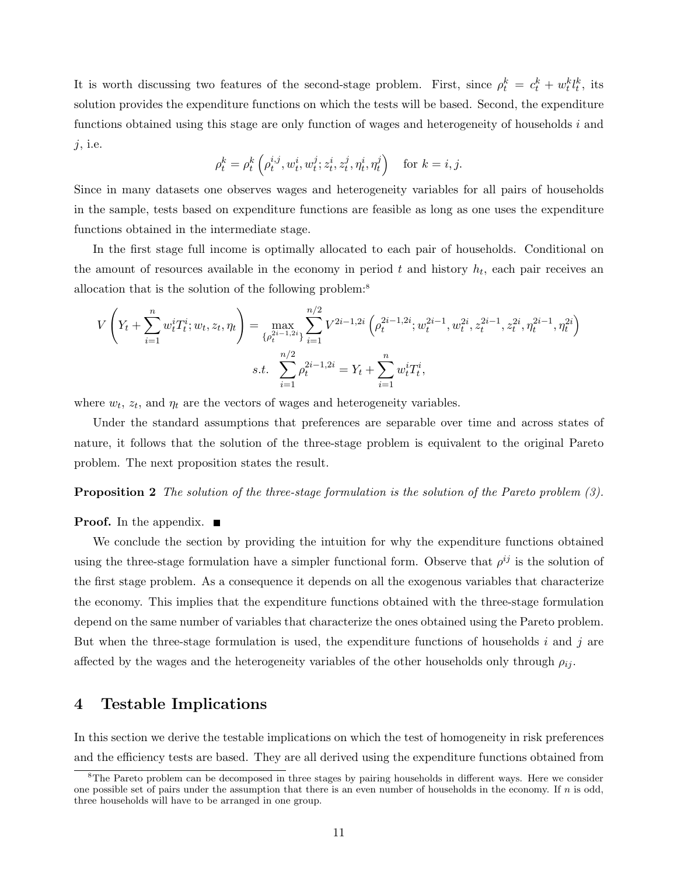It is worth discussing two features of the second-stage problem. First, since  $\rho_t^k = c_t^k + w_t^k l_t^k$ , its solution provides the expenditure functions on which the tests will be based. Second, the expenditure functions obtained using this stage are only function of wages and heterogeneity of households i and  $j$ , i.e.  $\overline{a}$ ´

$$
\rho_t^k = \rho_t^k \left( \rho_t^{i,j}, w_t^i, w_t^j; z_t^i, z_t^j, \eta_t^i, \eta_t^j \right) \quad \text{for } k = i, j.
$$

Since in many datasets one observes wages and heterogeneity variables for all pairs of households in the sample, tests based on expenditure functions are feasible as long as one uses the expenditure functions obtained in the intermediate stage.

In the first stage full income is optimally allocated to each pair of households. Conditional on the amount of resources available in the economy in period  $t$  and history  $h_t$ , each pair receives an allocation that is the solution of the following problem:<sup>8</sup>

$$
V\left(Y_t + \sum_{i=1}^n w_t^i T_t^i; w_t, z_t, \eta_t\right) = \max_{\{\rho_t^{2i-1,2i}\}} \sum_{i=1}^{n/2} V^{2i-1,2i} \left(\rho_t^{2i-1,2i}; w_t^{2i-1}, w_t^{2i}, z_t^{2i-1}, z_t^{2i}, \eta_t^{2i-1}, \eta_t^{2i}\right)
$$

$$
s.t. \sum_{i=1}^{n/2} \rho_t^{2i-1,2i} = Y_t + \sum_{i=1}^n w_t^i T_t^i,
$$

where  $w_t$ ,  $z_t$ , and  $\eta_t$  are the vectors of wages and heterogeneity variables.

Under the standard assumptions that preferences are separable over time and across states of nature, it follows that the solution of the three-stage problem is equivalent to the original Pareto problem. The next proposition states the result.

#### **Proposition 2** The solution of the three-stage formulation is the solution of the Pareto problem (3).

**Proof.** In the appendix.  $\blacksquare$ 

We conclude the section by providing the intuition for why the expenditure functions obtained using the three-stage formulation have a simpler functional form. Observe that  $\rho^{ij}$  is the solution of the first stage problem. As a consequence it depends on all the exogenous variables that characterize the economy. This implies that the expenditure functions obtained with the three-stage formulation depend on the same number of variables that characterize the ones obtained using the Pareto problem. But when the three-stage formulation is used, the expenditure functions of households i and j are affected by the wages and the heterogeneity variables of the other households only through  $\rho_{ij}$ .

## 4 Testable Implications

In this section we derive the testable implications on which the test of homogeneity in risk preferences and the efficiency tests are based. They are all derived using the expenditure functions obtained from

<sup>&</sup>lt;sup>8</sup>The Pareto problem can be decomposed in three stages by pairing households in different ways. Here we consider one possible set of pairs under the assumption that there is an even number of households in the economy. If n is odd, three households will have to be arranged in one group.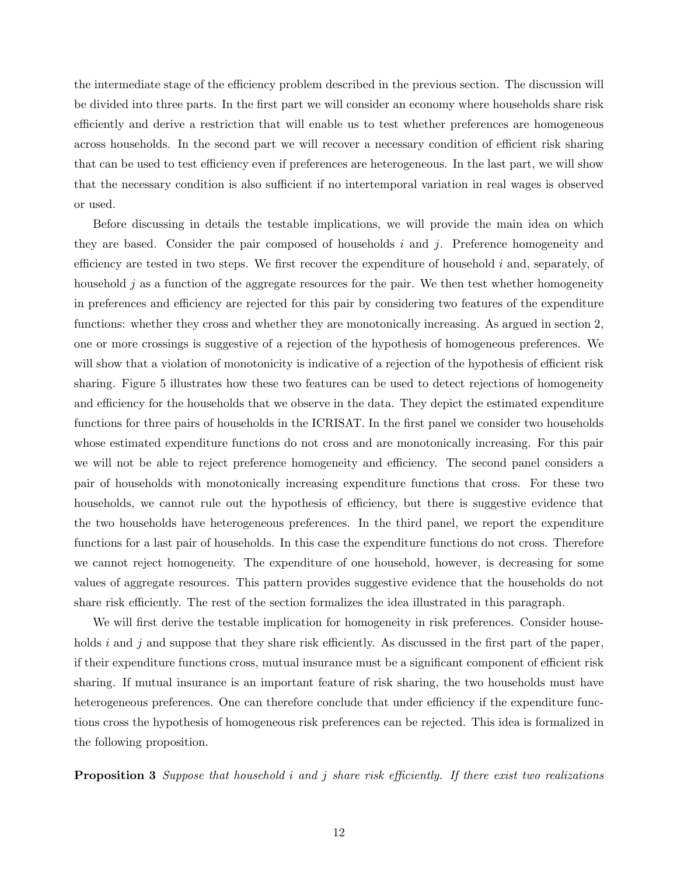the intermediate stage of the efficiency problem described in the previous section. The discussion will be divided into three parts. In the first part we will consider an economy where households share risk efficiently and derive a restriction that will enable us to test whether preferences are homogeneous across households. In the second part we will recover a necessary condition of efficient risk sharing that can be used to test efficiency even if preferences are heterogeneous. In the last part, we will show that the necessary condition is also sufficient if no intertemporal variation in real wages is observed or used.

Before discussing in details the testable implications, we will provide the main idea on which they are based. Consider the pair composed of households i and  $i$ . Preference homogeneity and efficiency are tested in two steps. We first recover the expenditure of household  $i$  and, separately, of household j as a function of the aggregate resources for the pair. We then test whether homogeneity in preferences and efficiency are rejected for this pair by considering two features of the expenditure functions: whether they cross and whether they are monotonically increasing. As argued in section 2, one or more crossings is suggestive of a rejection of the hypothesis of homogeneous preferences. We will show that a violation of monotonicity is indicative of a rejection of the hypothesis of efficient risk sharing. Figure 5 illustrates how these two features can be used to detect rejections of homogeneity and efficiency for the households that we observe in the data. They depict the estimated expenditure functions for three pairs of households in the ICRISAT. In the first panel we consider two households whose estimated expenditure functions do not cross and are monotonically increasing. For this pair we will not be able to reject preference homogeneity and efficiency. The second panel considers a pair of households with monotonically increasing expenditure functions that cross. For these two households, we cannot rule out the hypothesis of efficiency, but there is suggestive evidence that the two households have heterogeneous preferences. In the third panel, we report the expenditure functions for a last pair of households. In this case the expenditure functions do not cross. Therefore we cannot reject homogeneity. The expenditure of one household, however, is decreasing for some values of aggregate resources. This pattern provides suggestive evidence that the households do not share risk efficiently. The rest of the section formalizes the idea illustrated in this paragraph.

We will first derive the testable implication for homogeneity in risk preferences. Consider households i and j and suppose that they share risk efficiently. As discussed in the first part of the paper, if their expenditure functions cross, mutual insurance must be a significant component of efficient risk sharing. If mutual insurance is an important feature of risk sharing, the two households must have heterogeneous preferences. One can therefore conclude that under efficiency if the expenditure functions cross the hypothesis of homogeneous risk preferences can be rejected. This idea is formalized in the following proposition.

**Proposition 3** Suppose that household i and j share risk efficiently. If there exist two realizations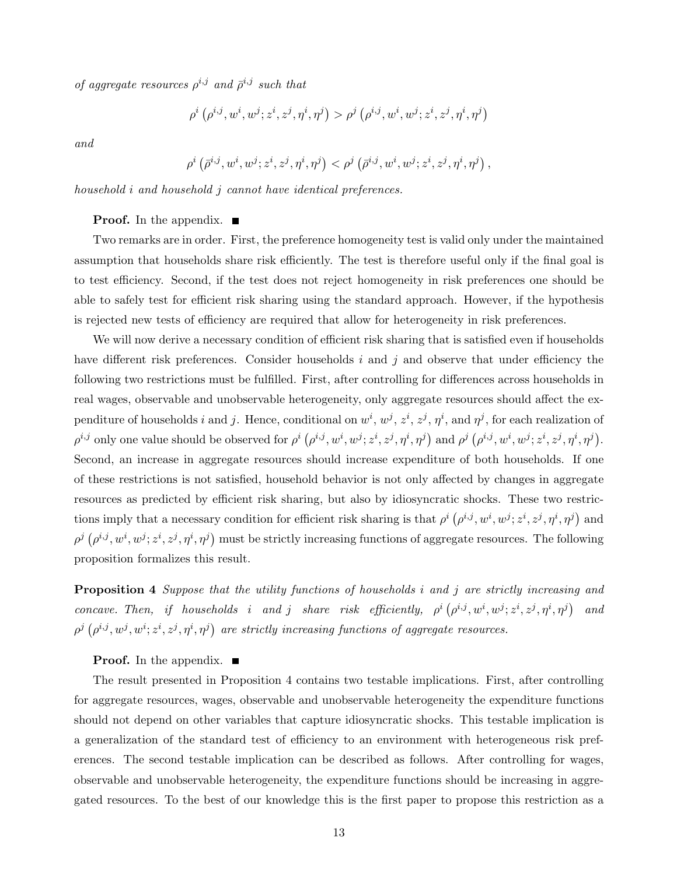of aggregate resources  $\rho^{i,j}$  and  $\bar{\rho}^{i,j}$  such that

$$
\rho^i\left(\rho^{i,j},w^i,w^j;z^i,z^j,\eta^i,\eta^j\right)>\rho^j\left(\rho^{i,j},w^i,w^j;z^i,z^j,\eta^i,\eta^j\right)
$$

and

$$
\rho^{i}\left({\bar\rho^{i,j}}, w^{i}, w^{j}; z^{i}, z^{j}, \eta^{i}, \eta^{j}\right) < \rho^{j}\left({\bar\rho^{i,j}}, w^{i}, w^{j}; z^{i}, z^{j}, \eta^{i}, \eta^{j}\right),
$$

household i and household j cannot have identical preferences.

### **Proof.** In the appendix.  $\blacksquare$

Two remarks are in order. First, the preference homogeneity test is valid only under the maintained assumption that households share risk efficiently. The test is therefore useful only if the final goal is to test efficiency. Second, if the test does not reject homogeneity in risk preferences one should be able to safely test for efficient risk sharing using the standard approach. However, if the hypothesis is rejected new tests of efficiency are required that allow for heterogeneity in risk preferences.

We will now derive a necessary condition of efficient risk sharing that is satisfied even if households have different risk preferences. Consider households i and j and observe that under efficiency the following two restrictions must be fulfilled. First, after controlling for differences across households in real wages, observable and unobservable heterogeneity, only aggregate resources should affect the expenditure of households i and j. Hence, conditional on  $w^i, w^j, z^i, z^j, \eta^i$ , and  $\eta^j$ , for each realization of  $\rho^{i,j}$  only one value should be observed for  $\rho^{i}$  (  $\rho^{i,j}, w^i, w^j; z^i, z^j, \eta^i, \eta^j)$ and  $\rho^j$  (  $\rho^{i,j}, w^i, w^j; z^i, z^j, \eta^i, \eta^j)$ . Second, an increase in aggregate resources should increase expenditure of both households. If one of these restrictions is not satisfied, household behavior is not only affected by changes in aggregate resources as predicted by efficient risk sharing, but also by idiosyncratic shocks. These two restrictions imply that a necessary condition for efficient risk sharing is that  $\rho^i$  (  $\rho^{i,j}, w^i, w^j; z^i, z^j, \eta^i, \eta^j)$ and  $\rho^j$   $(\rho^{i,j}, w^i, w^j; z^i, z^j, \eta^i, \eta^j)$  must be strictly increasing functions of aggregate resources. The following ;<br>≠≠≠ ≠ ≠ ≠ ≠ ≠ ≠ proposition formalizes this result.

**Proposition 4** Suppose that the utility functions of households i and j are strictly increasing and concave. Then, if households i and j share risk efficiently,  $\rho^i$  (  $\rho^{i,j}, w^i, w^j; z^i, z^j, \eta^i, \eta^j)$ and  $\rho^j$  (  $\rho^{i,j}, w^j, w^i; z^i, z^j, \eta^i, \eta^j)$ are strictly increasing functions of aggregate resources.

**Proof.** In the appendix.  $\blacksquare$ 

The result presented in Proposition 4 contains two testable implications. First, after controlling for aggregate resources, wages, observable and unobservable heterogeneity the expenditure functions should not depend on other variables that capture idiosyncratic shocks. This testable implication is a generalization of the standard test of efficiency to an environment with heterogeneous risk preferences. The second testable implication can be described as follows. After controlling for wages, observable and unobservable heterogeneity, the expenditure functions should be increasing in aggregated resources. To the best of our knowledge this is the first paper to propose this restriction as a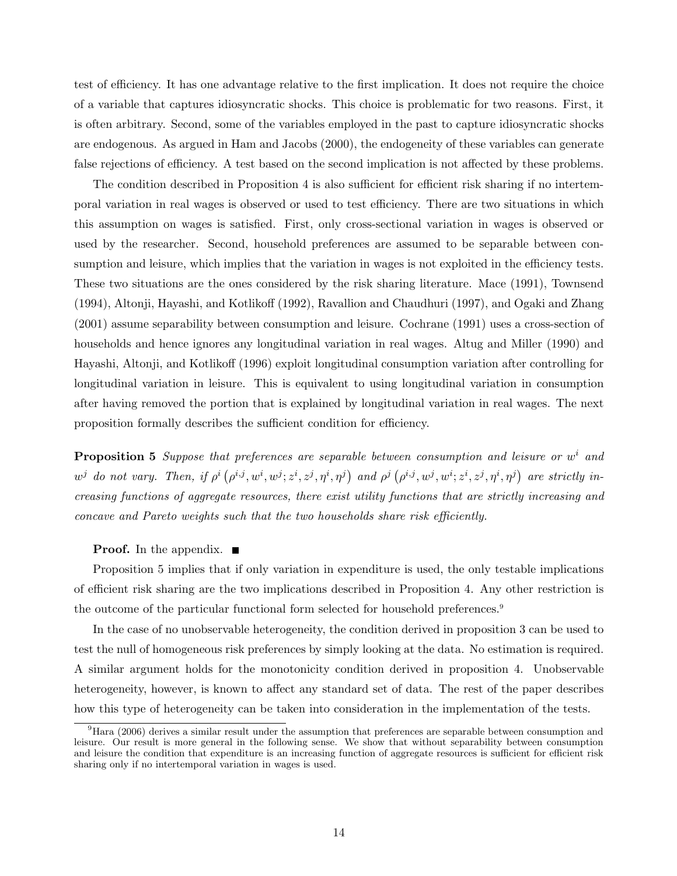test of efficiency. It has one advantage relative to the first implication. It does not require the choice of a variable that captures idiosyncratic shocks. This choice is problematic for two reasons. First, it is often arbitrary. Second, some of the variables employed in the past to capture idiosyncratic shocks are endogenous. As argued in Ham and Jacobs (2000), the endogeneity of these variables can generate false rejections of efficiency. A test based on the second implication is not affected by these problems.

The condition described in Proposition 4 is also sufficient for efficient risk sharing if no intertemporal variation in real wages is observed or used to test efficiency. There are two situations in which this assumption on wages is satisfied. First, only cross-sectional variation in wages is observed or used by the researcher. Second, household preferences are assumed to be separable between consumption and leisure, which implies that the variation in wages is not exploited in the efficiency tests. These two situations are the ones considered by the risk sharing literature. Mace (1991), Townsend (1994), Altonji, Hayashi, and Kotlikoff (1992), Ravallion and Chaudhuri (1997), and Ogaki and Zhang (2001) assume separability between consumption and leisure. Cochrane (1991) uses a cross-section of households and hence ignores any longitudinal variation in real wages. Altug and Miller (1990) and Hayashi, Altonji, and Kotlikoff (1996) exploit longitudinal consumption variation after controlling for longitudinal variation in leisure. This is equivalent to using longitudinal variation in consumption after having removed the portion that is explained by longitudinal variation in real wages. The next proposition formally describes the sufficient condition for efficiency.

**Proposition 5** Suppose that preferences are separable between consumption and leisure or  $w<sup>i</sup>$  and  $w^j$  do not vary. Then, if  $\rho^i$  (  $\rho^{i,j}, w^i, w^j; z^i, z^j, \eta^i, \eta^j)$ and  $\rho^j$  (  $\rho^{i,j}, w^j, w^i; z^i, z^j, \eta^i, \eta^j)$ are strictly increasing functions of aggregate resources, there exist utility functions that are strictly increasing and concave and Pareto weights such that the two households share risk efficiently.

#### **Proof.** In the appendix.  $\blacksquare$

Proposition 5 implies that if only variation in expenditure is used, the only testable implications of efficient risk sharing are the two implications described in Proposition 4. Any other restriction is the outcome of the particular functional form selected for household preferences.<sup>9</sup>

In the case of no unobservable heterogeneity, the condition derived in proposition 3 can be used to test the null of homogeneous risk preferences by simply looking at the data. No estimation is required. A similar argument holds for the monotonicity condition derived in proposition 4. Unobservable heterogeneity, however, is known to affect any standard set of data. The rest of the paper describes how this type of heterogeneity can be taken into consideration in the implementation of the tests.

 $^{9}$ Hara (2006) derives a similar result under the assumption that preferences are separable between consumption and leisure. Our result is more general in the following sense. We show that without separability between consumption and leisure the condition that expenditure is an increasing function of aggregate resources is sufficient for efficient risk sharing only if no intertemporal variation in wages is used.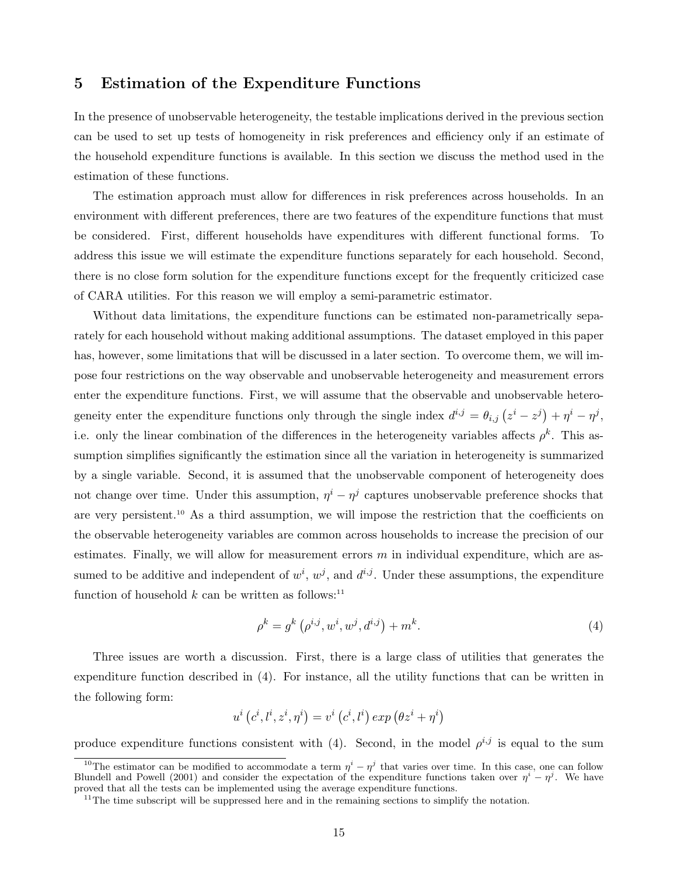## 5 Estimation of the Expenditure Functions

In the presence of unobservable heterogeneity, the testable implications derived in the previous section can be used to set up tests of homogeneity in risk preferences and efficiency only if an estimate of the household expenditure functions is available. In this section we discuss the method used in the estimation of these functions.

The estimation approach must allow for differences in risk preferences across households. In an environment with different preferences, there are two features of the expenditure functions that must be considered. First, different households have expenditures with different functional forms. To address this issue we will estimate the expenditure functions separately for each household. Second, there is no close form solution for the expenditure functions except for the frequently criticized case of CARA utilities. For this reason we will employ a semi-parametric estimator.

Without data limitations, the expenditure functions can be estimated non-parametrically separately for each household without making additional assumptions. The dataset employed in this paper has, however, some limitations that will be discussed in a later section. To overcome them, we will impose four restrictions on the way observable and unobservable heterogeneity and measurement errors enter the expenditure functions. First, we will assume that the observable and unobservable heterogeneity enter the expenditure functions only through the single index  $d^{i,j} = \theta_{i,j} (z^i - z^j)$  $+\eta^i - \eta^j,$ i.e. only the linear combination of the differences in the heterogeneity variables affects  $\rho^k$ . This assumption simplifies significantly the estimation since all the variation in heterogeneity is summarized by a single variable. Second, it is assumed that the unobservable component of heterogeneity does not change over time. Under this assumption,  $\eta^{i} - \eta^{j}$  captures unobservable preference shocks that are very persistent.<sup>10</sup> As a third assumption, we will impose the restriction that the coefficients on the observable heterogeneity variables are common across households to increase the precision of our estimates. Finally, we will allow for measurement errors  $m$  in individual expenditure, which are assumed to be additive and independent of  $w^i, w^j$ , and  $d^{i,j}$ . Under these assumptions, the expenditure function of household  $k$  can be written as follows:<sup>11</sup>

$$
\rho^k = g^k \left( \rho^{i,j}, w^i, w^j, d^{i,j} \right) + m^k. \tag{4}
$$

Three issues are worth a discussion. First, there is a large class of utilities that generates the expenditure function described in (4). For instance, all the utility functions that can be written in the following form:

$$
u^{i}\left(c^{i},l^{i},z^{i},\eta^{i}\right)=v^{i}\left(c^{i},l^{i}\right)exp\left(\theta z^{i}+\eta^{i}\right)
$$

produce expenditure functions consistent with (4). Second, in the model  $\rho^{i,j}$  is equal to the sum

<sup>&</sup>lt;sup>10</sup>The estimator can be modified to accommodate a term  $\eta^i - \eta^j$  that varies over time. In this case, one can follow Blundell and Powell (2001) and consider the expectation of the expenditure functions taken over  $\eta^i - \eta^j$ . We have proved that all the tests can be implemented using the average expenditure functions.

 $11$ The time subscript will be suppressed here and in the remaining sections to simplify the notation.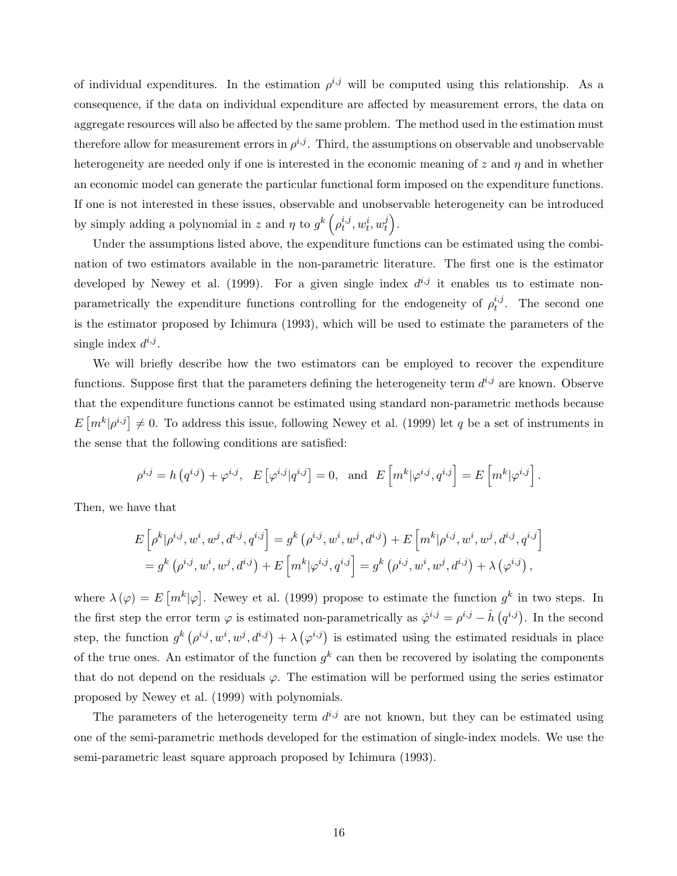of individual expenditures. In the estimation  $\rho^{i,j}$  will be computed using this relationship. As a consequence, if the data on individual expenditure are affected by measurement errors, the data on aggregate resources will also be affected by the same problem. The method used in the estimation must therefore allow for measurement errors in  $\rho^{i,j}$ . Third, the assumptions on observable and unobservable heterogeneity are needed only if one is interested in the economic meaning of  $z$  and  $\eta$  and in whether an economic model can generate the particular functional form imposed on the expenditure functions. If one is not interested in these issues, observable and unobservable heterogeneity can be introduced by simply adding a polynomial in z and  $\eta$  to  $g^k\left(\rho_t^{i,j}\right)$  $_{t}^{i,j},w_{t}^{i},w_{t}^{j}$  $\left(\begin{array}{c} 1 \ t \end{array}\right)$  .

Under the assumptions listed above, the expenditure functions can be estimated using the combination of two estimators available in the non-parametric literature. The first one is the estimator developed by Newey et al. (1999). For a given single index  $d^{i,j}$  it enables us to estimate nonparametrically the expenditure functions controlling for the endogeneity of  $\rho_t^{i,j}$  $t^{i,j}$ . The second one is the estimator proposed by Ichimura (1993), which will be used to estimate the parameters of the single index  $d^{i,j}$ .

We will briefly describe how the two estimators can be employed to recover the expenditure functions. Suppose first that the parameters defining the heterogeneity term  $d^{i,j}$  are known. Observe that the expenditure functions cannot be estimated using standard non-parametric methods because E  $\left[m^k|\rho^{i,j}\right] \neq 0$ . To address this issue, following Newey et al. (1999) let q be a set of instruments in the sense that the following conditions are satisfied:

$$
\rho^{i,j} = h\left(q^{i,j}\right) + \varphi^{i,j}, \quad E\left[\varphi^{i,j} | q^{i,j}\right] = 0, \text{ and } E\left[m^k | \varphi^{i,j}, q^{i,j}\right] = E\left[m^k | \varphi^{i,j}\right].
$$

Then, we have that

$$
E\left[\rho^{k}|\rho^{i,j}, w^{i}, w^{j}, d^{i,j}, q^{i,j}\right] = g^{k}\left(\rho^{i,j}, w^{i}, w^{j}, d^{i,j}\right) + E\left[m^{k}|\rho^{i,j}, w^{i}, w^{j}, d^{i,j}, q^{i,j}\right]
$$
  
=  $g^{k}\left(\rho^{i,j}, w^{i}, w^{j}, d^{i,j}\right) + E\left[m^{k}|\varphi^{i,j}, q^{i,j}\right] = g^{k}\left(\rho^{i,j}, w^{i}, w^{j}, d^{i,j}\right) + \lambda\left(\varphi^{i,j}\right),$ 

where  $\lambda(\varphi) = E$  $\lceil m^k \rceil \varphi$ ¤ . Newey et al. (1999) propose to estimate the function  $g^k$  in two steps. In the first step the error term  $\varphi$  is estimated non-parametrically as  $\hat{\varphi}^{i,j} = \rho^{i,j} - \hat{h}$  $q^{i,j}$ ). In the second step, the function  $g^k$  (  $\rho^{i,j}, w^i, w^j, d^{i,j}) + \lambda$ ¡  $\varphi^{i,j}$ ) is estimated using the estimated residuals in place of the true ones. An estimator of the function  $g^k$  can then be recovered by isolating the components that do not depend on the residuals  $\varphi$ . The estimation will be performed using the series estimator proposed by Newey et al. (1999) with polynomials.

The parameters of the heterogeneity term  $d^{i,j}$  are not known, but they can be estimated using one of the semi-parametric methods developed for the estimation of single-index models. We use the semi-parametric least square approach proposed by Ichimura (1993).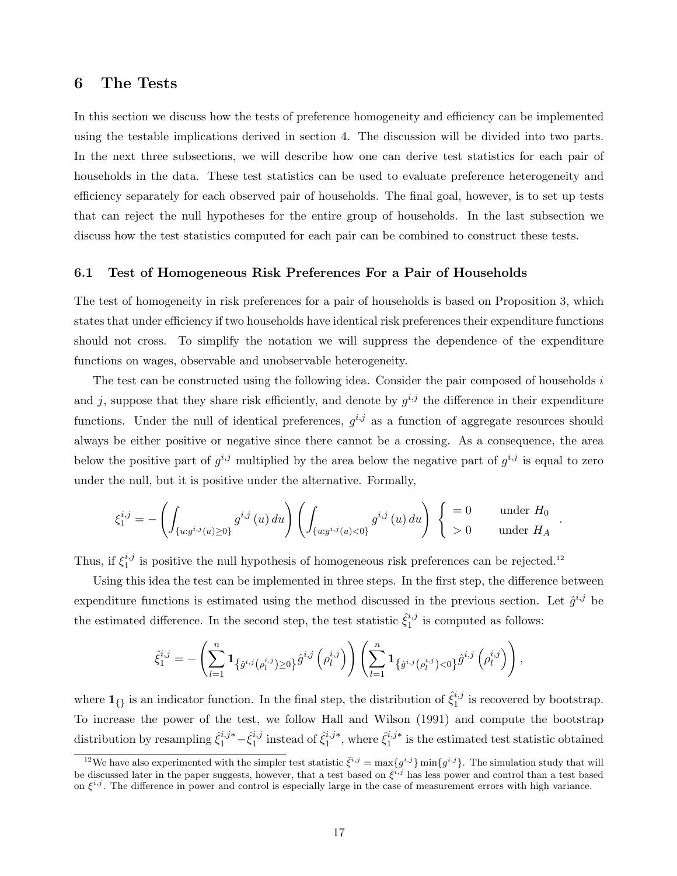## 6 The Tests

In this section we discuss how the tests of preference homogeneity and efficiency can be implemented using the testable implications derived in section 4. The discussion will be divided into two parts. In the next three subsections, we will describe how one can derive test statistics for each pair of households in the data. These test statistics can be used to evaluate preference heterogeneity and efficiency separately for each observed pair of households. The final goal, however, is to set up tests that can reject the null hypotheses for the entire group of households. In the last subsection we discuss how the test statistics computed for each pair can be combined to construct these tests.

### 6.1 Test of Homogeneous Risk Preferences For a Pair of Households

The test of homogeneity in risk preferences for a pair of households is based on Proposition 3, which states that under efficiency if two households have identical risk preferences their expenditure functions should not cross. To simplify the notation we will suppress the dependence of the expenditure functions on wages, observable and unobservable heterogeneity.

The test can be constructed using the following idea. Consider the pair composed of households i and j, suppose that they share risk efficiently, and denote by  $g^{i,j}$  the difference in their expenditure functions. Under the null of identical preferences,  $g^{i,j}$  as a function of aggregate resources should always be either positive or negative since there cannot be a crossing. As a consequence, the area below the positive part of  $g^{i,j}$  multiplied by the area below the negative part of  $g^{i,j}$  is equal to zero under the null, but it is positive under the alternative. Formally,

$$
\xi_1^{i,j}=-\left(\int_{\{u:g^{i,j}(u)\geq 0\}}g^{i,j}\left(u\right)du\right)\left(\int_{\{u:g^{i,j}(u)< 0\}}g^{i,j}\left(u\right)du\right)\ \left\{\begin{array}{ll} =0 & \ \ \text{under}\ H_0 \\ >0 & \ \ \text{under}\ H_A \end{array}\right.
$$

.

Thus, if  $\xi_1^{i,j}$  $i<sub>1</sub><sup>i,j</sup>$  is positive the null hypothesis of homogeneous risk preferences can be rejected.<sup>12</sup>

Using this idea the test can be implemented in three steps. In the first step, the difference between expenditure functions is estimated using the method discussed in the previous section. Let  $\hat{g}^{i,j}$  be the estimated difference. In the second step, the test statistic  $\hat{\xi}_1^{i,j}$  $i<sub>1</sub><sup>i,j</sup>$  is computed as follows:

$$
\hat{\xi}^{i,j}_1 = -\left(\sum^n_{l=1}\mathbf{1}_{\left\{\hat{g}^{i,j}(\rho^{i,j}_l) \geq 0\right\}}\hat{g}^{i,j}\left(\rho^{i,j}_l\right)\right)\left(\sum^n_{l=1}\mathbf{1}_{\left\{\hat{g}^{i,j}(\rho^{i,j}_l) < 0\right\}}\hat{g}^{i,j}\left(\rho^{i,j}_l\right)\right),
$$

where  $\mathbf{1}_{\{\}}$  is an indicator function. In the final step, the distribution of  $\hat{\xi}_1^{i,j}$  $i,j$  is recovered by bootstrap. To increase the power of the test, we follow Hall and Wilson (1991) and compute the bootstrap distribution by resampling  $\hat{\xi}_1^{i,j*} - \hat{\xi}_1^{i,j}$  $i_j^{i,j}$  instead of  $\hat{\xi}_1^{i,j*}$  $i^{j,*}_{1}$ , where  $\hat{\xi}^{i,j*}_{1}$  $i_1^{i,j*}$  is the estimated test statistic obtained

<sup>&</sup>lt;sup>12</sup>We have also experimented with the simpler test statistic  $\bar{\xi}^{i,j} = \max\{g^{i,j}\}\min\{g^{i,j}\}.$  The simulation study that will be discussed later in the paper suggests, however, that a test based on  $\bar{\xi}^{i,j}$  has less power and control than a test based on  $\xi^{i,j}$ . The difference in power and control is especially large in the case of measurement errors with high variance.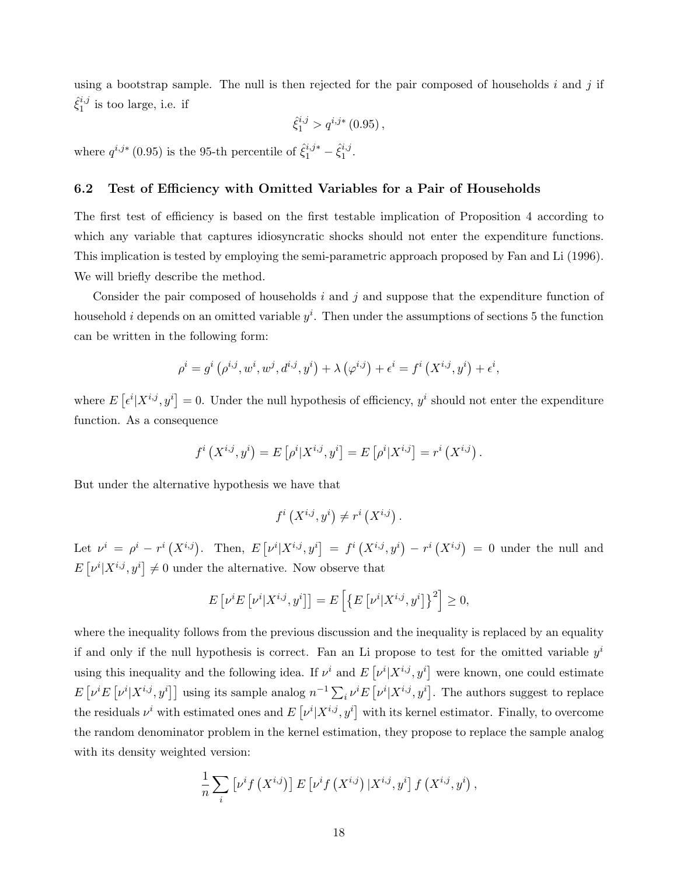using a bootstrap sample. The null is then rejected for the pair composed of households  $i$  and  $j$  if  $\hat{\xi}_1^{i,j}$  $i<sub>1</sub>$  is too large, i.e. if

$$
\hat{\xi}_1^{i,j} > q^{i,j*} (0.95) ,
$$

where  $q^{i,j*}$  (0.95) is the 95-th percentile of  $\hat{\xi}_1^{i,j*} - \hat{\xi}_1^{i,j}$  $\frac{\imath \jmath}{1}$  .

### 6.2 Test of Efficiency with Omitted Variables for a Pair of Households

The first test of efficiency is based on the first testable implication of Proposition 4 according to which any variable that captures idiosyncratic shocks should not enter the expenditure functions. This implication is tested by employing the semi-parametric approach proposed by Fan and Li (1996). We will briefly describe the method.

Consider the pair composed of households  $i$  and  $j$  and suppose that the expenditure function of household *i* depends on an omitted variable  $y^i$ . Then under the assumptions of sections 5 the function can be written in the following form:

$$
\rho^{i} = g^{i}(\rho^{i,j}, w^{i}, w^{j}, d^{i,j}, y^{i}) + \lambda (\varphi^{i,j}) + \epsilon^{i} = f^{i}(X^{i,j}, y^{i}) + \epsilon^{i},
$$

where  $E$ £  $\epsilon^i | X^{i,j}, y^i]$  $= 0$ . Under the null hypothesis of efficiency,  $y^i$  should not enter the expenditure function. As a consequence

$$
f^{i}(X^{i,j}, y^{i}) = E[\rho^{i}|X^{i,j}, y^{i}] = E[\rho^{i}|X^{i,j}] = r^{i}(X^{i,j}).
$$

But under the alternative hypothesis we have that

$$
f^{i}\left(X^{i,j},y^{i}\right)\neq r^{i}\left(X^{i,j}\right).
$$

Let  $\nu^i = \rho^i - r^i (X^{i,j})$ . Then, E £  $\nu^i | X^{i,j}, y^i]$  $= f^i(X^{i,j}, y^i)$  $-r^{i}(X^{i,j}) = 0$  under the null and E £  $\lbrack \nu^i \vert X^{i,j}, y^i \rbrack$  $\neq 0$  under the alternative. Now observe that

$$
E\left[\nu^{i}E\left[\nu^{i}|X^{i,j},y^{i}\right]\right] = E\left[\left\{E\left[\nu^{i}|X^{i,j},y^{i}\right]\right\}^{2}\right] \geq 0,
$$

where the inequality follows from the previous discussion and the inequality is replaced by an equality if and only if the null hypothesis is correct. Fan an Li propose to test for the omitted variable  $y^i$ using this inequality and the following idea. If  $\nu^i$  and E  $\begin{aligned} \nu^i | X^{i,j}, y^i ] \end{aligned}$ were known, one could estimate E £  $\stackrel{\circ}{\nu^i}E$   $\lceil$  $\nu^{i} | X^{i,j}, y^{i}]$ ] using its sample analog  $n^{-1} \sum_{i} \nu^{i} E\left[ x^{i,j} \right]$  $\lbrack \nu^i \vert X^{i,j},y^i \rbrack$ . The authors suggest to replace the residuals  $\nu^i$  with estimated ones and E  $\overline{\nu^{i}|X^{i,j},y^{i}|}$ with its kernel estimator. Finally, to overcome the random denominator problem in the kernel estimation, they propose to replace the sample analog with its density weighted version:

$$
\frac{1}{n}\sum_{i}\left[\nu^{i}f\left(X^{i,j}\right)\right]E\left[\nu^{i}f\left(X^{i,j}\right)|X^{i,j},y^{i}\right]f\left(X^{i,j},y^{i}\right),
$$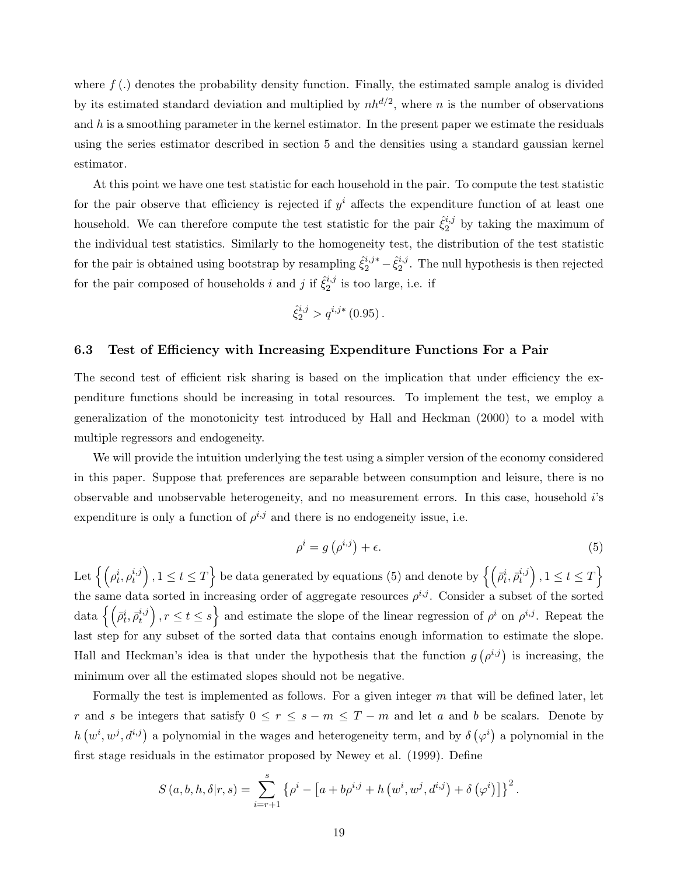where  $f(.)$  denotes the probability density function. Finally, the estimated sample analog is divided by its estimated standard deviation and multiplied by  $nh^{d/2}$ , where n is the number of observations and h is a smoothing parameter in the kernel estimator. In the present paper we estimate the residuals using the series estimator described in section 5 and the densities using a standard gaussian kernel estimator.

At this point we have one test statistic for each household in the pair. To compute the test statistic for the pair observe that efficiency is rejected if  $y^i$  affects the expenditure function of at least one household. We can therefore compute the test statistic for the pair  $\hat{\xi}_2^{i,j}$  $i,j$  by taking the maximum of the individual test statistics. Similarly to the homogeneity test, the distribution of the test statistic for the pair is obtained using bootstrap by resampling  $\hat{\xi}_2^{i,j*} - \hat{\xi}_2^{i,j}$  $_{2}^{i,j}$ . The null hypothesis is then rejected for the pair composed of households i and j if  $\hat{\xi}_2^{i,j}$  $i<sub>2</sub>$ <sup>*i*</sup>,*j* is too large, i.e. if

$$
\hat{\xi}_2^{i,j} > q^{i,j*} (0.95) .
$$

#### 6.3 Test of Efficiency with Increasing Expenditure Functions For a Pair

The second test of efficient risk sharing is based on the implication that under efficiency the expenditure functions should be increasing in total resources. To implement the test, we employ a generalization of the monotonicity test introduced by Hall and Heckman (2000) to a model with multiple regressors and endogeneity.

We will provide the intuition underlying the test using a simpler version of the economy considered in this paper. Suppose that preferences are separable between consumption and leisure, there is no observable and unobservable heterogeneity, and no measurement errors. In this case, household i's expenditure is only a function of  $\rho^{i,j}$  and there is no endogeneity issue, i.e.

$$
\rho^i = g\left(\rho^{i,j}\right) + \epsilon. \tag{5}
$$

Let  $\left\{ \left( \rho_t^i, \rho_t^{i,j} \right) \right\}$ t ´  $, 1 \leq t \leq T$ be data generated by equations (5) and denote by  $\left\{ \left( \bar{\rho}_{t}^{i},\bar{\rho}_{t}^{i,j}\right) \right\}$ t ´  $, 1 \leq t \leq T$ o the same data sorted in increasing order of aggregate resources  $\rho^{i,j}$ . Consider a subset of the sorted  $\text{data } \left\{ \left( \bar{\rho}^i_t, \bar{\rho}^{i,j}_t \right) \right.$  $\left\{t^{i,j}_t\right\}, r \leq t \leq s$  and estimate the slope of the linear regression of  $\rho^i$  on  $\rho^{i,j}$ . Repeat the last step for any subset of the sorted data that contains enough information to estimate the slope. Hall and Heckman's idea is that under the hypothesis that the function g ¡  $\rho^{i,j}$ ) is increasing, the minimum over all the estimated slopes should not be negative.

Formally the test is implemented as follows. For a given integer m that will be defined later, let r and s be integers that satisfy  $0 \le r \le s - m \le T - m$  and let a and b be scalars. Denote by h ¡  $w^i, w^j, d^{i,j}$  a polynomial in the wages and heterogeneity term, and by  $\delta$ ¡  $\varphi^i$ a polynomial in the first stage residuals in the estimator proposed by Newey et al. (1999). Define

$$
S(a, b, h, \delta | r, s) = \sum_{i=r+1}^{s} \left\{ \rho^{i} - \left[ a + b \rho^{i,j} + h \left( w^{i}, w^{j}, d^{i,j} \right) + \delta \left( \varphi^{i} \right) \right] \right\}^{2}.
$$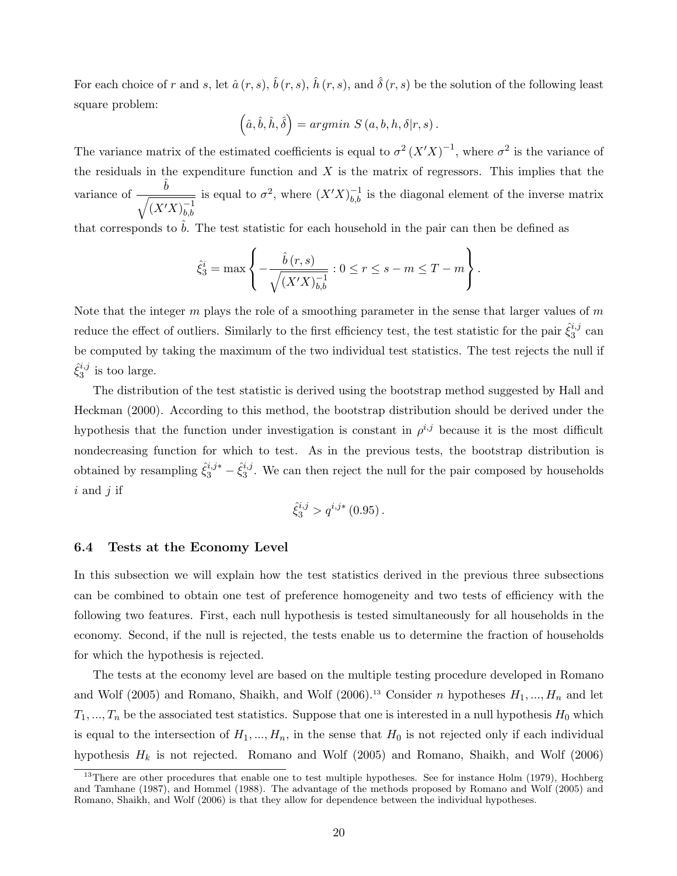For each choice of r and s, let  $\hat{a}(r, s)$ ,  $\hat{b}(r, s)$ ,  $\hat{h}(r, s)$ , and  $\hat{\delta}(r, s)$  be the solution of the following least square problem:  $\overline{a}$ ´

$$
(\hat{a}, \hat{b}, \hat{h}, \hat{\delta}) = argmin S(a, b, h, \delta | r, s).
$$

The variance matrix of the estimated coefficients is equal to  $\sigma^2 (X'X)^{-1}$ , where  $\sigma^2$  is the variance of the residuals in the expenditure function and  $X$  is the matrix of regressors. This implies that the variance of  $\frac{\hat{b}}{\sqrt{a}}$  $(X'X)_{hh}^{-1}$ b,b is equal to  $\sigma^2$ , where  $(X'X)^{-1}_{b,b}$  is the diagonal element of the inverse matrix

that corresponds to  $b$ . The test statistic for each household in the pair can then be defined as

$$
\hat{\xi}_3^i = \max \left\{ -\frac{\hat{b}(r,s)}{\sqrt{(X'X)_{b,b}^{-1}}} : 0 \le r \le s-m \le T-m \right\}.
$$

Note that the integer m plays the role of a smoothing parameter in the sense that larger values of m reduce the effect of outliers. Similarly to the first efficiency test, the test statistic for the pair  $\hat{\xi}_3^{i,j}$  $\frac{i,j}{3}$  can be computed by taking the maximum of the two individual test statistics. The test rejects the null if  $\hat{\xi}_3^{i,j}$  $i<sub>3</sub>$ <sup>i</sup> is too large.

The distribution of the test statistic is derived using the bootstrap method suggested by Hall and Heckman (2000). According to this method, the bootstrap distribution should be derived under the hypothesis that the function under investigation is constant in  $\rho^{i,j}$  because it is the most difficult nondecreasing function for which to test. As in the previous tests, the bootstrap distribution is obtained by resampling  $\hat{\xi}_3^{i,j*} - \hat{\xi}_3^{i,j}$  $\frac{3^{3}}{3}$ . We can then reject the null for the pair composed by households  $i$  and  $j$  if

$$
\hat{\xi}_3^{i,j} > q^{i,j*} (0.95) .
$$

### 6.4 Tests at the Economy Level

In this subsection we will explain how the test statistics derived in the previous three subsections can be combined to obtain one test of preference homogeneity and two tests of efficiency with the following two features. First, each null hypothesis is tested simultaneously for all households in the economy. Second, if the null is rejected, the tests enable us to determine the fraction of households for which the hypothesis is rejected.

The tests at the economy level are based on the multiple testing procedure developed in Romano and Wolf (2005) and Romano, Shaikh, and Wolf (2006).<sup>13</sup> Consider n hypotheses  $H_1, ..., H_n$  and let  $T_1, ..., T_n$  be the associated test statistics. Suppose that one is interested in a null hypothesis  $H_0$  which is equal to the intersection of  $H_1, ..., H_n$ , in the sense that  $H_0$  is not rejected only if each individual hypothesis  $H_k$  is not rejected. Romano and Wolf (2005) and Romano, Shaikh, and Wolf (2006)

 $13$ There are other procedures that enable one to test multiple hypotheses. See for instance Holm (1979), Hochberg and Tamhane (1987), and Hommel (1988). The advantage of the methods proposed by Romano and Wolf (2005) and Romano, Shaikh, and Wolf (2006) is that they allow for dependence between the individual hypotheses.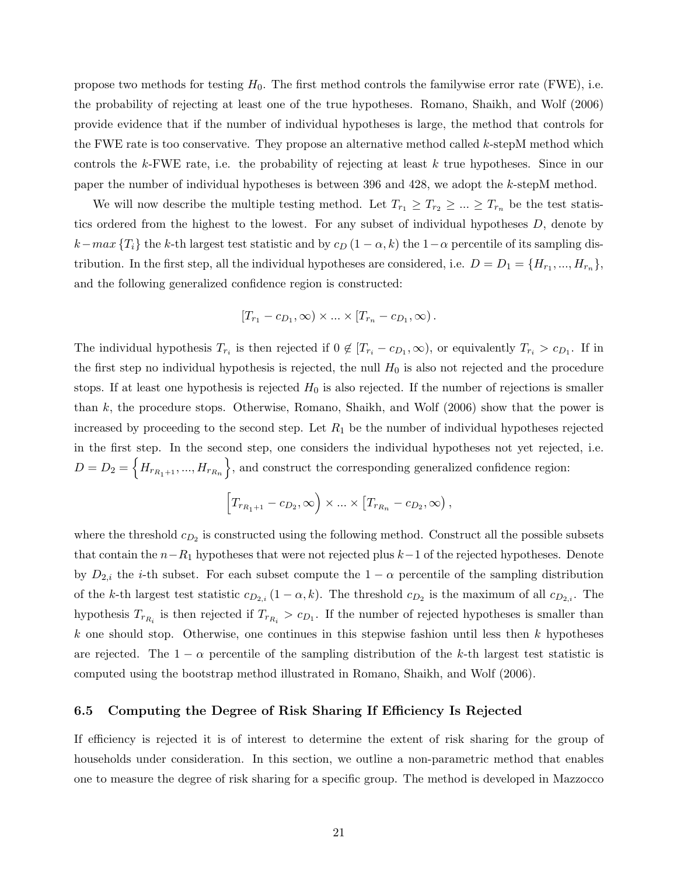propose two methods for testing  $H_0$ . The first method controls the familywise error rate (FWE), i.e. the probability of rejecting at least one of the true hypotheses. Romano, Shaikh, and Wolf (2006) provide evidence that if the number of individual hypotheses is large, the method that controls for the FWE rate is too conservative. They propose an alternative method called  $k$ -stepM method which controls the k-FWE rate, i.e. the probability of rejecting at least k true hypotheses. Since in our paper the number of individual hypotheses is between 396 and 428, we adopt the k-stepM method.

We will now describe the multiple testing method. Let  $T_{r_1} \geq T_{r_2} \geq ... \geq T_{r_n}$  be the test statistics ordered from the highest to the lowest. For any subset of individual hypotheses  $D$ , denote by  $k-max \{T_i\}$  the k-th largest test statistic and by  $c_D (1 - \alpha, k)$  the  $1-\alpha$  percentile of its sampling distribution. In the first step, all the individual hypotheses are considered, i.e.  $D = D_1 = \{H_{r_1},...,H_{r_n}\},\$ and the following generalized confidence region is constructed:

$$
[T_{r_1}-c_{D_1},\infty)\times...\times[T_{r_n}-c_{D_1},\infty).
$$

The individual hypothesis  $T_{r_i}$  is then rejected if  $0 \notin [T_{r_i} - c_{D_1}, \infty)$ , or equivalently  $T_{r_i} > c_{D_1}$ . If in the first step no individual hypothesis is rejected, the null  $H_0$  is also not rejected and the procedure stops. If at least one hypothesis is rejected  $H_0$  is also rejected. If the number of rejections is smaller than  $k$ , the procedure stops. Otherwise, Romano, Shaikh, and Wolf  $(2006)$  show that the power is increased by proceeding to the second step. Let  $R_1$  be the number of individual hypotheses rejected in the first step. In the second step, one considers the individual hypotheses not yet rejected, i.e.  $D = D_2 = \{H_{r_{R_1+1}},...,H_{r_{R_n}}\}$ , and construct the corresponding generalized confidence region:

$$
\Big[T_{r_{R_1+1}}-c_{D_2},\infty\Big)\times\ldots\times\Big[T_{r_{R_n}}-c_{D_2},\infty\Big)\,,
$$

where the threshold  $c_{D_2}$  is constructed using the following method. Construct all the possible subsets that contain the  $n-R_1$  hypotheses that were not rejected plus  $k-1$  of the rejected hypotheses. Denote by  $D_{2,i}$  the *i*-th subset. For each subset compute the  $1 - \alpha$  percentile of the sampling distribution of the k-th largest test statistic  $c_{D_{2,i}}(1-\alpha,k)$ . The threshold  $c_{D_2}$  is the maximum of all  $c_{D_{2,i}}$ . The hypothesis  $T_{r_{R_i}}$  is then rejected if  $T_{r_{R_i}} > c_{D_1}$ . If the number of rejected hypotheses is smaller than k one should stop. Otherwise, one continues in this stepwise fashion until less then k hypotheses are rejected. The  $1 - \alpha$  percentile of the sampling distribution of the k-th largest test statistic is computed using the bootstrap method illustrated in Romano, Shaikh, and Wolf (2006).

### 6.5 Computing the Degree of Risk Sharing If Efficiency Is Rejected

If efficiency is rejected it is of interest to determine the extent of risk sharing for the group of households under consideration. In this section, we outline a non-parametric method that enables one to measure the degree of risk sharing for a specific group. The method is developed in Mazzocco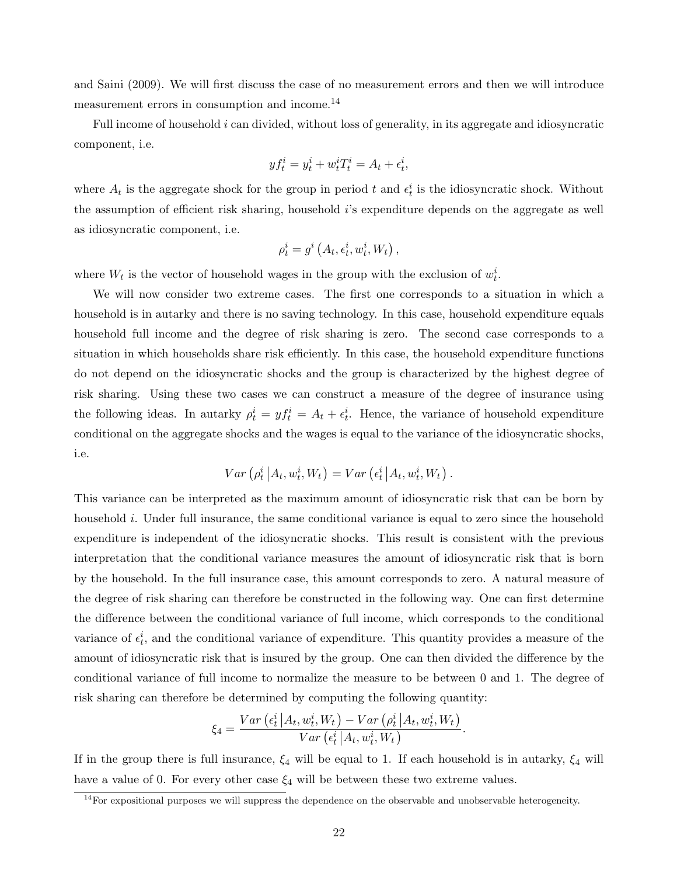and Saini (2009). We will first discuss the case of no measurement errors and then we will introduce measurement errors in consumption and income.<sup>14</sup>

Full income of household i can divided, without loss of generality, in its aggregate and idiosyncratic component, i.e.

$$
y f_t^i = y_t^i + w_t^i T_t^i = A_t + \epsilon_t^i,
$$

where  $A_t$  is the aggregate shock for the group in period t and  $\epsilon_t^i$  is the idiosyncratic shock. Without the assumption of efficient risk sharing, household  $i$ 's expenditure depends on the aggregate as well as idiosyncratic component, i.e.

$$
\rho_t^i = g^i\left(A_t, \epsilon_t^i, w_t^i, W_t\right),
$$

where  $W_t$  is the vector of household wages in the group with the exclusion of  $w_t^i$ .

We will now consider two extreme cases. The first one corresponds to a situation in which a household is in autarky and there is no saving technology. In this case, household expenditure equals household full income and the degree of risk sharing is zero. The second case corresponds to a situation in which households share risk efficiently. In this case, the household expenditure functions do not depend on the idiosyncratic shocks and the group is characterized by the highest degree of risk sharing. Using these two cases we can construct a measure of the degree of insurance using the following ideas. In autarky  $\rho_t^i = y f_t^i = A_t + \epsilon_t^i$ . Hence, the variance of household expenditure conditional on the aggregate shocks and the wages is equal to the variance of the idiosyncratic shocks, i.e.

$$
Var\left(\rho_t^i \left| A_t, w_t^i, W_t\right.\right) = Var\left(\epsilon_t^i \left| A_t, w_t^i, W_t\right.\right).
$$

This variance can be interpreted as the maximum amount of idiosyncratic risk that can be born by household i. Under full insurance, the same conditional variance is equal to zero since the household expenditure is independent of the idiosyncratic shocks. This result is consistent with the previous interpretation that the conditional variance measures the amount of idiosyncratic risk that is born by the household. In the full insurance case, this amount corresponds to zero. A natural measure of the degree of risk sharing can therefore be constructed in the following way. One can first determine the difference between the conditional variance of full income, which corresponds to the conditional variance of  $\epsilon_t^i$ , and the conditional variance of expenditure. This quantity provides a measure of the amount of idiosyncratic risk that is insured by the group. One can then divided the difference by the conditional variance of full income to normalize the measure to be between 0 and 1. The degree of risk sharing can therefore be determined by computing the following quantity:

$$
\xi_4 = \frac{Var\left(\epsilon_t^i \left| A_t, w_t^i, W_t\right.\right) - Var\left(\rho_t^i \left| A_t, w_t^i, W_t\right.\right)}{Var\left(\epsilon_t^i \left| A_t, w_t^i, W_t\right.\right)}.
$$

If in the group there is full insurance,  $\xi_4$  will be equal to 1. If each household is in autarky,  $\xi_4$  will have a value of 0. For every other case  $\xi_4$  will be between these two extreme values.

 $14$ For expositional purposes we will suppress the dependence on the observable and unobservable heterogeneity.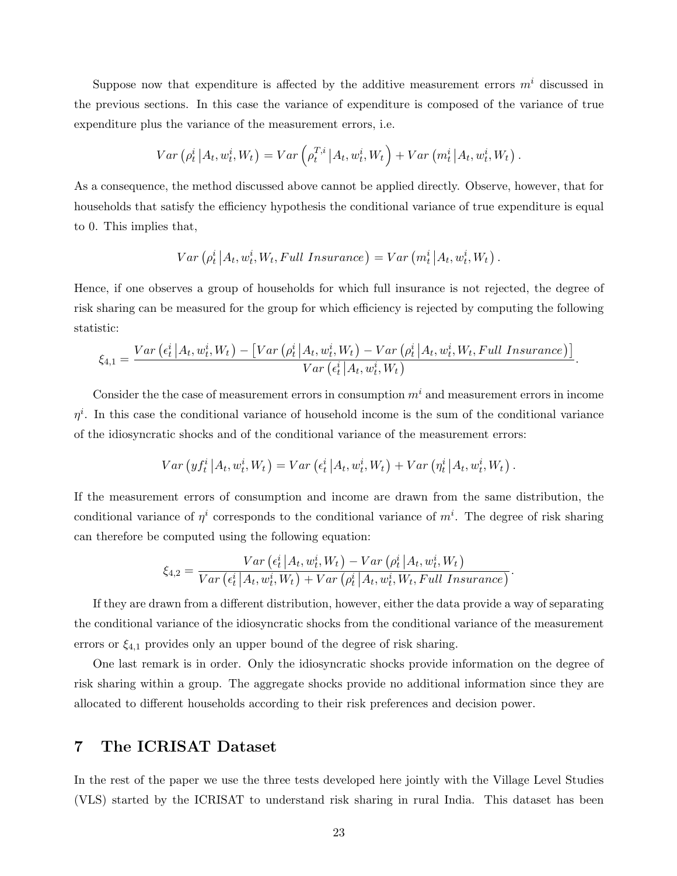Suppose now that expenditure is affected by the additive measurement errors  $m<sup>i</sup>$  discussed in the previous sections. In this case the variance of expenditure is composed of the variance of true expenditure plus the variance of the measurement errors, i.e.

$$
Var\left(\rho_t^i\left|A_t, w_t^i, W_t\right.\right) = Var\left(\rho_t^{T,i}\left|A_t, w_t^i, W_t\right.\right) + Var\left(m_t^i\left|A_t, w_t^i, W_t\right.\right).
$$

As a consequence, the method discussed above cannot be applied directly. Observe, however, that for households that satisfy the efficiency hypothesis the conditional variance of true expenditure is equal to 0. This implies that,

$$
Var\left(\rho_t^i\left|A_t, w_t^i, W_t, Full\; Insurance\right.\right) = Var\left(m_t^i\left|A_t, w_t^i, W_t\right.\right).
$$

Hence, if one observes a group of households for which full insurance is not rejected, the degree of risk sharing can be measured for the group for which efficiency is rejected by computing the following statistic:

$$
\xi_{4,1} = \frac{Var\left(\epsilon_t^i \left| A_t, w_t^i, W_t\right.\right) - \left[Var\left(\rho_t^i \left| A_t, w_t^i, W_t\right.\right) - Var\left(\rho_t^i \left| A_t, w_t^i, W_t, Full\ Insurance\right.\right)\right]}{Var\left(\epsilon_t^i \left| A_t, w_t^i, W_t\right.\right)}.
$$

Consider the the case of measurement errors in consumption  $m<sup>i</sup>$  and measurement errors in income  $\eta^i$ . In this case the conditional variance of household income is the sum of the conditional variance of the idiosyncratic shocks and of the conditional variance of the measurement errors:

$$
Var\left(yf_t^i\left|A_t, w_t^i, W_t\right.\right) = Var\left(\epsilon_t^i\left|A_t, w_t^i, W_t\right.\right) + Var\left(\eta_t^i\left|A_t, w_t^i, W_t\right.\right).
$$

If the measurement errors of consumption and income are drawn from the same distribution, the conditional variance of  $\eta^i$  corresponds to the conditional variance of  $m^i$ . The degree of risk sharing can therefore be computed using the following equation:

$$
\xi_{4,2} = \frac{Var\left(e_t^i \left| A_t, w_t^i, W_t\right.\right) - Var\left(\rho_t^i \left| A_t, w_t^i, W_t\right.\right)}{Var\left(e_t^i \left| A_t, w_t^i, W_t\right.\right) + Var\left(\rho_t^i \left| A_t, w_t^i, W_t, Full Insurance\right.\right)}.
$$

If they are drawn from a different distribution, however, either the data provide a way of separating the conditional variance of the idiosyncratic shocks from the conditional variance of the measurement errors or  $\xi_{4,1}$  provides only an upper bound of the degree of risk sharing.

One last remark is in order. Only the idiosyncratic shocks provide information on the degree of risk sharing within a group. The aggregate shocks provide no additional information since they are allocated to different households according to their risk preferences and decision power.

# 7 The ICRISAT Dataset

In the rest of the paper we use the three tests developed here jointly with the Village Level Studies (VLS) started by the ICRISAT to understand risk sharing in rural India. This dataset has been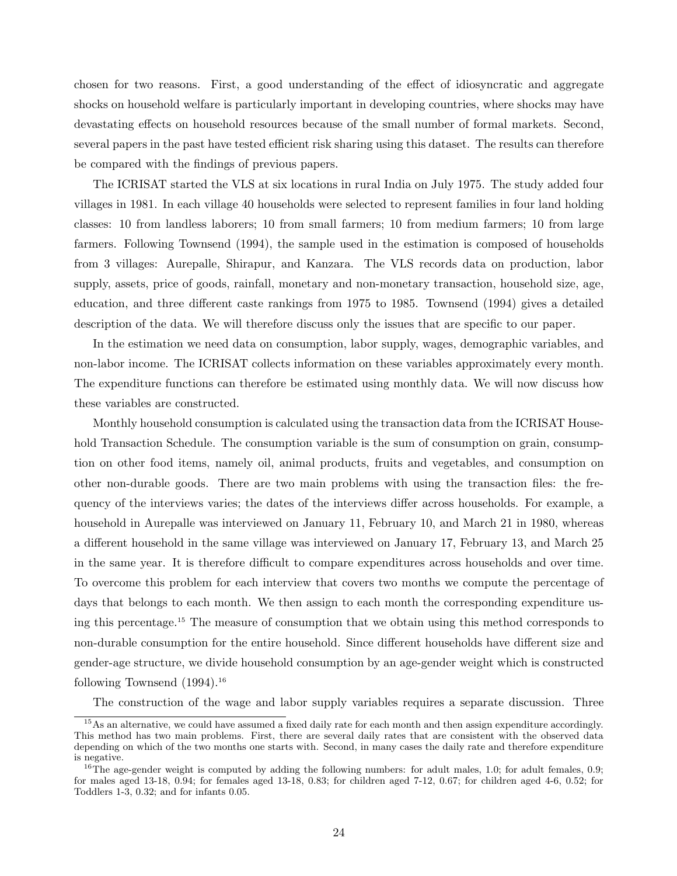chosen for two reasons. First, a good understanding of the effect of idiosyncratic and aggregate shocks on household welfare is particularly important in developing countries, where shocks may have devastating effects on household resources because of the small number of formal markets. Second, several papers in the past have tested efficient risk sharing using this dataset. The results can therefore be compared with the findings of previous papers.

The ICRISAT started the VLS at six locations in rural India on July 1975. The study added four villages in 1981. In each village 40 households were selected to represent families in four land holding classes: 10 from landless laborers; 10 from small farmers; 10 from medium farmers; 10 from large farmers. Following Townsend (1994), the sample used in the estimation is composed of households from 3 villages: Aurepalle, Shirapur, and Kanzara. The VLS records data on production, labor supply, assets, price of goods, rainfall, monetary and non-monetary transaction, household size, age, education, and three different caste rankings from 1975 to 1985. Townsend (1994) gives a detailed description of the data. We will therefore discuss only the issues that are specific to our paper.

In the estimation we need data on consumption, labor supply, wages, demographic variables, and non-labor income. The ICRISAT collects information on these variables approximately every month. The expenditure functions can therefore be estimated using monthly data. We will now discuss how these variables are constructed.

Monthly household consumption is calculated using the transaction data from the ICRISAT Household Transaction Schedule. The consumption variable is the sum of consumption on grain, consumption on other food items, namely oil, animal products, fruits and vegetables, and consumption on other non-durable goods. There are two main problems with using the transaction files: the frequency of the interviews varies; the dates of the interviews differ across households. For example, a household in Aurepalle was interviewed on January 11, February 10, and March 21 in 1980, whereas a different household in the same village was interviewed on January 17, February 13, and March 25 in the same year. It is therefore difficult to compare expenditures across households and over time. To overcome this problem for each interview that covers two months we compute the percentage of days that belongs to each month. We then assign to each month the corresponding expenditure using this percentage.<sup>15</sup> The measure of consumption that we obtain using this method corresponds to non-durable consumption for the entire household. Since different households have different size and gender-age structure, we divide household consumption by an age-gender weight which is constructed following Townsend  $(1994).$ <sup>16</sup>

The construction of the wage and labor supply variables requires a separate discussion. Three

<sup>&</sup>lt;sup>15</sup>As an alternative, we could have assumed a fixed daily rate for each month and then assign expenditure accordingly. This method has two main problems. First, there are several daily rates that are consistent with the observed data depending on which of the two months one starts with. Second, in many cases the daily rate and therefore expenditure is negative.

 $16$ The age-gender weight is computed by adding the following numbers: for adult males, 1.0; for adult females, 0.9; for males aged 13-18, 0.94; for females aged 13-18, 0.83; for children aged 7-12, 0.67; for children aged 4-6, 0.52; for Toddlers 1-3, 0.32; and for infants 0.05.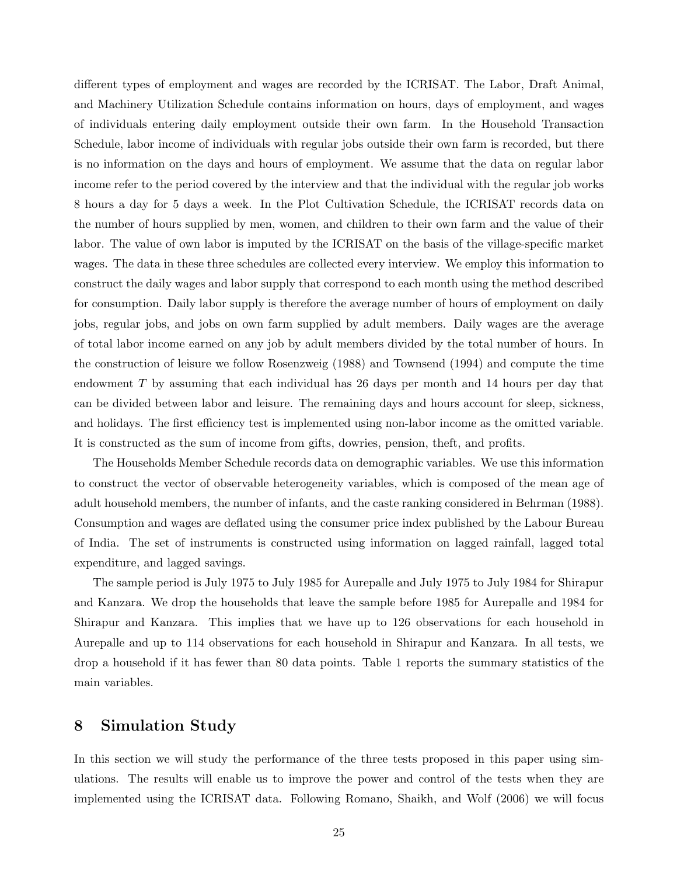different types of employment and wages are recorded by the ICRISAT. The Labor, Draft Animal, and Machinery Utilization Schedule contains information on hours, days of employment, and wages of individuals entering daily employment outside their own farm. In the Household Transaction Schedule, labor income of individuals with regular jobs outside their own farm is recorded, but there is no information on the days and hours of employment. We assume that the data on regular labor income refer to the period covered by the interview and that the individual with the regular job works 8 hours a day for 5 days a week. In the Plot Cultivation Schedule, the ICRISAT records data on the number of hours supplied by men, women, and children to their own farm and the value of their labor. The value of own labor is imputed by the ICRISAT on the basis of the village-specific market wages. The data in these three schedules are collected every interview. We employ this information to construct the daily wages and labor supply that correspond to each month using the method described for consumption. Daily labor supply is therefore the average number of hours of employment on daily jobs, regular jobs, and jobs on own farm supplied by adult members. Daily wages are the average of total labor income earned on any job by adult members divided by the total number of hours. In the construction of leisure we follow Rosenzweig (1988) and Townsend (1994) and compute the time endowment T by assuming that each individual has 26 days per month and 14 hours per day that can be divided between labor and leisure. The remaining days and hours account for sleep, sickness, and holidays. The first efficiency test is implemented using non-labor income as the omitted variable. It is constructed as the sum of income from gifts, dowries, pension, theft, and profits.

The Households Member Schedule records data on demographic variables. We use this information to construct the vector of observable heterogeneity variables, which is composed of the mean age of adult household members, the number of infants, and the caste ranking considered in Behrman (1988). Consumption and wages are deflated using the consumer price index published by the Labour Bureau of India. The set of instruments is constructed using information on lagged rainfall, lagged total expenditure, and lagged savings.

The sample period is July 1975 to July 1985 for Aurepalle and July 1975 to July 1984 for Shirapur and Kanzara. We drop the households that leave the sample before 1985 for Aurepalle and 1984 for Shirapur and Kanzara. This implies that we have up to 126 observations for each household in Aurepalle and up to 114 observations for each household in Shirapur and Kanzara. In all tests, we drop a household if it has fewer than 80 data points. Table 1 reports the summary statistics of the main variables.

# 8 Simulation Study

In this section we will study the performance of the three tests proposed in this paper using simulations. The results will enable us to improve the power and control of the tests when they are implemented using the ICRISAT data. Following Romano, Shaikh, and Wolf (2006) we will focus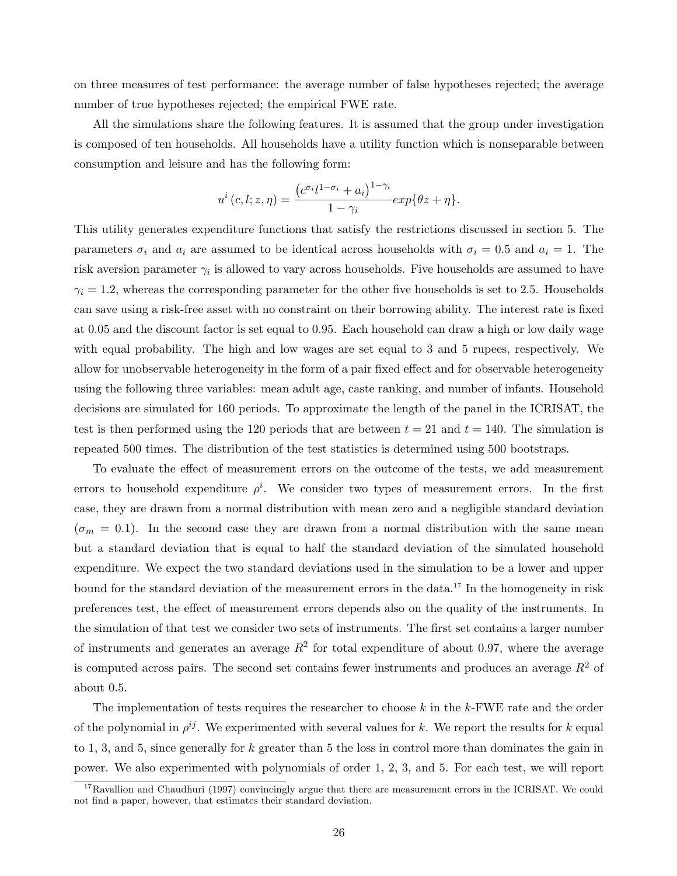on three measures of test performance: the average number of false hypotheses rejected; the average number of true hypotheses rejected; the empirical FWE rate.

All the simulations share the following features. It is assumed that the group under investigation is composed of ten households. All households have a utility function which is nonseparable between consumption and leisure and has the following form:

$$
u^{i}(c, l; z, \eta) = \frac{\left(c^{\sigma_i}l^{1-\sigma_i} + a_i\right)^{1-\gamma_i}}{1-\gamma_i}exp\{\theta z + \eta\}.
$$

This utility generates expenditure functions that satisfy the restrictions discussed in section 5. The parameters  $\sigma_i$  and  $a_i$  are assumed to be identical across households with  $\sigma_i = 0.5$  and  $a_i = 1$ . The risk aversion parameter  $\gamma_i$  is allowed to vary across households. Five households are assumed to have  $\gamma_i = 1.2$ , whereas the corresponding parameter for the other five households is set to 2.5. Households can save using a risk-free asset with no constraint on their borrowing ability. The interest rate is fixed at 0.05 and the discount factor is set equal to 0.95. Each household can draw a high or low daily wage with equal probability. The high and low wages are set equal to 3 and 5 rupees, respectively. We allow for unobservable heterogeneity in the form of a pair fixed effect and for observable heterogeneity using the following three variables: mean adult age, caste ranking, and number of infants. Household decisions are simulated for 160 periods. To approximate the length of the panel in the ICRISAT, the test is then performed using the 120 periods that are between  $t = 21$  and  $t = 140$ . The simulation is repeated 500 times. The distribution of the test statistics is determined using 500 bootstraps.

To evaluate the effect of measurement errors on the outcome of the tests, we add measurement errors to household expenditure  $\rho^i$ . We consider two types of measurement errors. In the first case, they are drawn from a normal distribution with mean zero and a negligible standard deviation  $(\sigma_m = 0.1)$ . In the second case they are drawn from a normal distribution with the same mean but a standard deviation that is equal to half the standard deviation of the simulated household expenditure. We expect the two standard deviations used in the simulation to be a lower and upper bound for the standard deviation of the measurement errors in the data.<sup>17</sup> In the homogeneity in risk preferences test, the effect of measurement errors depends also on the quality of the instruments. In the simulation of that test we consider two sets of instruments. The first set contains a larger number of instruments and generates an average  $R^2$  for total expenditure of about 0.97, where the average is computed across pairs. The second set contains fewer instruments and produces an average  $R^2$  of about 0.5.

The implementation of tests requires the researcher to choose  $k$  in the  $k$ -FWE rate and the order of the polynomial in  $\rho^{ij}$ . We experimented with several values for k. We report the results for k equal to 1, 3, and 5, since generally for  $k$  greater than 5 the loss in control more than dominates the gain in power. We also experimented with polynomials of order 1, 2, 3, and 5. For each test, we will report

<sup>&</sup>lt;sup>17</sup>Ravallion and Chaudhuri (1997) convincingly argue that there are measurement errors in the ICRISAT. We could not find a paper, however, that estimates their standard deviation.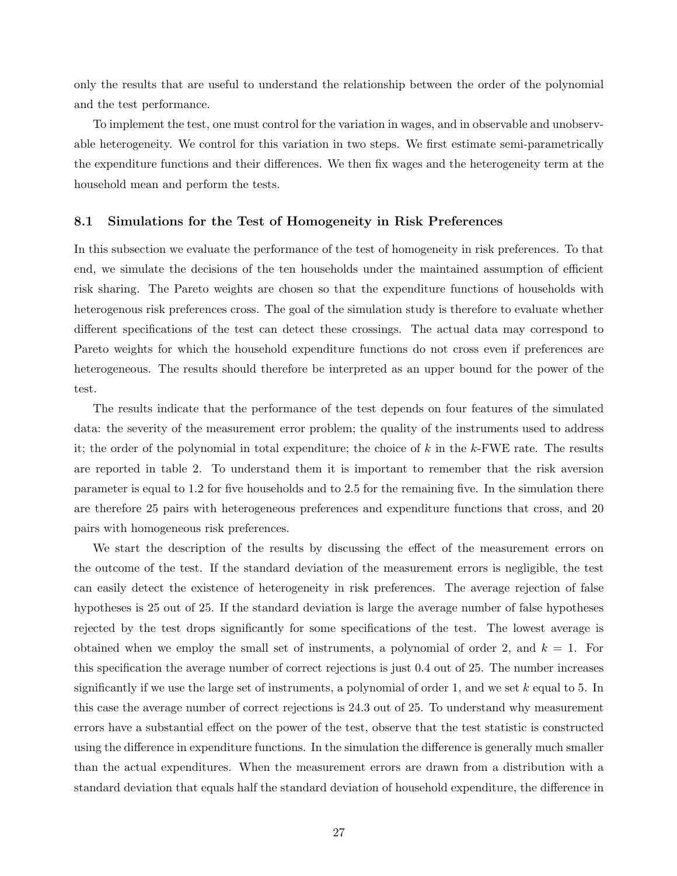only the results that are useful to understand the relationship between the order of the polynomial and the test performance.

To implement the test, one must control for the variation in wages, and in observable and unobservable heterogeneity. We control for this variation in two steps. We first estimate semi-parametrically the expenditure functions and their differences. We then fix wages and the heterogeneity term at the household mean and perform the tests.

#### 8.1 Simulations for the Test of Homogeneity in Risk Preferences

In this subsection we evaluate the performance of the test of homogeneity in risk preferences. To that end, we simulate the decisions of the ten households under the maintained assumption of efficient risk sharing. The Pareto weights are chosen so that the expenditure functions of households with heterogenous risk preferences cross. The goal of the simulation study is therefore to evaluate whether different specifications of the test can detect these crossings. The actual data may correspond to Pareto weights for which the household expenditure functions do not cross even if preferences are heterogeneous. The results should therefore be interpreted as an upper bound for the power of the test.

The results indicate that the performance of the test depends on four features of the simulated data: the severity of the measurement error problem; the quality of the instruments used to address it; the order of the polynomial in total expenditure; the choice of  $k$  in the  $k$ -FWE rate. The results are reported in table 2. To understand them it is important to remember that the risk aversion parameter is equal to 1.2 for five households and to 2.5 for the remaining five. In the simulation there are therefore 25 pairs with heterogeneous preferences and expenditure functions that cross, and 20 pairs with homogeneous risk preferences.

We start the description of the results by discussing the effect of the measurement errors on the outcome of the test. If the standard deviation of the measurement errors is negligible, the test can easily detect the existence of heterogeneity in risk preferences. The average rejection of false hypotheses is 25 out of 25. If the standard deviation is large the average number of false hypotheses rejected by the test drops significantly for some specifications of the test. The lowest average is obtained when we employ the small set of instruments, a polynomial of order 2, and  $k = 1$ . For this specification the average number of correct rejections is just 0.4 out of 25. The number increases significantly if we use the large set of instruments, a polynomial of order 1, and we set  $k$  equal to 5. In this case the average number of correct rejections is 24.3 out of 25. To understand why measurement errors have a substantial effect on the power of the test, observe that the test statistic is constructed using the difference in expenditure functions. In the simulation the difference is generally much smaller than the actual expenditures. When the measurement errors are drawn from a distribution with a standard deviation that equals half the standard deviation of household expenditure, the difference in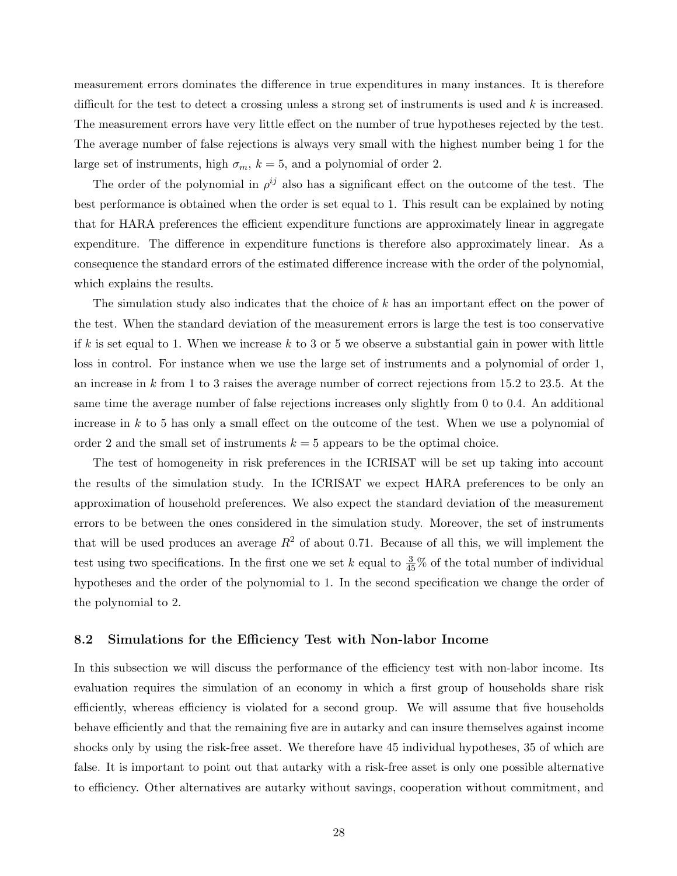measurement errors dominates the difference in true expenditures in many instances. It is therefore difficult for the test to detect a crossing unless a strong set of instruments is used and k is increased. The measurement errors have very little effect on the number of true hypotheses rejected by the test. The average number of false rejections is always very small with the highest number being 1 for the large set of instruments, high  $\sigma_m$ ,  $k = 5$ , and a polynomial of order 2.

The order of the polynomial in  $\rho^{ij}$  also has a significant effect on the outcome of the test. The best performance is obtained when the order is set equal to 1. This result can be explained by noting that for HARA preferences the efficient expenditure functions are approximately linear in aggregate expenditure. The difference in expenditure functions is therefore also approximately linear. As a consequence the standard errors of the estimated difference increase with the order of the polynomial, which explains the results.

The simulation study also indicates that the choice of k has an important effect on the power of the test. When the standard deviation of the measurement errors is large the test is too conservative if k is set equal to 1. When we increase k to 3 or 5 we observe a substantial gain in power with little loss in control. For instance when we use the large set of instruments and a polynomial of order 1, an increase in k from 1 to 3 raises the average number of correct rejections from 15.2 to 23.5. At the same time the average number of false rejections increases only slightly from 0 to 0.4. An additional increase in k to 5 has only a small effect on the outcome of the test. When we use a polynomial of order 2 and the small set of instruments  $k = 5$  appears to be the optimal choice.

The test of homogeneity in risk preferences in the ICRISAT will be set up taking into account the results of the simulation study. In the ICRISAT we expect HARA preferences to be only an approximation of household preferences. We also expect the standard deviation of the measurement errors to be between the ones considered in the simulation study. Moreover, the set of instruments that will be used produces an average  $R^2$  of about 0.71. Because of all this, we will implement the test using two specifications. In the first one we set k equal to  $\frac{3}{45}\%$  of the total number of individual hypotheses and the order of the polynomial to 1. In the second specification we change the order of the polynomial to 2.

#### 8.2 Simulations for the Efficiency Test with Non-labor Income

In this subsection we will discuss the performance of the efficiency test with non-labor income. Its evaluation requires the simulation of an economy in which a first group of households share risk efficiently, whereas efficiency is violated for a second group. We will assume that five households behave efficiently and that the remaining five are in autarky and can insure themselves against income shocks only by using the risk-free asset. We therefore have 45 individual hypotheses, 35 of which are false. It is important to point out that autarky with a risk-free asset is only one possible alternative to efficiency. Other alternatives are autarky without savings, cooperation without commitment, and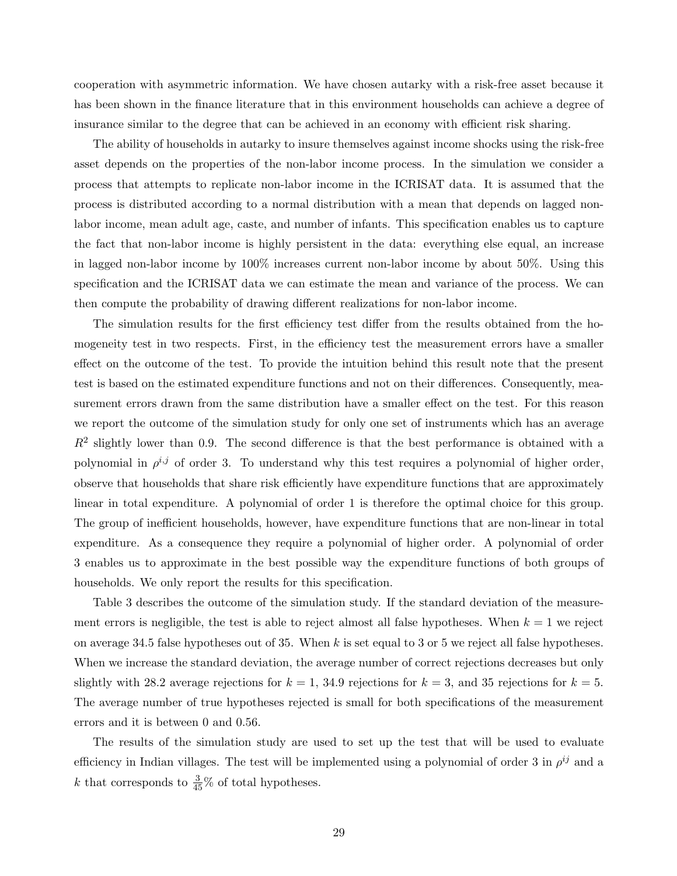cooperation with asymmetric information. We have chosen autarky with a risk-free asset because it has been shown in the finance literature that in this environment households can achieve a degree of insurance similar to the degree that can be achieved in an economy with efficient risk sharing.

The ability of households in autarky to insure themselves against income shocks using the risk-free asset depends on the properties of the non-labor income process. In the simulation we consider a process that attempts to replicate non-labor income in the ICRISAT data. It is assumed that the process is distributed according to a normal distribution with a mean that depends on lagged nonlabor income, mean adult age, caste, and number of infants. This specification enables us to capture the fact that non-labor income is highly persistent in the data: everything else equal, an increase in lagged non-labor income by 100% increases current non-labor income by about 50%. Using this specification and the ICRISAT data we can estimate the mean and variance of the process. We can then compute the probability of drawing different realizations for non-labor income.

The simulation results for the first efficiency test differ from the results obtained from the homogeneity test in two respects. First, in the efficiency test the measurement errors have a smaller effect on the outcome of the test. To provide the intuition behind this result note that the present test is based on the estimated expenditure functions and not on their differences. Consequently, measurement errors drawn from the same distribution have a smaller effect on the test. For this reason we report the outcome of the simulation study for only one set of instruments which has an average  $R<sup>2</sup>$  slightly lower than 0.9. The second difference is that the best performance is obtained with a polynomial in  $\rho^{i,j}$  of order 3. To understand why this test requires a polynomial of higher order, observe that households that share risk efficiently have expenditure functions that are approximately linear in total expenditure. A polynomial of order 1 is therefore the optimal choice for this group. The group of inefficient households, however, have expenditure functions that are non-linear in total expenditure. As a consequence they require a polynomial of higher order. A polynomial of order 3 enables us to approximate in the best possible way the expenditure functions of both groups of households. We only report the results for this specification.

Table 3 describes the outcome of the simulation study. If the standard deviation of the measurement errors is negligible, the test is able to reject almost all false hypotheses. When  $k = 1$  we reject on average 34.5 false hypotheses out of 35. When k is set equal to 3 or 5 we reject all false hypotheses. When we increase the standard deviation, the average number of correct rejections decreases but only slightly with 28.2 average rejections for  $k = 1$ , 34.9 rejections for  $k = 3$ , and 35 rejections for  $k = 5$ . The average number of true hypotheses rejected is small for both specifications of the measurement errors and it is between 0 and 0.56.

The results of the simulation study are used to set up the test that will be used to evaluate efficiency in Indian villages. The test will be implemented using a polynomial of order 3 in  $\rho^{ij}$  and a k that corresponds to  $\frac{3}{45}\%$  of total hypotheses.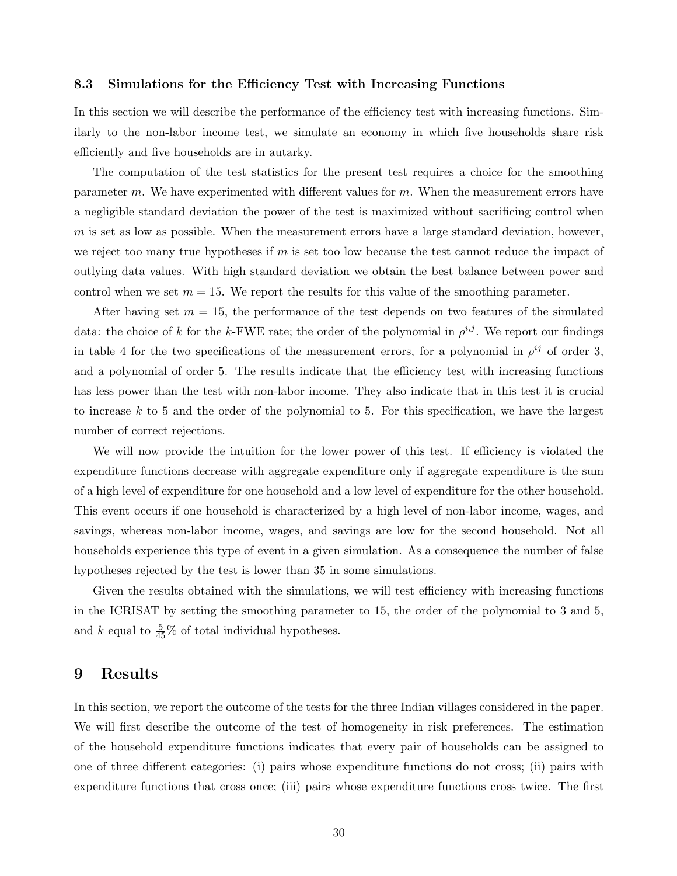#### 8.3 Simulations for the Efficiency Test with Increasing Functions

In this section we will describe the performance of the efficiency test with increasing functions. Similarly to the non-labor income test, we simulate an economy in which five households share risk efficiently and five households are in autarky.

The computation of the test statistics for the present test requires a choice for the smoothing parameter m. We have experimented with different values for  $m$ . When the measurement errors have a negligible standard deviation the power of the test is maximized without sacrificing control when  $m$  is set as low as possible. When the measurement errors have a large standard deviation, however, we reject too many true hypotheses if  $m$  is set too low because the test cannot reduce the impact of outlying data values. With high standard deviation we obtain the best balance between power and control when we set  $m = 15$ . We report the results for this value of the smoothing parameter.

After having set  $m = 15$ , the performance of the test depends on two features of the simulated data: the choice of k for the k-FWE rate; the order of the polynomial in  $\rho^{i,j}$ . We report our findings in table 4 for the two specifications of the measurement errors, for a polynomial in  $\rho^{ij}$  of order 3, and a polynomial of order 5. The results indicate that the efficiency test with increasing functions has less power than the test with non-labor income. They also indicate that in this test it is crucial to increase k to 5 and the order of the polynomial to 5. For this specification, we have the largest number of correct rejections.

We will now provide the intuition for the lower power of this test. If efficiency is violated the expenditure functions decrease with aggregate expenditure only if aggregate expenditure is the sum of a high level of expenditure for one household and a low level of expenditure for the other household. This event occurs if one household is characterized by a high level of non-labor income, wages, and savings, whereas non-labor income, wages, and savings are low for the second household. Not all households experience this type of event in a given simulation. As a consequence the number of false hypotheses rejected by the test is lower than 35 in some simulations.

Given the results obtained with the simulations, we will test efficiency with increasing functions in the ICRISAT by setting the smoothing parameter to 15, the order of the polynomial to 3 and 5, and k equal to  $\frac{5}{45}$ % of total individual hypotheses.

### 9 Results

In this section, we report the outcome of the tests for the three Indian villages considered in the paper. We will first describe the outcome of the test of homogeneity in risk preferences. The estimation of the household expenditure functions indicates that every pair of households can be assigned to one of three different categories: (i) pairs whose expenditure functions do not cross; (ii) pairs with expenditure functions that cross once; (iii) pairs whose expenditure functions cross twice. The first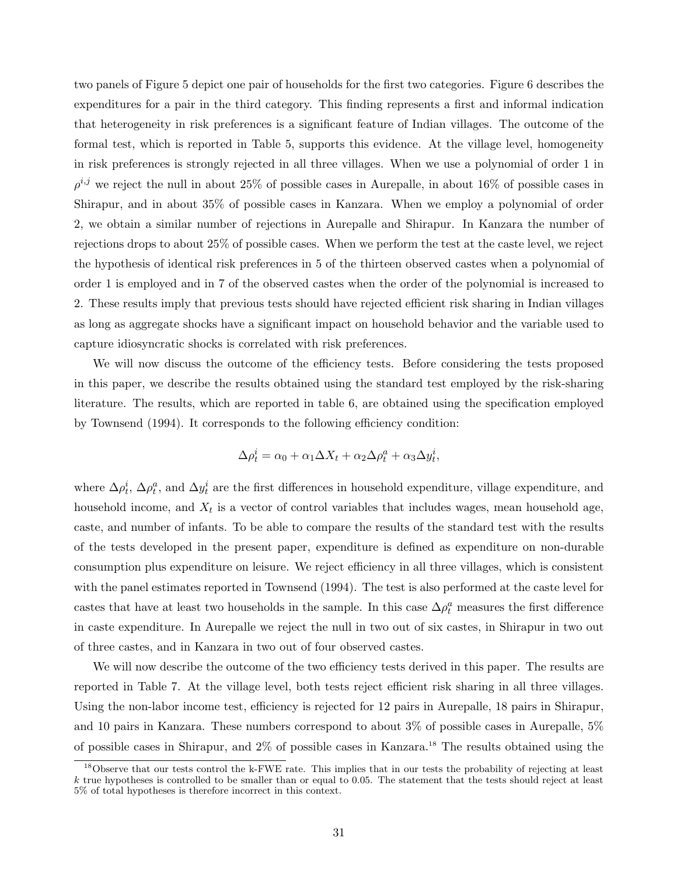two panels of Figure 5 depict one pair of households for the first two categories. Figure 6 describes the expenditures for a pair in the third category. This finding represents a first and informal indication that heterogeneity in risk preferences is a significant feature of Indian villages. The outcome of the formal test, which is reported in Table 5, supports this evidence. At the village level, homogeneity in risk preferences is strongly rejected in all three villages. When we use a polynomial of order 1 in  $\rho^{i,j}$  we reject the null in about 25% of possible cases in Aurepalle, in about 16% of possible cases in Shirapur, and in about 35% of possible cases in Kanzara. When we employ a polynomial of order 2, we obtain a similar number of rejections in Aurepalle and Shirapur. In Kanzara the number of rejections drops to about 25% of possible cases. When we perform the test at the caste level, we reject the hypothesis of identical risk preferences in 5 of the thirteen observed castes when a polynomial of order 1 is employed and in 7 of the observed castes when the order of the polynomial is increased to 2. These results imply that previous tests should have rejected efficient risk sharing in Indian villages as long as aggregate shocks have a significant impact on household behavior and the variable used to capture idiosyncratic shocks is correlated with risk preferences.

We will now discuss the outcome of the efficiency tests. Before considering the tests proposed in this paper, we describe the results obtained using the standard test employed by the risk-sharing literature. The results, which are reported in table 6, are obtained using the specification employed by Townsend (1994). It corresponds to the following efficiency condition:

$$
\Delta \rho_t^i = \alpha_0 + \alpha_1 \Delta X_t + \alpha_2 \Delta \rho_t^a + \alpha_3 \Delta y_t^i,
$$

where  $\Delta \rho_t^i$ ,  $\Delta \rho_t^a$ , and  $\Delta y_t^i$  are the first differences in household expenditure, village expenditure, and household income, and  $X_t$  is a vector of control variables that includes wages, mean household age, caste, and number of infants. To be able to compare the results of the standard test with the results of the tests developed in the present paper, expenditure is defined as expenditure on non-durable consumption plus expenditure on leisure. We reject efficiency in all three villages, which is consistent with the panel estimates reported in Townsend (1994). The test is also performed at the caste level for castes that have at least two households in the sample. In this case  $\Delta \rho_t^a$  measures the first difference in caste expenditure. In Aurepalle we reject the null in two out of six castes, in Shirapur in two out of three castes, and in Kanzara in two out of four observed castes.

We will now describe the outcome of the two efficiency tests derived in this paper. The results are reported in Table 7. At the village level, both tests reject efficient risk sharing in all three villages. Using the non-labor income test, efficiency is rejected for 12 pairs in Aurepalle, 18 pairs in Shirapur, and 10 pairs in Kanzara. These numbers correspond to about 3% of possible cases in Aurepalle, 5% of possible cases in Shirapur, and 2% of possible cases in Kanzara.<sup>18</sup> The results obtained using the

<sup>&</sup>lt;sup>18</sup>Observe that our tests control the k-FWE rate. This implies that in our tests the probability of rejecting at least  $k$  true hypotheses is controlled to be smaller than or equal to 0.05. The statement that the tests should reject at least 5% of total hypotheses is therefore incorrect in this context.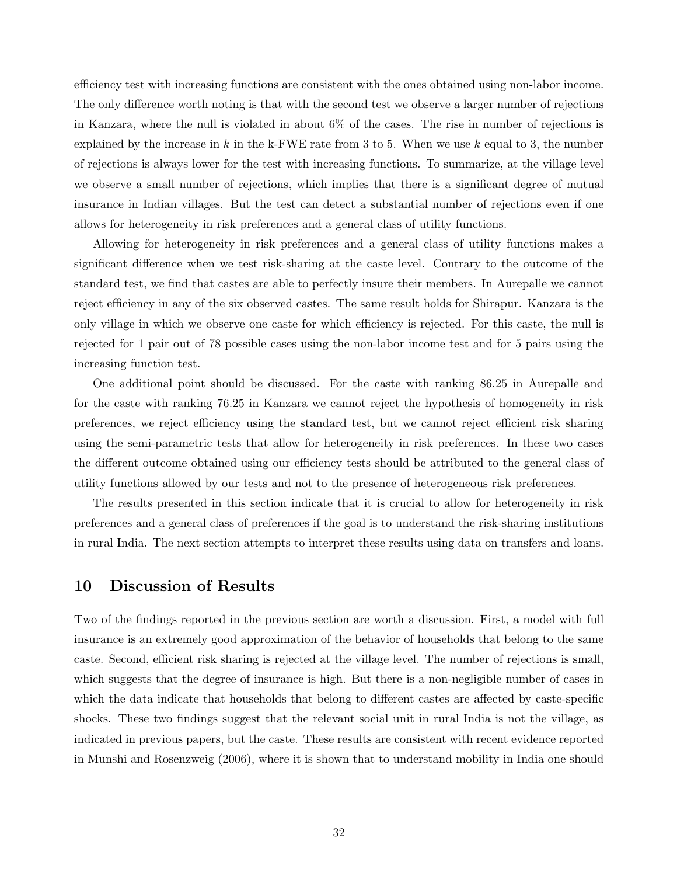efficiency test with increasing functions are consistent with the ones obtained using non-labor income. The only difference worth noting is that with the second test we observe a larger number of rejections in Kanzara, where the null is violated in about 6% of the cases. The rise in number of rejections is explained by the increase in k in the k-FWE rate from 3 to 5. When we use k equal to 3, the number of rejections is always lower for the test with increasing functions. To summarize, at the village level we observe a small number of rejections, which implies that there is a significant degree of mutual insurance in Indian villages. But the test can detect a substantial number of rejections even if one allows for heterogeneity in risk preferences and a general class of utility functions.

Allowing for heterogeneity in risk preferences and a general class of utility functions makes a significant difference when we test risk-sharing at the caste level. Contrary to the outcome of the standard test, we find that castes are able to perfectly insure their members. In Aurepalle we cannot reject efficiency in any of the six observed castes. The same result holds for Shirapur. Kanzara is the only village in which we observe one caste for which efficiency is rejected. For this caste, the null is rejected for 1 pair out of 78 possible cases using the non-labor income test and for 5 pairs using the increasing function test.

One additional point should be discussed. For the caste with ranking 86.25 in Aurepalle and for the caste with ranking 76.25 in Kanzara we cannot reject the hypothesis of homogeneity in risk preferences, we reject efficiency using the standard test, but we cannot reject efficient risk sharing using the semi-parametric tests that allow for heterogeneity in risk preferences. In these two cases the different outcome obtained using our efficiency tests should be attributed to the general class of utility functions allowed by our tests and not to the presence of heterogeneous risk preferences.

The results presented in this section indicate that it is crucial to allow for heterogeneity in risk preferences and a general class of preferences if the goal is to understand the risk-sharing institutions in rural India. The next section attempts to interpret these results using data on transfers and loans.

### 10 Discussion of Results

Two of the findings reported in the previous section are worth a discussion. First, a model with full insurance is an extremely good approximation of the behavior of households that belong to the same caste. Second, efficient risk sharing is rejected at the village level. The number of rejections is small, which suggests that the degree of insurance is high. But there is a non-negligible number of cases in which the data indicate that households that belong to different castes are affected by caste-specific shocks. These two findings suggest that the relevant social unit in rural India is not the village, as indicated in previous papers, but the caste. These results are consistent with recent evidence reported in Munshi and Rosenzweig (2006), where it is shown that to understand mobility in India one should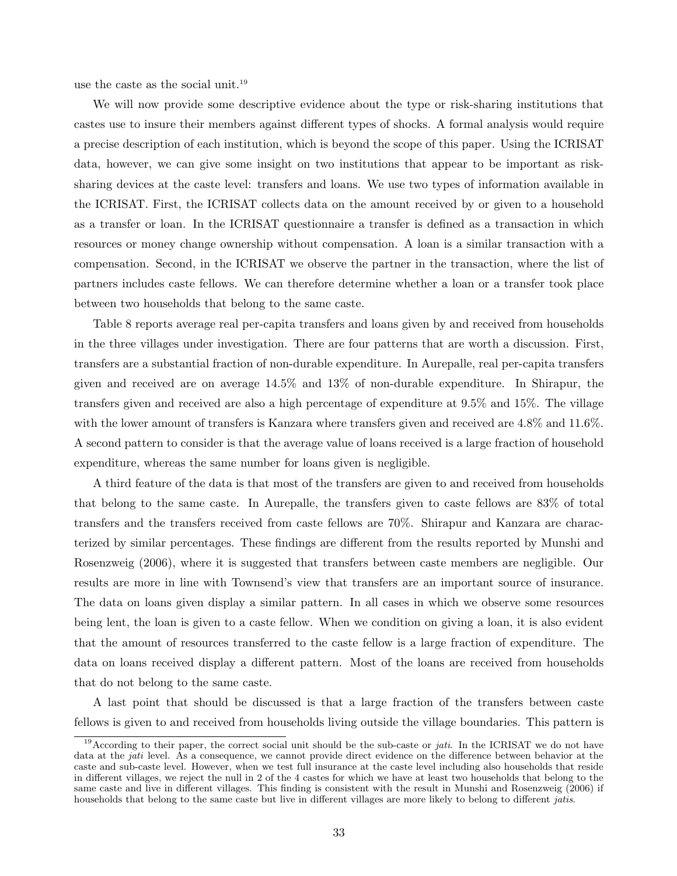use the caste as the social unit.<sup>19</sup>

We will now provide some descriptive evidence about the type or risk-sharing institutions that castes use to insure their members against different types of shocks. A formal analysis would require a precise description of each institution, which is beyond the scope of this paper. Using the ICRISAT data, however, we can give some insight on two institutions that appear to be important as risksharing devices at the caste level: transfers and loans. We use two types of information available in the ICRISAT. First, the ICRISAT collects data on the amount received by or given to a household as a transfer or loan. In the ICRISAT questionnaire a transfer is defined as a transaction in which resources or money change ownership without compensation. A loan is a similar transaction with a compensation. Second, in the ICRISAT we observe the partner in the transaction, where the list of partners includes caste fellows. We can therefore determine whether a loan or a transfer took place between two households that belong to the same caste.

Table 8 reports average real per-capita transfers and loans given by and received from households in the three villages under investigation. There are four patterns that are worth a discussion. First, transfers are a substantial fraction of non-durable expenditure. In Aurepalle, real per-capita transfers given and received are on average 14.5% and 13% of non-durable expenditure. In Shirapur, the transfers given and received are also a high percentage of expenditure at 9.5% and 15%. The village with the lower amount of transfers is Kanzara where transfers given and received are 4.8% and 11.6%. A second pattern to consider is that the average value of loans received is a large fraction of household expenditure, whereas the same number for loans given is negligible.

A third feature of the data is that most of the transfers are given to and received from households that belong to the same caste. In Aurepalle, the transfers given to caste fellows are 83% of total transfers and the transfers received from caste fellows are 70%. Shirapur and Kanzara are characterized by similar percentages. These findings are different from the results reported by Munshi and Rosenzweig (2006), where it is suggested that transfers between caste members are negligible. Our results are more in line with Townsend's view that transfers are an important source of insurance. The data on loans given display a similar pattern. In all cases in which we observe some resources being lent, the loan is given to a caste fellow. When we condition on giving a loan, it is also evident that the amount of resources transferred to the caste fellow is a large fraction of expenditure. The data on loans received display a different pattern. Most of the loans are received from households that do not belong to the same caste.

A last point that should be discussed is that a large fraction of the transfers between caste fellows is given to and received from households living outside the village boundaries. This pattern is

<sup>&</sup>lt;sup>19</sup>According to their paper, the correct social unit should be the sub-caste or *jati*. In the ICRISAT we do not have data at the *jati* level. As a consequence, we cannot provide direct evidence on the difference between behavior at the caste and sub-caste level. However, when we test full insurance at the caste level including also households that reside in different villages, we reject the null in 2 of the 4 castes for which we have at least two households that belong to the same caste and live in different villages. This finding is consistent with the result in Munshi and Rosenzweig (2006) if households that belong to the same caste but live in different villages are more likely to belong to different *jatis*.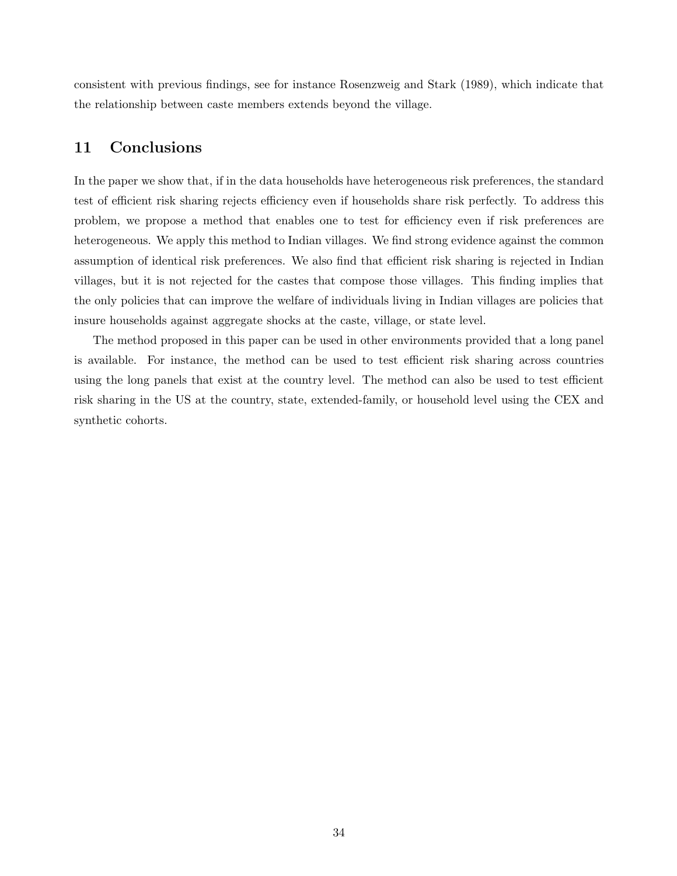consistent with previous findings, see for instance Rosenzweig and Stark (1989), which indicate that the relationship between caste members extends beyond the village.

# 11 Conclusions

In the paper we show that, if in the data households have heterogeneous risk preferences, the standard test of efficient risk sharing rejects efficiency even if households share risk perfectly. To address this problem, we propose a method that enables one to test for efficiency even if risk preferences are heterogeneous. We apply this method to Indian villages. We find strong evidence against the common assumption of identical risk preferences. We also find that efficient risk sharing is rejected in Indian villages, but it is not rejected for the castes that compose those villages. This finding implies that the only policies that can improve the welfare of individuals living in Indian villages are policies that insure households against aggregate shocks at the caste, village, or state level.

The method proposed in this paper can be used in other environments provided that a long panel is available. For instance, the method can be used to test efficient risk sharing across countries using the long panels that exist at the country level. The method can also be used to test efficient risk sharing in the US at the country, state, extended-family, or household level using the CEX and synthetic cohorts.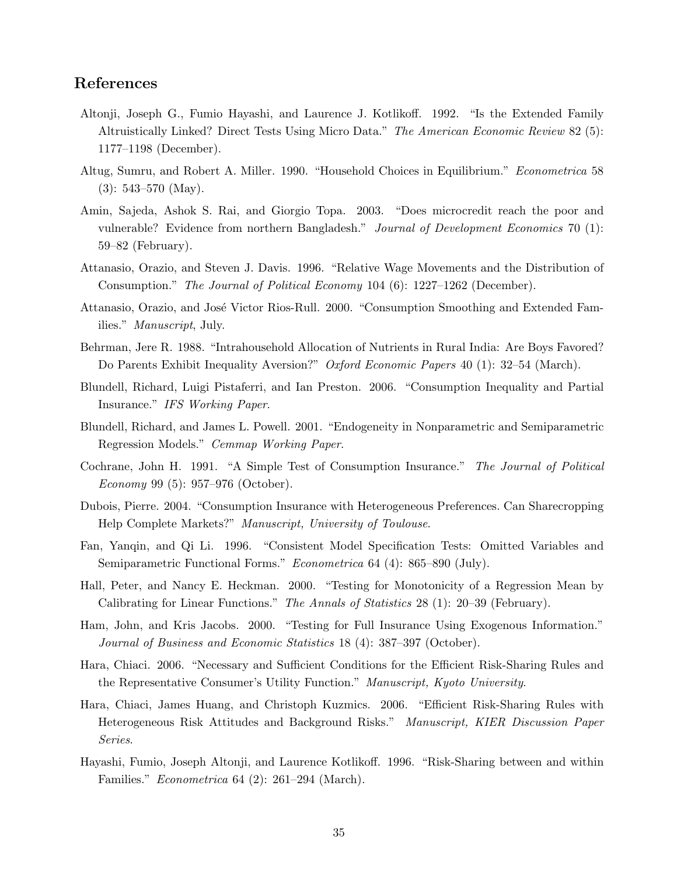# References

- Altonji, Joseph G., Fumio Hayashi, and Laurence J. Kotlikoff. 1992. "Is the Extended Family Altruistically Linked? Direct Tests Using Micro Data." The American Economic Review 82 (5): 1177–1198 (December).
- Altug, Sumru, and Robert A. Miller. 1990. "Household Choices in Equilibrium." Econometrica 58  $(3): 543-570$  (May).
- Amin, Sajeda, Ashok S. Rai, and Giorgio Topa. 2003. "Does microcredit reach the poor and vulnerable? Evidence from northern Bangladesh." Journal of Development Economics 70 (1): 59–82 (February).
- Attanasio, Orazio, and Steven J. Davis. 1996. "Relative Wage Movements and the Distribution of Consumption." The Journal of Political Economy 104 (6): 1227–1262 (December).
- Attanasio, Orazio, and José Victor Rios-Rull. 2000. "Consumption Smoothing and Extended Families." Manuscript, July.
- Behrman, Jere R. 1988. "Intrahousehold Allocation of Nutrients in Rural India: Are Boys Favored? Do Parents Exhibit Inequality Aversion?" Oxford Economic Papers 40 (1): 32–54 (March).
- Blundell, Richard, Luigi Pistaferri, and Ian Preston. 2006. "Consumption Inequality and Partial Insurance." IFS Working Paper.
- Blundell, Richard, and James L. Powell. 2001. "Endogeneity in Nonparametric and Semiparametric Regression Models." Cemmap Working Paper.
- Cochrane, John H. 1991. "A Simple Test of Consumption Insurance." The Journal of Political Economy 99 (5): 957–976 (October).
- Dubois, Pierre. 2004. "Consumption Insurance with Heterogeneous Preferences. Can Sharecropping Help Complete Markets?" Manuscript, University of Toulouse.
- Fan, Yanqin, and Qi Li. 1996. "Consistent Model Specification Tests: Omitted Variables and Semiparametric Functional Forms." Econometrica 64 (4): 865–890 (July).
- Hall, Peter, and Nancy E. Heckman. 2000. "Testing for Monotonicity of a Regression Mean by Calibrating for Linear Functions." The Annals of Statistics 28 (1): 20–39 (February).
- Ham, John, and Kris Jacobs. 2000. "Testing for Full Insurance Using Exogenous Information." Journal of Business and Economic Statistics 18 (4): 387–397 (October).
- Hara, Chiaci. 2006. "Necessary and Sufficient Conditions for the Efficient Risk-Sharing Rules and the Representative Consumer's Utility Function." Manuscript, Kyoto University.
- Hara, Chiaci, James Huang, and Christoph Kuzmics. 2006. "Efficient Risk-Sharing Rules with Heterogeneous Risk Attitudes and Background Risks." Manuscript, KIER Discussion Paper Series.
- Hayashi, Fumio, Joseph Altonji, and Laurence Kotlikoff. 1996. "Risk-Sharing between and within Families." Econometrica 64 (2): 261–294 (March).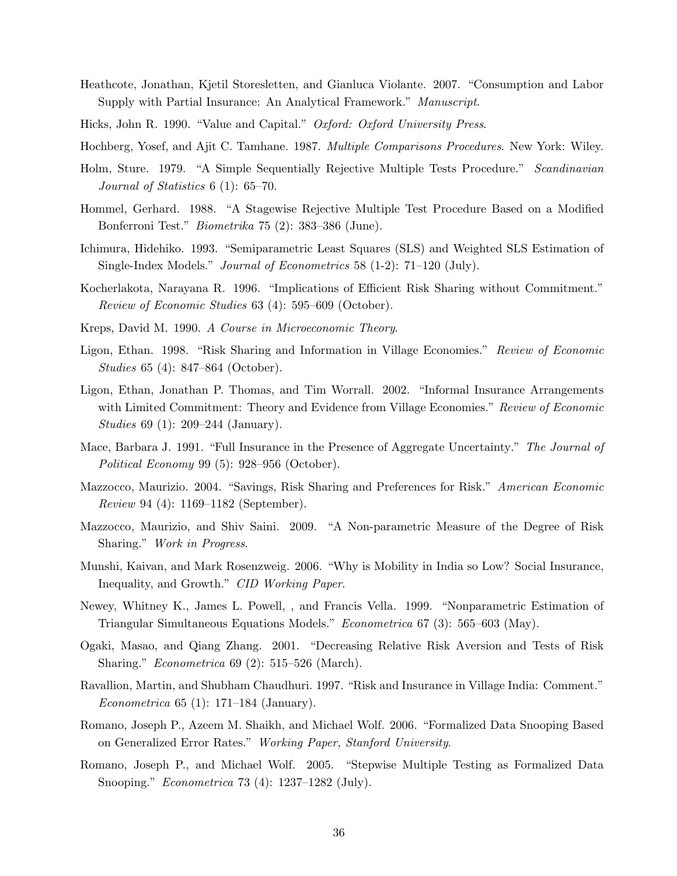- Heathcote, Jonathan, Kjetil Storesletten, and Gianluca Violante. 2007. "Consumption and Labor Supply with Partial Insurance: An Analytical Framework." Manuscript.
- Hicks, John R. 1990. "Value and Capital." Oxford: Oxford University Press.

Hochberg, Yosef, and Ajit C. Tamhane. 1987. Multiple Comparisons Procedures. New York: Wiley.

- Holm, Sture. 1979. "A Simple Sequentially Rejective Multiple Tests Procedure." Scandinavian Journal of Statistics 6 (1): 65–70.
- Hommel, Gerhard. 1988. "A Stagewise Rejective Multiple Test Procedure Based on a Modified Bonferroni Test." Biometrika 75 (2): 383–386 (June).
- Ichimura, Hidehiko. 1993. "Semiparametric Least Squares (SLS) and Weighted SLS Estimation of Single-Index Models." Journal of Econometrics 58 (1-2): 71–120 (July).
- Kocherlakota, Narayana R. 1996. "Implications of Efficient Risk Sharing without Commitment." Review of Economic Studies 63 (4): 595–609 (October).
- Kreps, David M. 1990. A Course in Microeconomic Theory.
- Ligon, Ethan. 1998. "Risk Sharing and Information in Village Economies." Review of Economic Studies 65 (4): 847–864 (October).
- Ligon, Ethan, Jonathan P. Thomas, and Tim Worrall. 2002. "Informal Insurance Arrangements with Limited Commitment: Theory and Evidence from Village Economies." Review of Economic Studies 69 (1): 209–244 (January).
- Mace, Barbara J. 1991. "Full Insurance in the Presence of Aggregate Uncertainty." The Journal of Political Economy 99 (5): 928–956 (October).
- Mazzocco, Maurizio. 2004. "Savings, Risk Sharing and Preferences for Risk." American Economic Review 94 (4): 1169–1182 (September).
- Mazzocco, Maurizio, and Shiv Saini. 2009. "A Non-parametric Measure of the Degree of Risk Sharing." Work in Progress.
- Munshi, Kaivan, and Mark Rosenzweig. 2006. "Why is Mobility in India so Low? Social Insurance, Inequality, and Growth." CID Working Paper.
- Newey, Whitney K., James L. Powell, , and Francis Vella. 1999. "Nonparametric Estimation of Triangular Simultaneous Equations Models." Econometrica 67 (3): 565–603 (May).
- Ogaki, Masao, and Qiang Zhang. 2001. "Decreasing Relative Risk Aversion and Tests of Risk Sharing." Econometrica 69 (2): 515–526 (March).
- Ravallion, Martin, and Shubham Chaudhuri. 1997. "Risk and Insurance in Village India: Comment." Econometrica 65 (1): 171–184 (January).
- Romano, Joseph P., Azeem M. Shaikh, and Michael Wolf. 2006. "Formalized Data Snooping Based on Generalized Error Rates." Working Paper, Stanford University.
- Romano, Joseph P., and Michael Wolf. 2005. "Stepwise Multiple Testing as Formalized Data Snooping." Econometrica 73 (4): 1237–1282 (July).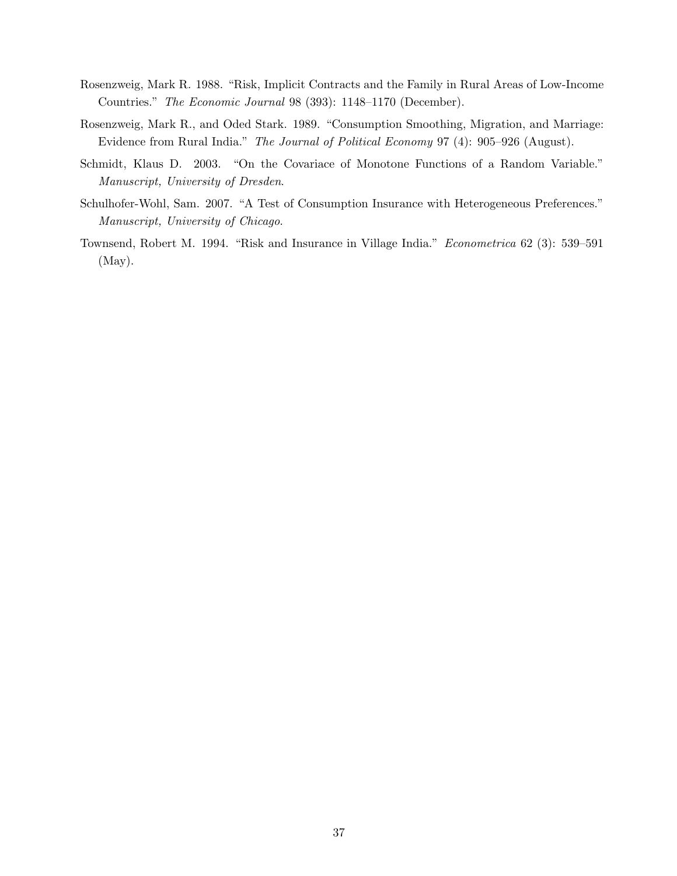- Rosenzweig, Mark R. 1988. "Risk, Implicit Contracts and the Family in Rural Areas of Low-Income Countries." The Economic Journal 98 (393): 1148–1170 (December).
- Rosenzweig, Mark R., and Oded Stark. 1989. "Consumption Smoothing, Migration, and Marriage: Evidence from Rural India." The Journal of Political Economy 97 (4): 905–926 (August).
- Schmidt, Klaus D. 2003. "On the Covariace of Monotone Functions of a Random Variable." Manuscript, University of Dresden.
- Schulhofer-Wohl, Sam. 2007. "A Test of Consumption Insurance with Heterogeneous Preferences." Manuscript, University of Chicago.
- Townsend, Robert M. 1994. "Risk and Insurance in Village India." Econometrica 62 (3): 539–591 (May).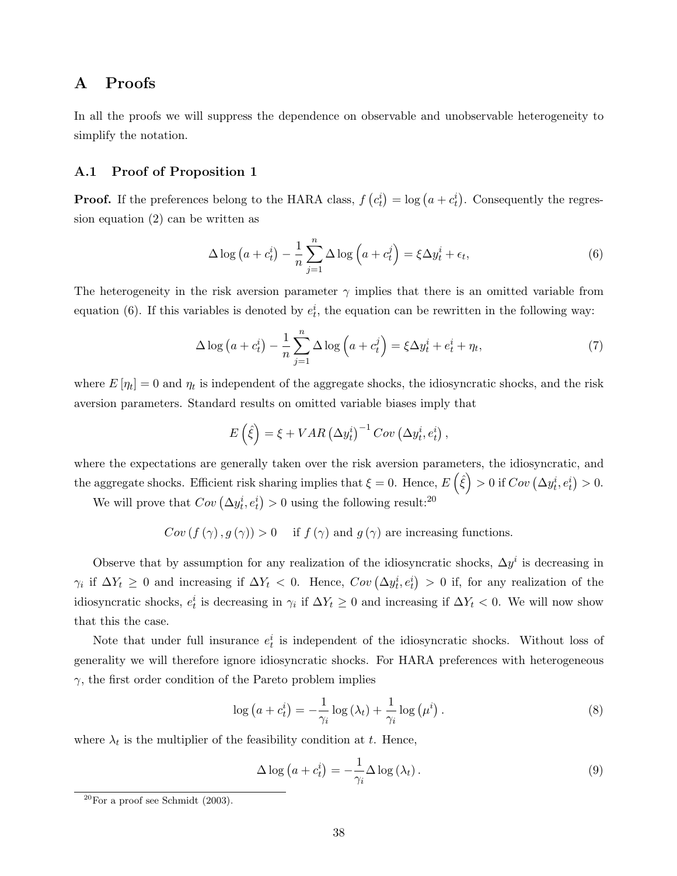# A Proofs

In all the proofs we will suppress the dependence on observable and unobservable heterogeneity to simplify the notation.

#### A.1 Proof of Proposition 1

**Proof.** If the preferences belong to the HARA class,  $f$ ¡  $c_t^i$  $= \log (a + c_t^i)$ ¢ . Consequently the regression equation (2) can be written as

$$
\Delta \log \left( a + c_t^i \right) - \frac{1}{n} \sum_{j=1}^n \Delta \log \left( a + c_t^j \right) = \xi \Delta y_t^i + \epsilon_t,
$$
\n<sup>(6)</sup>

The heterogeneity in the risk aversion parameter  $\gamma$  implies that there is an omitted variable from equation (6). If this variables is denoted by  $e_t^i$ , the equation can be rewritten in the following way:

$$
\Delta \log \left( a + c_t^i \right) - \frac{1}{n} \sum_{j=1}^n \Delta \log \left( a + c_t^j \right) = \xi \Delta y_t^i + e_t^i + \eta_t,\tag{7}
$$

where  $E[\eta_t] = 0$  and  $\eta_t$  is independent of the aggregate shocks, the idiosyncratic shocks, and the risk aversion parameters. Standard results on omitted variable biases imply that

$$
E(\hat{\xi}) = \xi + VAR(\Delta y_t^i)^{-1}Cov(\Delta y_t^i, e_t^i),
$$

where the expectations are generally taken over the risk aversion parameters, the idiosyncratic, and the aggregate shocks. Efficient risk sharing implies that  $\xi = 0$ . Hence,  $E(\hat{\xi}) > 0$  if  $Cov(\Delta y_t^i, e_t^i)$ ¢  $> 0.$ We will prove that  $Cov \left(\Delta y_t^i, e_t^i\right)$  $\geq 0$  using the following result:<sup>20</sup>

$$
Cov(f(\gamma), g(\gamma)) > 0
$$
 if  $f(\gamma)$  and  $g(\gamma)$  are increasing functions.

Observe that by assumption for any realization of the idiosyncratic shocks,  $\Delta y^i$  is decreasing in  $\gamma_i$  if  $\Delta Y_t \geq 0$  and increasing if  $\Delta Y_t < 0$ . Hence,  $Cov(\Delta y_t^i, e_t^i) > 0$  if, for any realization of the ¢ idiosyncratic shocks,  $e_t^i$  is decreasing in  $\gamma_i$  if  $\Delta Y_t \geq 0$  and increasing if  $\Delta Y_t < 0$ . We will now show that this the case.

Note that under full insurance  $e_t^i$  is independent of the idiosyncratic shocks. Without loss of generality we will therefore ignore idiosyncratic shocks. For HARA preferences with heterogeneous  $\gamma$ , the first order condition of the Pareto problem implies

$$
\log\left(a+c_t^i\right)=-\frac{1}{\gamma_i}\log\left(\lambda_t\right)+\frac{1}{\gamma_i}\log\left(\mu^i\right). \tag{8}
$$

where  $\lambda_t$  is the multiplier of the feasibility condition at t. Hence,

$$
\Delta \log \left( a + c_t^i \right) = -\frac{1}{\gamma_i} \Delta \log \left( \lambda_t \right). \tag{9}
$$

 $20$ For a proof see Schmidt (2003).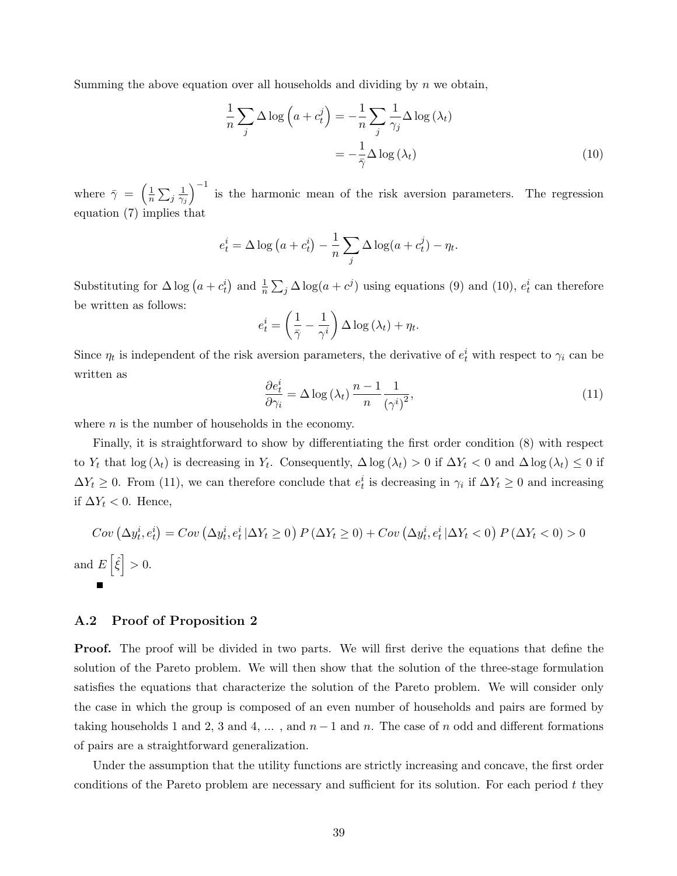Summing the above equation over all households and dividing by  $n$  we obtain,

$$
\frac{1}{n}\sum_{j}\Delta\log\left(a+c_{t}^{j}\right)=-\frac{1}{n}\sum_{j}\frac{1}{\gamma_{j}}\Delta\log\left(\lambda_{t}\right)
$$
\n
$$
=-\frac{1}{\bar{\gamma}}\Delta\log\left(\lambda_{t}\right)
$$
\n(10)

where  $\bar{\gamma}$  =  $\sqrt{1}$  $\overline{n}$  $\overline{ }$  $j\frac{1}{\gamma}$  $\overline{\gamma_j}$  $\sqrt{-1}$ is the harmonic mean of the risk aversion parameters. The regression equation (7) implies that

$$
e_t^i = \Delta \log (a + c_t^i) - \frac{1}{n} \sum_j \Delta \log (a + c_t^j) - \eta_t.
$$

Substituting for  $\Delta \log (a + c_t^i)$ ) and  $\frac{1}{n}$  $\overline{ }$  $j \Delta \log(a + c^j)$  using equations (9) and (10),  $e_t^i$  can therefore be written as follows:  $\overline{a}$  $\mathbf{r}$ 

$$
e_t^i = \left(\frac{1}{\bar{\gamma}} - \frac{1}{\gamma^i}\right) \Delta \log\left(\lambda_t\right) + \eta_t.
$$

Since  $\eta_t$  is independent of the risk aversion parameters, the derivative of  $e_t^i$  with respect to  $\gamma_i$  can be written as

$$
\frac{\partial e_t^i}{\partial \gamma_i} = \Delta \log \left( \lambda_t \right) \frac{n-1}{n} \frac{1}{\left( \gamma^i \right)^2},\tag{11}
$$

where  $n$  is the number of households in the economy.

Finally, it is straightforward to show by differentiating the first order condition (8) with respect to Y<sub>t</sub> that log  $(\lambda_t)$  is decreasing in Y<sub>t</sub>. Consequently,  $\Delta \log(\lambda_t) > 0$  if  $\Delta Y_t < 0$  and  $\Delta \log(\lambda_t) \leq 0$  if  $\Delta Y_t \geq 0$ . From (11), we can therefore conclude that  $e_t^i$  is decreasing in  $\gamma_i$  if  $\Delta Y_t \geq 0$  and increasing if  $\Delta Y_t$  < 0. Hence,

$$
Cov\left(\Delta y_t^i, e_t^i\right) = Cov\left(\Delta y_t^i, e_t^i \mid \Delta Y_t \ge 0\right) P\left(\Delta Y_t \ge 0\right) + Cov\left(\Delta y_t^i, e_t^i \mid \Delta Y_t < 0\right) P\left(\Delta Y_t < 0\right) > 0
$$
\n
$$
E\left[\hat{\xi}\right] > 0.
$$

#### A.2 Proof of Proposition 2

**Proof.** The proof will be divided in two parts. We will first derive the equations that define the solution of the Pareto problem. We will then show that the solution of the three-stage formulation satisfies the equations that characterize the solution of the Pareto problem. We will consider only the case in which the group is composed of an even number of households and pairs are formed by taking households 1 and 2, 3 and 4, ..., and  $n-1$  and n. The case of n odd and different formations of pairs are a straightforward generalization.

Under the assumption that the utility functions are strictly increasing and concave, the first order conditions of the Pareto problem are necessary and sufficient for its solution. For each period  $t$  they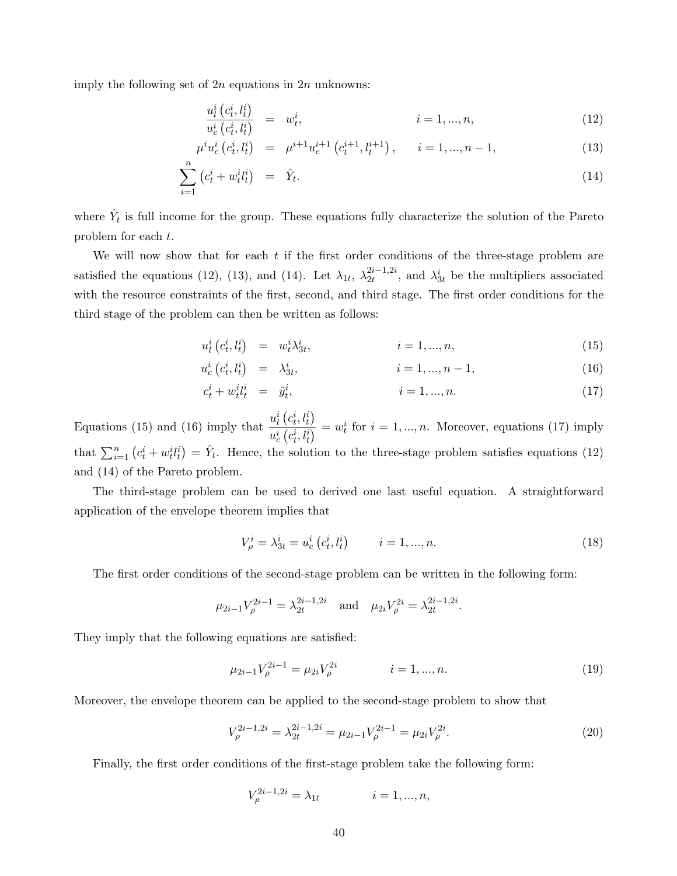imply the following set of  $2n$  equations in  $2n$  unknowns:

$$
\frac{u_l^i(c_t^i, l_t^i)}{u_c^i(c_t^i, l_t^i)} = w_t^i, \qquad i = 1, ..., n,
$$
\n(12)

$$
\mu^{i} u_{c}^{i} (c_{t}^{i}, l_{t}^{i}) = \mu^{i+1} u_{c}^{i+1} (c_{t}^{i+1}, l_{t}^{i+1}), \qquad i = 1, ..., n-1,
$$
\n(13)

$$
\sum_{i=1}^{n} \left( c_t^i + w_t^i l_t^i \right) = \hat{Y}_t. \tag{14}
$$

where  $\hat{Y}_t$  is full income for the group. These equations fully characterize the solution of the Pareto problem for each t.

We will now show that for each  $t$  if the first order conditions of the three-stage problem are satisfied the equations (12), (13), and (14). Let  $\lambda_{1t}$ ,  $\lambda_{2t}^{2i-1,2i}$  $\hat{z}_{2t}^{2i-1,2i}$ , and  $\lambda_{3t}^{i}$  be the multipliers associated with the resource constraints of the first, second, and third stage. The first order conditions for the third stage of the problem can then be written as follows:

$$
u_l^i(c_t^i, l_t^i) = w_t^i \lambda_{3t}^i, \qquad i = 1, ..., n,
$$
\n(15)

$$
u_c^i(c_t^i, l_t^i) = \lambda_{3t}^i, \qquad i = 1, ..., n-1,
$$
\n(16)

$$
c_t^i + w_t^i t_t^i = \hat{y}_t^i, \qquad i = 1, ..., n. \tag{17}
$$

Equations (15) and (16) imply that  $\frac{u_i^i}{i}$ ¡  $c_t^i, l_t^i$ ¢  $u_c^i$  $\overline{r}$  $c_t^i, l_t^i$  $\frac{d}{dt} = w_t^i$  for  $i = 1, ..., n$ . Moreover, equations (17) imply that  $\sum_{i=1}^{n} (c_t^i + w_t^i l_t^i) = \hat{Y}_t$ . Hence, the solution to the three-stage problem satisfies equations (12) ¢ and (14) of the Pareto problem.

The third-stage problem can be used to derived one last useful equation. A straightforward application of the envelope theorem implies that

$$
V_{\rho}^{i} = \lambda_{3t}^{i} = u_{c}^{i} (c_{t}^{i}, l_{t}^{i}) \qquad i = 1, ..., n.
$$
 (18)

The first order conditions of the second-stage problem can be written in the following form:

$$
\mu_{2i-1}V_{\rho}^{2i-1} = \lambda_{2t}^{2i-1,2i}
$$
 and  $\mu_{2i}V_{\rho}^{2i} = \lambda_{2t}^{2i-1,2i}$ .

They imply that the following equations are satisfied:

$$
\mu_{2i-1} V_{\rho}^{2i-1} = \mu_{2i} V_{\rho}^{2i} \qquad i = 1, ..., n. \qquad (19)
$$

Moreover, the envelope theorem can be applied to the second-stage problem to show that

$$
V_{\rho}^{2i-1,2i} = \lambda_{2t}^{2i-1,2i} = \mu_{2i-1} V_{\rho}^{2i-1} = \mu_{2i} V_{\rho}^{2i}.
$$
\n(20)

Finally, the first order conditions of the first-stage problem take the following form:

$$
V_{\rho}^{2i-1,2i} = \lambda_{1t} \qquad i = 1,...,n,
$$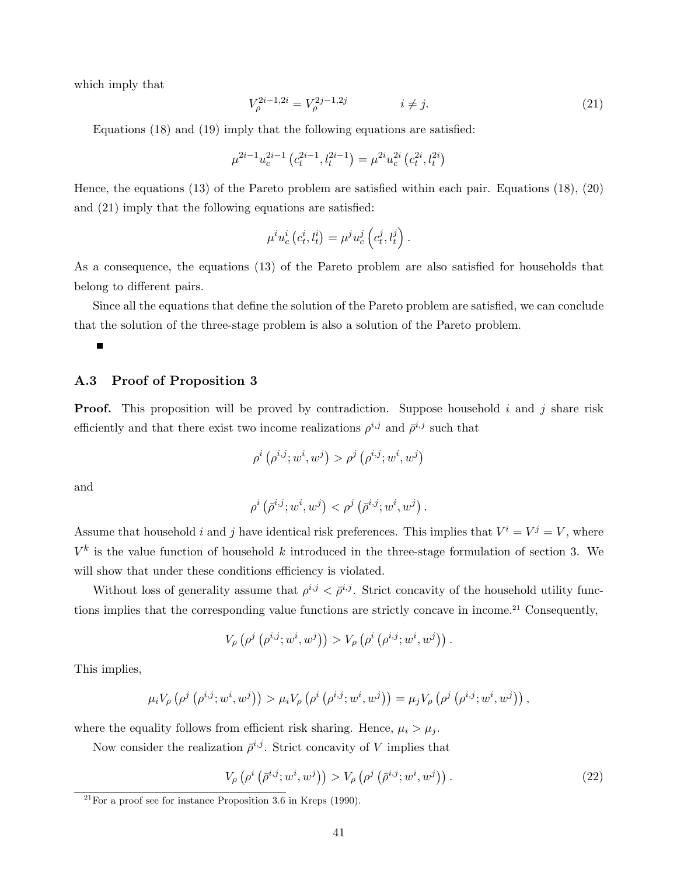which imply that

$$
V_{\rho}^{2i-1,2i} = V_{\rho}^{2j-1,2j} \qquad i \neq j. \tag{21}
$$

Equations (18) and (19) imply that the following equations are satisfied:

$$
\mu^{2i-1} u_c^{2i-1} \left( c_t^{2i-1}, l_t^{2i-1} \right) = \mu^{2i} u_c^{2i} \left( c_t^{2i}, l_t^{2i} \right)
$$

Hence, the equations (13) of the Pareto problem are satisfied within each pair. Equations (18), (20) and (21) imply that the following equations are satisfied:

$$
\mu^i u_c^i (c_t^i, l_t^i) = \mu^j u_c^j (c_t^j, l_t^j).
$$

As a consequence, the equations (13) of the Pareto problem are also satisfied for households that belong to different pairs.

Since all the equations that define the solution of the Pareto problem are satisfied, we can conclude that the solution of the three-stage problem is also a solution of the Pareto problem.

### A.3 Proof of Proposition 3

**Proof.** This proposition will be proved by contradiction. Suppose household i and j share risk efficiently and that there exist two income realizations  $\rho^{i,j}$  and  $\bar{\rho}^{i,j}$  such that

$$
\rho^i\left(\rho^{i,j}; w^i, w^j\right) > \rho^j\left(\rho^{i,j}; w^i, w^j\right)
$$

and

$$
\rho^i\left({\bar\rho^{i,j}}; w^i, w^j\right) < \rho^j\left({\bar\rho^{i,j}}; w^i, w^j\right).
$$

Assume that household i and j have identical risk preferences. This implies that  $V^i = V^j = V$ , where  $V^k$  is the value function of household k introduced in the three-stage formulation of section 3. We will show that under these conditions efficiency is violated.

Without loss of generality assume that  $\rho^{i,j} < \bar{\rho}^{i,j}$ . Strict concavity of the household utility functions implies that the corresponding value functions are strictly concave in income.<sup>21</sup> Consequently,

$$
V_{\rho}\left(\rho^{j}\left(\rho^{i,j};w^{i},w^{j}\right)\right) > V_{\rho}\left(\rho^{i}\left(\rho^{i,j};w^{i},w^{j}\right)\right).
$$

This implies,

$$
\mu_i V_{\rho} \left( \rho^j \left( \rho^{i,j}; w^i, w^j \right) \right) > \mu_i V_{\rho} \left( \rho^i \left( \rho^{i,j}; w^i, w^j \right) \right) = \mu_j V_{\rho} \left( \rho^j \left( \rho^{i,j}; w^i, w^j \right) \right),
$$

where the equality follows from efficient risk sharing. Hence,  $\mu_i > \mu_j$ .

Now consider the realization  $\bar{\rho}^{i,j}$ . Strict concavity of V implies that

$$
V_{\rho}(\rho^{i}(\bar{\rho}^{i,j}; w^{i}, w^{j})) > V_{\rho}(\rho^{j}(\bar{\rho}^{i,j}; w^{i}, w^{j})).
$$
\n(22)

 $^{21}$  For a proof see for instance Proposition 3.6 in Kreps (1990).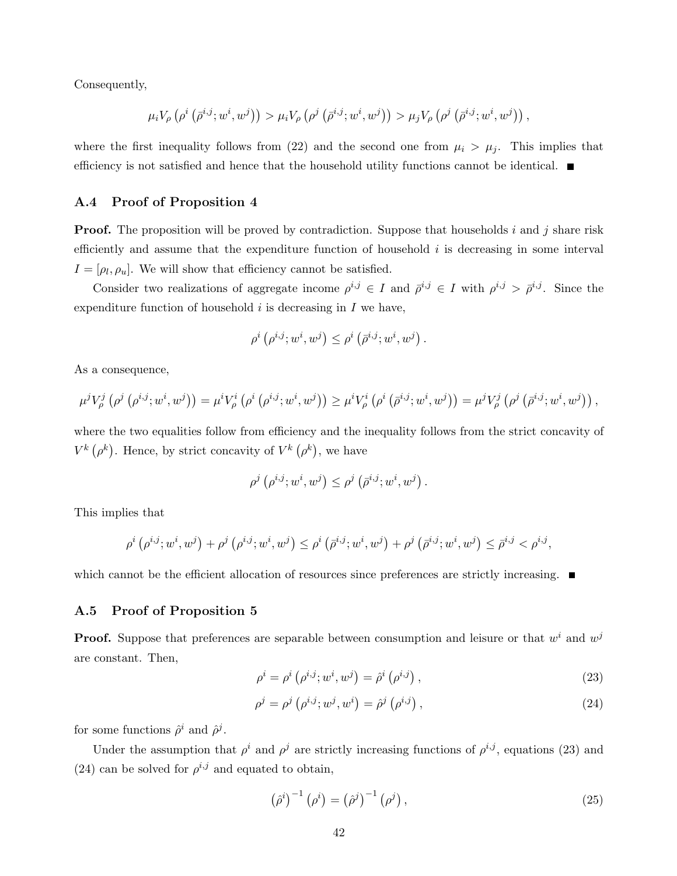Consequently,

$$
\mu_i V_\rho\left(\rho^i\left(\bar{\rho}^{i,j};w^i,w^j\right)\right)>\mu_i V_\rho\left(\rho^j\left(\bar{\rho}^{i,j};w^i,w^j\right)\right)>\mu_j V_\rho\left(\rho^j\left(\bar{\rho}^{i,j};w^i,w^j\right)\right),
$$

where the first inequality follows from (22) and the second one from  $\mu_i > \mu_j$ . This implies that efficiency is not satisfied and hence that the household utility functions cannot be identical.  $\blacksquare$ 

### A.4 Proof of Proposition 4

**Proof.** The proposition will be proved by contradiction. Suppose that households i and j share risk efficiently and assume that the expenditure function of household  $i$  is decreasing in some interval  $I = [\rho_l, \rho_u]$ . We will show that efficiency cannot be satisfied.

Consider two realizations of aggregate income  $\rho^{i,j} \in I$  and  $\overline{\rho}^{i,j} \in I$  with  $\rho^{i,j} > \overline{\rho}^{i,j}$ . Since the expenditure function of household  $i$  is decreasing in  $I$  we have,

$$
\rho^{i}(\rho^{i,j}; w^{i}, w^{j}) \leq \rho^{i}(\bar{\rho}^{i,j}; w^{i}, w^{j}).
$$

As a consequence,

$$
\mu^{j}V_{\rho}^{j}\left(\rho^{j}\left(\rho^{i,j};w^{i},w^{j}\right)\right)=\mu^{i}V_{\rho}^{i}\left(\rho^{i}\left(\rho^{i,j};w^{i},w^{j}\right)\right)\geq\mu^{i}V_{\rho}^{i}\left(\rho^{i}\left(\bar{\rho}^{i,j};w^{i},w^{j}\right)\right)=\mu^{j}V_{\rho}^{j}\left(\rho^{j}\left(\bar{\rho}^{i,j};w^{i},w^{j}\right)\right),
$$

where the two equalities follow from efficiency and the inequality follows from the strict concavity of  $V^k$  (  $\rho^k$ . Hence, by strict concavity of  $V^k$  (  $\rho^k$ , we have

$$
\rho^j(\rho^{i,j}; w^i, w^j) \leq \rho^j(\bar{\rho}^{i,j}; w^i, w^j) .
$$

This implies that

$$
\rho^i\left(\rho^{i,j}; w^i, w^j\right) + \rho^j\left(\rho^{i,j}; w^i, w^j\right) \leq \rho^i\left(\bar{\rho}^{i,j}; w^i, w^j\right) + \rho^j\left(\bar{\rho}^{i,j}; w^i, w^j\right) \leq \bar{\rho}^{i,j} < \rho^{i,j},
$$

which cannot be the efficient allocation of resources since preferences are strictly increasing.  $\blacksquare$ 

#### A.5 Proof of Proposition 5

**Proof.** Suppose that preferences are separable between consumption and leisure or that  $w^i$  and  $w^j$ are constant. Then,

$$
\rho^{i} = \rho^{i} (\rho^{i,j}; w^{i}, w^{j}) = \hat{\rho}^{i} (\rho^{i,j}),
$$
\n(23)

$$
\rho^{j} = \rho^{j} (\rho^{i,j}; w^{j}, w^{i}) = \hat{\rho}^{j} (\rho^{i,j}), \qquad (24)
$$

for some functions  $\hat{\rho}^i$  and  $\hat{\rho}^j$ .

Under the assumption that  $\rho^i$  and  $\rho^j$  are strictly increasing functions of  $\rho^{i,j}$ , equations (23) and (24) can be solved for  $\rho^{i,j}$  and equated to obtain,

$$
\left(\hat{\rho}^i\right)^{-1}\left(\rho^i\right) = \left(\hat{\rho}^j\right)^{-1}\left(\rho^j\right),\tag{25}
$$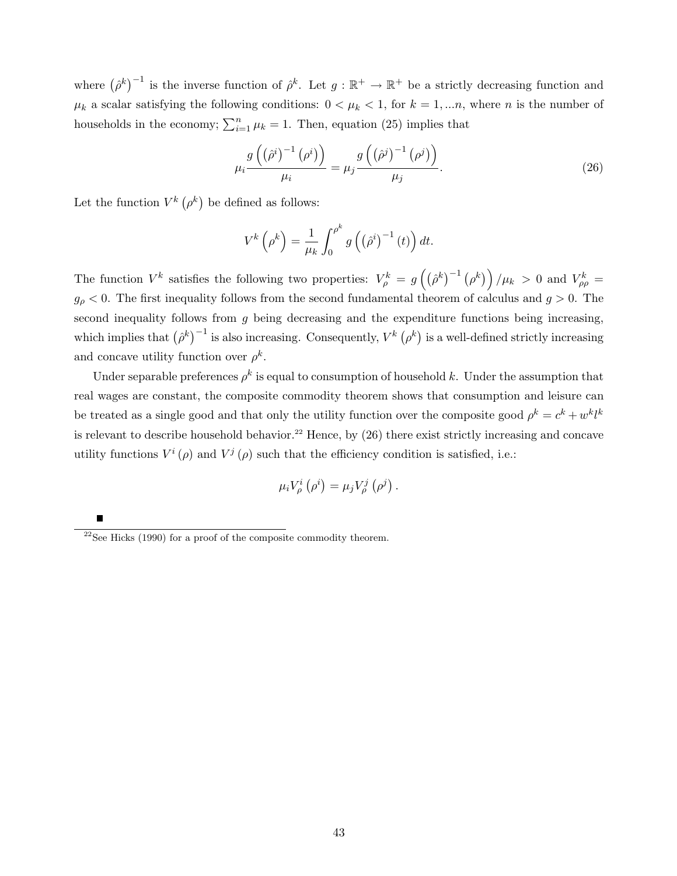where  $(\hat{\rho}^k)^{-1}$  is the inverse function of  $\hat{\rho}^k$ . Let  $g : \mathbb{R}^+ \to \mathbb{R}^+$  be a strictly decreasing function and  $\mu_k$  a scalar satisfying the following conditions:  $0 < \mu_k < 1$ , for  $k = 1, \ldots n$ , where n is the number of households in the economy;  $\sum_{i=1}^{n} \mu_k = 1$ . Then, equation (25) implies that

$$
\mu_i \frac{g\left(\left(\hat{\rho}^i\right)^{-1}\left(\rho^i\right)\right)}{\mu_i} = \mu_j \frac{g\left(\left(\hat{\rho}^j\right)^{-1}\left(\rho^j\right)\right)}{\mu_j}.
$$
\n(26)

Let the function  $V^k$  (  $\rho^k$ be defined as follows:

$$
V^{k}\left(\rho^{k}\right) = \frac{1}{\mu_{k}} \int_{0}^{\rho^{k}} g\left(\left(\hat{\rho}^{i}\right)^{-1}\left(t\right)\right) dt.
$$

The function  $V^k$  satisfies the following two properties:  $V^k_\rho = g$  $\frac{1}{2}$  $\hat{\rho}^k\big)^{-1}$  (  $\rho^k)$  $/\mu_k > 0$  and  $V_{\rho\rho}^k =$  $g_{\rho}$  < 0. The first inequality follows from the second fundamental theorem of calculus and  $g > 0$ . The second inequality follows from  $g$  being decreasing and the expenditure functions being increasing, which implies that  $(\hat{\rho}^k)^{-1}$  is also increasing. Consequently,  $V^k$  $\begin{pmatrix} 1 \\ \rho^k \end{pmatrix}$ is a well-defined strictly increasing and concave utility function over  $\rho^k$ .

Under separable preferences  $\rho^k$  is equal to consumption of household k. Under the assumption that real wages are constant, the composite commodity theorem shows that consumption and leisure can be treated as a single good and that only the utility function over the composite good  $\rho^k = c^k + w^k l^k$ is relevant to describe household behavior.<sup>22</sup> Hence, by  $(26)$  there exist strictly increasing and concave utility functions  $V^i(\rho)$  and  $V^j(\rho)$  such that the efficiency condition is satisfied, i.e.:

$$
\mu_i V^i_\rho\left(\rho^i\right) = \mu_j V^j_\rho\left(\rho^j\right).
$$

 $\frac{22}{2}$ See Hicks (1990) for a proof of the composite commodity theorem.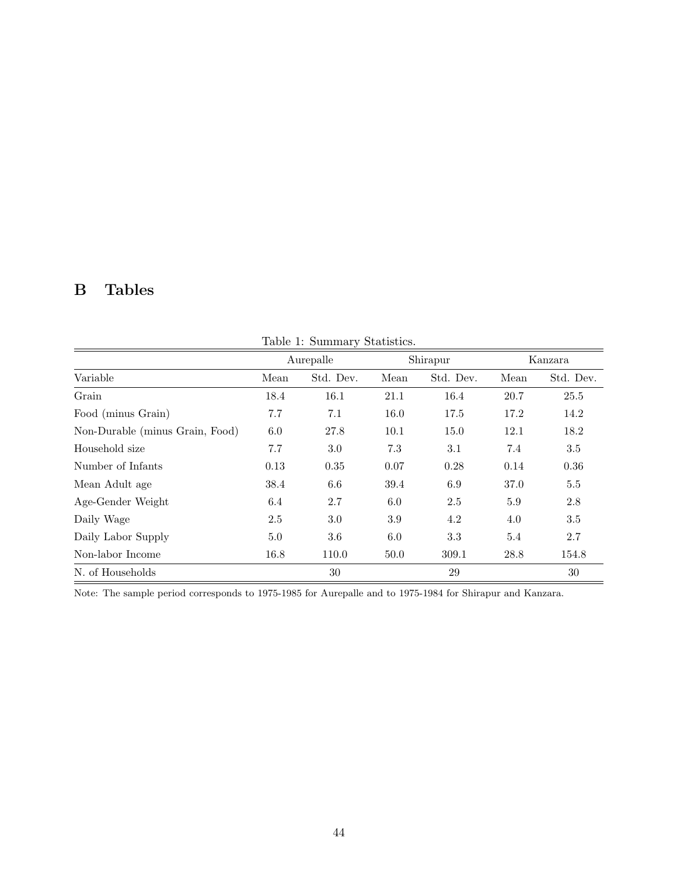# B Tables

|                                 |      | Aurepalle | Shirapur |           |      | Kanzara   |  |
|---------------------------------|------|-----------|----------|-----------|------|-----------|--|
| Variable                        | Mean | Std. Dev. | Mean     | Std. Dev. | Mean | Std. Dev. |  |
| Grain                           | 18.4 | 16.1      | 21.1     | 16.4      | 20.7 | 25.5      |  |
| Food (minus Grain)              | 7.7  | 7.1       | 16.0     | 17.5      | 17.2 | 14.2      |  |
| Non-Durable (minus Grain, Food) | 6.0  | 27.8      | 10.1     | 15.0      | 12.1 | 18.2      |  |
| Household size                  | 7.7  | 3.0       | 7.3      | 3.1       | 7.4  | 3.5       |  |
| Number of Infants               | 0.13 | 0.35      | 0.07     | 0.28      | 0.14 | 0.36      |  |
| Mean Adult age                  | 38.4 | 6.6       | 39.4     | 6.9       | 37.0 | 5.5       |  |
| Age-Gender Weight               | 6.4  | 2.7       | 6.0      | 2.5       | 5.9  | 2.8       |  |
| Daily Wage                      | 2.5  | 3.0       | 3.9      | 4.2       | 4.0  | 3.5       |  |
| Daily Labor Supply              | 5.0  | 3.6       | 6.0      | 3.3       | 5.4  | 2.7       |  |
| Non-labor Income                | 16.8 | 110.0     | 50.0     | 309.1     | 28.8 | 154.8     |  |
| N. of Households                |      | 30        |          | 29        |      | 30        |  |

Table 1: Summary Statistics.

Note: The sample period corresponds to 1975-1985 for Aurepalle and to 1975-1984 for Shirapur and Kanzara.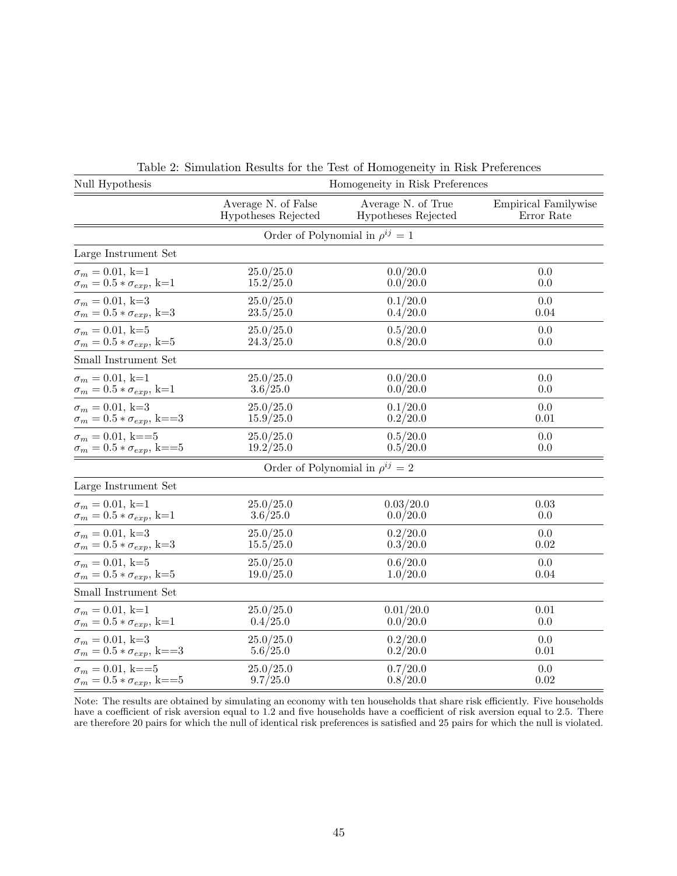| Null Hypothesis                          | Homogeneity in Risk Preferences            |                                           |          |  |  |  |
|------------------------------------------|--------------------------------------------|-------------------------------------------|----------|--|--|--|
|                                          | Average N. of False<br>Hypotheses Rejected | Average N. of True<br>Hypotheses Rejected |          |  |  |  |
|                                          | Order of Polynomial in $\rho^{ij} = 1$     |                                           |          |  |  |  |
| Large Instrument Set                     |                                            |                                           |          |  |  |  |
| $\sigma_m = 0.01, k=1$                   | 25.0/25.0                                  | 0.0/20.0                                  | 0.0      |  |  |  |
| $\sigma_m=0.5*\sigma_{exp},$ k=1         | 15.2/25.0                                  | 0.0/20.0                                  | 0.0      |  |  |  |
| $\sigma_m = 0.01, k=3$                   | 25.0/25.0                                  | 0.1/20.0                                  | 0.0      |  |  |  |
| $\sigma_m=0.5*\sigma_{exp},$ k=3         | 23.5/25.0                                  | 0.4/20.0                                  | 0.04     |  |  |  |
| $\sigma_m = 0.01, k=5$                   | 25.0/25.0                                  | 0.5/20.0                                  | 0.0      |  |  |  |
| $\sigma_m = 0.5 * \sigma_{exp}, k=5$     | 24.3/25.0                                  | 0.8/20.0                                  | 0.0      |  |  |  |
| Small Instrument Set                     |                                            |                                           |          |  |  |  |
| $\sigma_m = 0.01, k=1$                   | 25.0/25.0                                  | 0.0/20.0                                  | 0.0      |  |  |  |
| $\sigma_m=0.5*\sigma_{exp},$ k=1         | 3.6/25.0                                   | 0.0/20.0                                  | 0.0      |  |  |  |
| $\sigma_m = 0.01, k=3$                   | 25.0/25.0                                  | 0.1/20.0                                  | 0.0      |  |  |  |
| $\sigma_m = 0.5 * \sigma_{exp}, k = = 3$ | 15.9/25.0                                  | 0.2/20.0                                  | $0.01\,$ |  |  |  |
| $\sigma_m=0.01,$ k==5                    | 25.0/25.0                                  | 0.5/20.0                                  | 0.0      |  |  |  |
| $\sigma_m=0.5*\sigma_{exp},$ k==5        | 19.2/25.0                                  | 0.5/20.0                                  | 0.0      |  |  |  |
|                                          |                                            | Order of Polynomial in $\rho^{ij} = 2$    |          |  |  |  |
| Large Instrument Set                     |                                            |                                           |          |  |  |  |
| $\sigma_m = 0.01, k=1$                   | 25.0/25.0                                  | 0.03/20.0                                 | 0.03     |  |  |  |
| $\sigma_m=0.5*\sigma_{exp},$ k=1         | 3.6/25.0                                   | 0.0/20.0                                  | $0.0\,$  |  |  |  |
| $\sigma_m = 0.01, k=3$                   | 25.0/25.0                                  | 0.2/20.0                                  | 0.0      |  |  |  |
| $\sigma_m=0.5*\sigma_{exp},$ k=3         | 15.5/25.0                                  | 0.3/20.0                                  | 0.02     |  |  |  |
| $\sigma_m = 0.01, k=5$                   | 25.0/25.0                                  | 0.6/20.0                                  | $0.0\,$  |  |  |  |
| $\sigma_m = 0.5 * \sigma_{exp}$ , k=5    | 19.0/25.0                                  | 1.0/20.0                                  | 0.04     |  |  |  |
| Small Instrument Set                     |                                            |                                           |          |  |  |  |
| $\sigma_m = 0.01, k=1$                   | 25.0/25.0                                  | 0.01/20.0                                 | 0.01     |  |  |  |
| $\sigma_m=0.5*\sigma_{exp},$ k=1         | 0.4/25.0                                   | 0.0/20.0                                  | $0.0\,$  |  |  |  |
| $\sigma_m=0.01,$ k=3                     | 25.0/25.0                                  | 0.2/20.0                                  | 0.0      |  |  |  |
| $\sigma_m=0.5*\sigma_{exp},$ k==3        | 5.6/25.0                                   | 0.2/20.0                                  | $0.01\,$ |  |  |  |
| $\sigma_m=0.01,$ k==5                    | 25.0/25.0                                  | 0.7/20.0                                  | 0.0      |  |  |  |
| $\sigma_m = 0.5 * \sigma_{exp}$ , k==5   | 9.7/25.0                                   | 0.8/20.0                                  | 0.02     |  |  |  |

Table 2: Simulation Results for the Test of Homogeneity in Risk Preferences

Note: The results are obtained by simulating an economy with ten households that share risk efficiently. Five households have a coefficient of risk aversion equal to 1.2 and five households have a coefficient of risk aversion equal to 2.5. There are therefore 20 pairs for which the null of identical risk preferences is satisfied and 25 pairs for which the null is violated.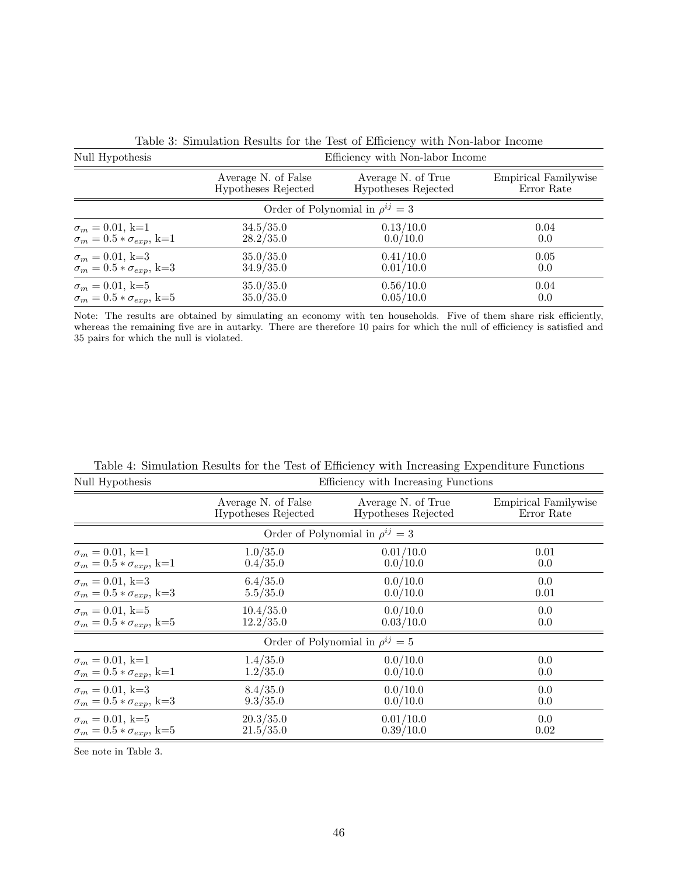| Null Hypothesis                        | Efficiency with Non-labor Income           |                                           |                                           |  |  |  |  |
|----------------------------------------|--------------------------------------------|-------------------------------------------|-------------------------------------------|--|--|--|--|
|                                        | Average N. of False<br>Hypotheses Rejected | Average N. of True<br>Hypotheses Rejected | <b>Empirical Familywise</b><br>Error Rate |  |  |  |  |
| Order of Polynomial in $\rho^{ij} = 3$ |                                            |                                           |                                           |  |  |  |  |
| $\sigma_m = 0.01, k=1$                 | 34.5/35.0                                  | 0.13/10.0                                 | 0.04                                      |  |  |  |  |
| $\sigma_m = 0.5 * \sigma_{exp}$ , k=1  | 28.2/35.0                                  | 0.0/10.0                                  | 0.0                                       |  |  |  |  |
| $\sigma_m = 0.01, k=3$                 | 35.0/35.0                                  | 0.41/10.0                                 | 0.05                                      |  |  |  |  |
| $\sigma_m = 0.5 * \sigma_{exp}$ , k=3  | 34.9/35.0                                  | 0.01/10.0                                 | 0.0                                       |  |  |  |  |
| $\sigma_m = 0.01, k=5$                 | 35.0/35.0                                  | 0.56/10.0                                 | 0.04                                      |  |  |  |  |
| $\sigma_m = 0.5 * \sigma_{exp}$ , k=5  | 35.0/35.0                                  | 0.05/10.0                                 | 0.0                                       |  |  |  |  |

Table 3: Simulation Results for the Test of Efficiency with Non-labor Income

Note: The results are obtained by simulating an economy with ten households. Five of them share risk efficiently, whereas the remaining five are in autarky. There are therefore 10 pairs for which the null of efficiency is satisfied and 35 pairs for which the null is violated.

| Null Hypothesis                       | Efficiency with Increasing Functions       |                                           |      |  |  |  |
|---------------------------------------|--------------------------------------------|-------------------------------------------|------|--|--|--|
|                                       | Average N. of False<br>Hypotheses Rejected | Average N. of True<br>Hypotheses Rejected |      |  |  |  |
|                                       | Order of Polynomial in $\rho^{ij} = 3$     |                                           |      |  |  |  |
| $\sigma_m = 0.01, k=1$                | 1.0/35.0                                   | 0.01/10.0                                 | 0.01 |  |  |  |
| $\sigma_m = 0.5 * \sigma_{exp}$ , k=1 | 0.4/35.0                                   | 0.0/10.0                                  | 0.0  |  |  |  |
| $\sigma_m = 0.01, k=3$                | 6.4/35.0                                   | 0.0/10.0                                  | 0.0  |  |  |  |
| $\sigma_m = 0.5 * \sigma_{exp}$ , k=3 | 5.5/35.0                                   | 0.0/10.0                                  | 0.01 |  |  |  |
| $\sigma_m = 0.01, k=5$                | 10.4/35.0                                  | 0.0/10.0                                  | 0.0  |  |  |  |
| $\sigma_m = 0.5 * \sigma_{exp}$ , k=5 | 12.2/35.0                                  | 0.03/10.0                                 | 0.0  |  |  |  |
|                                       |                                            | Order of Polynomial in $\rho^{ij} = 5$    |      |  |  |  |
| $\sigma_m = 0.01, k=1$                | 1.4/35.0                                   | 0.0/10.0                                  | 0.0  |  |  |  |
| $\sigma_m = 0.5 * \sigma_{exp}$ , k=1 | 1.2/35.0                                   | 0.0/10.0                                  | 0.0  |  |  |  |
| $\sigma_m = 0.01, k=3$                | 8.4/35.0                                   | 0.0/10.0                                  | 0.0  |  |  |  |
| $\sigma_m = 0.5 * \sigma_{exp}$ , k=3 | 9.3/35.0                                   | 0.0/10.0                                  | 0.0  |  |  |  |
| $\sigma_m = 0.01, k=5$                | 20.3/35.0                                  | 0.01/10.0                                 | 0.0  |  |  |  |
| $\sigma_m = 0.5 * \sigma_{exp}$ , k=5 | 21.5/35.0                                  | 0.39/10.0                                 | 0.02 |  |  |  |

Table 4: Simulation Results for the Test of Efficiency with Increasing Expenditure Functions

See note in Table 3.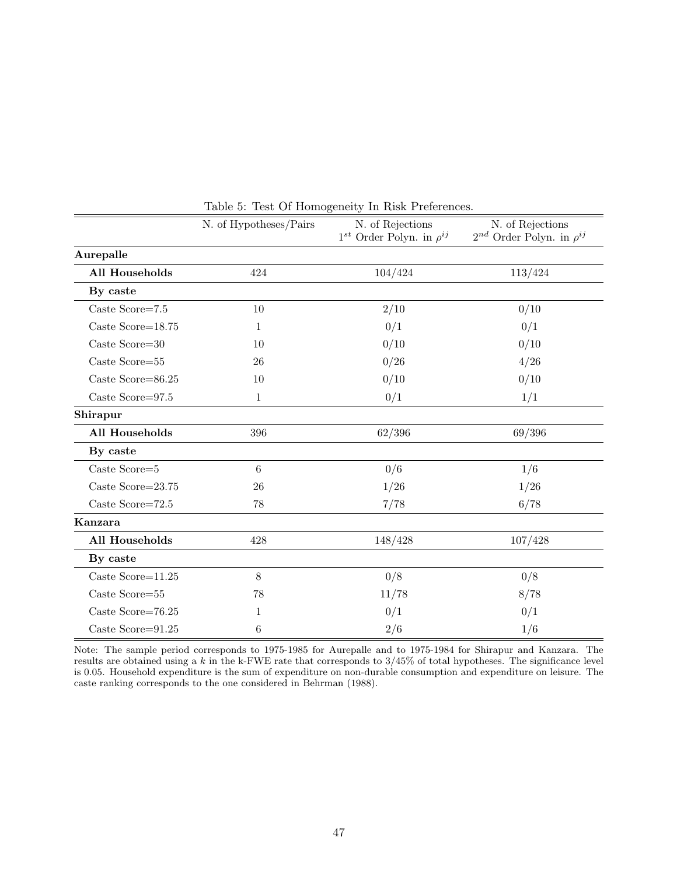|                          | N. of Hypotheses/Pairs | N. of Rejections<br>$1^{st}$ Order Polyn. in $\rho^{ij}$ | N. of Rejections<br>$2^{nd}$ Order Polyn. in $\rho^{ij}$ |  |
|--------------------------|------------------------|----------------------------------------------------------|----------------------------------------------------------|--|
| Aurepalle                |                        |                                                          |                                                          |  |
| All Households           | 424                    | 104/424                                                  | 113/424                                                  |  |
| By caste                 |                        |                                                          |                                                          |  |
| Caste Score=7.5          | 10                     | 2/10                                                     | 0/10                                                     |  |
| Caste Score= $18.75$     | 1                      | 0/1                                                      | 0/1                                                      |  |
| Caste Score= $30$        | 10                     | 0/10                                                     | 0/10                                                     |  |
| Caste Score=55           | 26                     | 0/26                                                     | 4/26                                                     |  |
| Caste Score=86.25        | 10                     | 0/10                                                     | 0/10                                                     |  |
| Caste $\rm Score{=}97.5$ | $\mathbf{1}$           | 0/1                                                      | 1/1                                                      |  |
| Shirapur                 |                        |                                                          |                                                          |  |
| All Households           | 396                    | 62/396                                                   | 69/396                                                   |  |
| By caste                 |                        |                                                          |                                                          |  |
| Caste Score= $5$         | $6\phantom{.}6$        | 0/6                                                      | 1/6                                                      |  |
| Caste Score=23.75        | 26                     | 1/26                                                     | 1/26                                                     |  |
| Caste Score=72.5         | 78                     | 7/78                                                     | 6/78                                                     |  |
| Kanzara                  |                        |                                                          |                                                          |  |
| All Households           | 428                    | 148/428                                                  | 107/428                                                  |  |
| By caste                 |                        |                                                          |                                                          |  |
| Caste Score= $11.25$     | 8                      | 0/8                                                      | 0/8                                                      |  |
| Caste Score=55           | 78                     | 11/78                                                    | 8/78                                                     |  |
| Caste Score=76.25        | 1                      | 0/1                                                      | 0/1                                                      |  |
| Caste Score=91.25        | 6                      | 2/6                                                      | 1/6                                                      |  |

Table 5: Test Of Homogeneity In Risk Preferences.

Note: The sample period corresponds to 1975-1985 for Aurepalle and to 1975-1984 for Shirapur and Kanzara. The results are obtained using a k in the k-FWE rate that corresponds to  $3/45\%$  of total hypotheses. The significance level is 0.05. Household expenditure is the sum of expenditure on non-durable consumption and expenditure on leisure. The caste ranking corresponds to the one considered in Behrman (1988).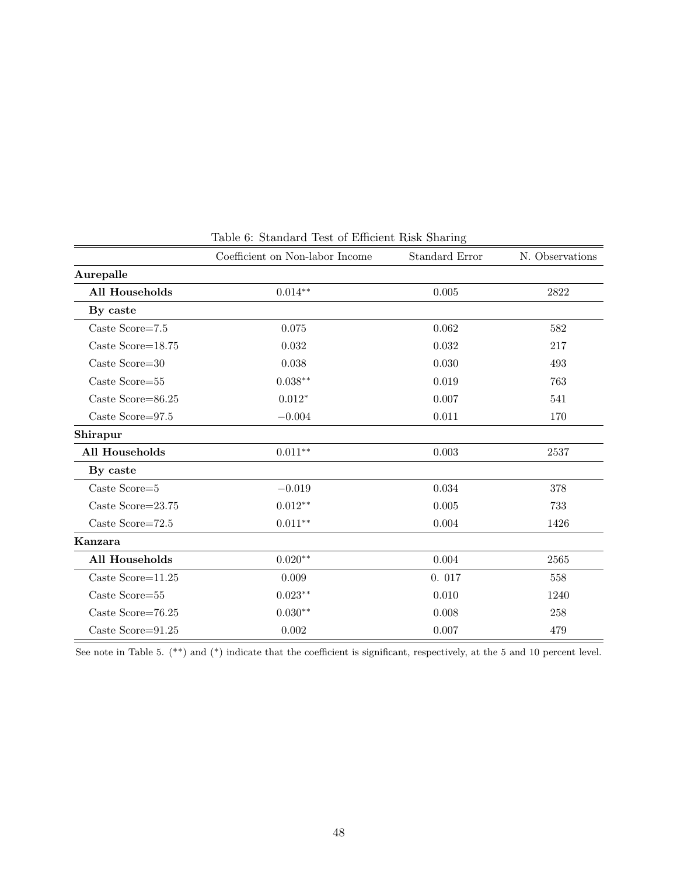| Coefficient on Non-labor Income |                    | Standard Error | N. Observations |  |
|---------------------------------|--------------------|----------------|-----------------|--|
| Aurepalle                       |                    |                |                 |  |
| <b>All Households</b>           | $0.014**$          | 0.005          | 2822            |  |
| By caste                        |                    |                |                 |  |
| Caste Score= $7.5$              | 0.075              | 0.062          | 582             |  |
| Caste Score= $18.75$            | 0.032              | 0.032          | 217             |  |
| Caste Score=30                  | 0.038              | 0.030          | 493             |  |
| Caste Score=55                  | $0.038**$          | 0.019          | 763             |  |
| Caste Score= $86.25$            | $0.012*$           | 0.007          | 541             |  |
| Caste Score= $97.5$             | $-0.004$           | 0.011          | 170             |  |
| Shirapur                        |                    |                |                 |  |
| <b>All Households</b>           | $0.011**$          | 0.003          | 2537            |  |
| By caste                        |                    |                |                 |  |
| Caste Score=5                   | $-0.019$           | 0.034          | 378             |  |
| Caste Score= $23.75$            | $0.012**$          | 0.005          | 733             |  |
| Caste Score= $72.5$             | $0.011**$          | 0.004          | 1426            |  |
| Kanzara                         |                    |                |                 |  |
| All Households                  | $0.020^{\ast\ast}$ | 0.004          | 2565            |  |
| Caste Score= $11.25$            | 0.009              | 0.017          | 558             |  |
| Caste Score=55                  | $0.023**$          | 0.010          | 1240            |  |
| Caste Score= $76.25$            | $0.030**$          | 0.008          | 258             |  |
| Caste Score= $91.25$            | 0.002              | 0.007          | 479             |  |

Table 6: Standard Test of Efficient Risk Sharing

See note in Table 5. (\*\*) and (\*) indicate that the coefficient is significant, respectively, at the 5 and 10 percent level.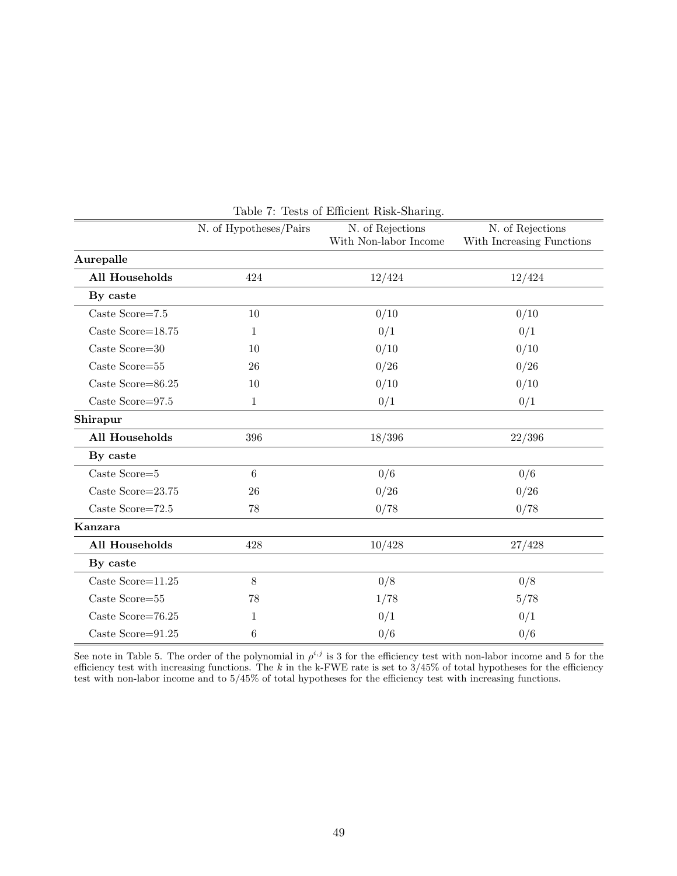|                       | N. of Hypotheses/Pairs | N. of Rejections      | N. of Rejections          |  |  |
|-----------------------|------------------------|-----------------------|---------------------------|--|--|
|                       |                        | With Non-labor Income | With Increasing Functions |  |  |
| Aurepalle             |                        |                       |                           |  |  |
| <b>All Households</b> | 424                    | 12/424                | 12/424                    |  |  |
| By caste              |                        |                       |                           |  |  |
| Caste Score=7.5       | 10                     | 0/10                  | 0/10                      |  |  |
| Caste Score= $18.75$  | 1                      | 0/1                   | 0/1                       |  |  |
| Caste Score=30        | 10                     | 0/10                  | 0/10                      |  |  |
| Caste Score=55        | 26                     | 0/26                  | 0/26                      |  |  |
| Caste Score=86.25     | 10                     | 0/10                  | 0/10                      |  |  |
| Caste Score=97.5      | 1                      | 0/1                   | 0/1                       |  |  |
| Shirapur              |                        |                       |                           |  |  |
| <b>All Households</b> | 396                    | 18/396                | 22/396                    |  |  |
| By caste              |                        |                       |                           |  |  |
| Caste Score=5         | 6                      | 0/6                   | 0/6                       |  |  |
| Caste Score=23.75     | 26                     | 0/26                  | 0/26                      |  |  |
| Caste Score=72.5      | 78                     | 0/78                  | 0/78                      |  |  |
| Kanzara               |                        |                       |                           |  |  |
| <b>All Households</b> | 428                    | 10/428                | 27/428                    |  |  |
| By caste              |                        |                       |                           |  |  |
| Caste Score= $11.25$  | $8\,$                  | 0/8                   | 0/8                       |  |  |
| Caste Score=55        | 78                     | 1/78                  | 5/78                      |  |  |
| Caste Score=76.25     | 1                      | 0/1                   | 0/1                       |  |  |
| Caste Score=91.25     | 6                      | 0/6                   | 0/6                       |  |  |

Table 7: Tests of Efficient Risk-Sharing.

See note in Table 5. The order of the polynomial in  $\rho^{i,j}$  is 3 for the efficiency test with non-labor income and 5 for the efficiency test with increasing functions. The k in the k-FWE rate is set to  $3/45\%$  of total hypotheses for the efficiency test with non-labor income and to 5/45% of total hypotheses for the efficiency test with increasing functions.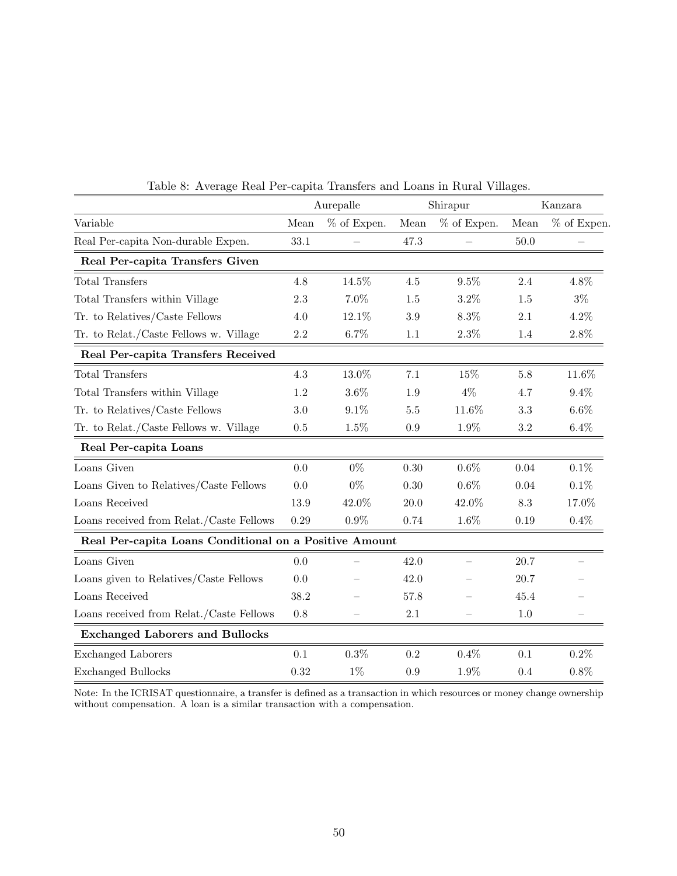|                                                        | Aurepalle |             | Shirapur |                | Kanzara |             |
|--------------------------------------------------------|-----------|-------------|----------|----------------|---------|-------------|
| Variable                                               | Mean      | % of Expen. | Mean     | $\%$ of Expen. | Mean    | % of Expen. |
| Real Per-capita Non-durable Expen.                     | 33.1      |             | 47.3     |                | $50.0$  |             |
| Real Per-capita Transfers Given                        |           |             |          |                |         |             |
| <b>Total Transfers</b>                                 | 4.8       | 14.5%       | 4.5      | 9.5%           | 2.4     | 4.8%        |
| Total Transfers within Village                         | 2.3       | 7.0%        | 1.5      | 3.2%           | 1.5     | $3\%$       |
| Tr. to Relatives/Caste Fellows                         | 4.0       | 12.1%       | 3.9      | 8.3%           | 2.1     | $4.2\%$     |
| Tr. to Relat./Caste Fellows w. Village                 | 2.2       | $6.7\%$     | 1.1      | $2.3\%$        | 1.4     | $2.8\%$     |
| Real Per-capita Transfers Received                     |           |             |          |                |         |             |
| <b>Total Transfers</b>                                 | 4.3       | 13.0%       | 7.1      | 15%            | 5.8     | 11.6%       |
| Total Transfers within Village                         | 1.2       | 3.6%        | 1.9      | $4\%$          | 4.7     | 9.4%        |
| Tr. to Relatives/Caste Fellows                         | 3.0       | 9.1%        | 5.5      | 11.6%          | 3.3     | $6.6\%$     |
| Tr. to Relat./Caste Fellows w. Village                 | 0.5       | $1.5\%$     | 0.9      | $1.9\%$        | $3.2\,$ | $6.4\%$     |
| Real Per-capita Loans                                  |           |             |          |                |         |             |
| Loans Given                                            | 0.0       | $0\%$       | 0.30     | $0.6\%$        | 0.04    | $0.1\%$     |
| Loans Given to Relatives/Caste Fellows                 | 0.0       | $0\%$       | 0.30     | $0.6\%$        | 0.04    | 0.1%        |
| Loans Received                                         | 13.9      | 42.0%       | 20.0     | $42.0\%$       | 8.3     | 17.0%       |
| Loans received from Relat./Caste Fellows               | 0.29      | $0.9\%$     | 0.74     | $1.6\%$        | 0.19    | $0.4\%$     |
| Real Per-capita Loans Conditional on a Positive Amount |           |             |          |                |         |             |
| Loans Given                                            | 0.0       |             | 42.0     |                | 20.7    |             |
| Loans given to Relatives/Caste Fellows                 | 0.0       |             | 42.0     |                | 20.7    |             |
| Loans Received                                         | 38.2      |             | 57.8     |                | 45.4    |             |
| Loans received from Relat./Caste Fellows               | 0.8       |             | 2.1      |                | 1.0     |             |
| <b>Exchanged Laborers and Bullocks</b>                 |           |             |          |                |         |             |
| <b>Exchanged Laborers</b>                              | 0.1       | 0.3%        | 0.2      | 0.4%           | 0.1     | 0.2%        |
| <b>Exchanged Bullocks</b>                              | 0.32      | $1\%$       | 0.9      | $1.9\%$        | 0.4     | 0.8%        |

Table 8: Average Real Per-capita Transfers and Loans in Rural Villages.

Note: In the ICRISAT questionnaire, a transfer is defined as a transaction in which resources or money change ownership without compensation. A loan is a similar transaction with a compensation.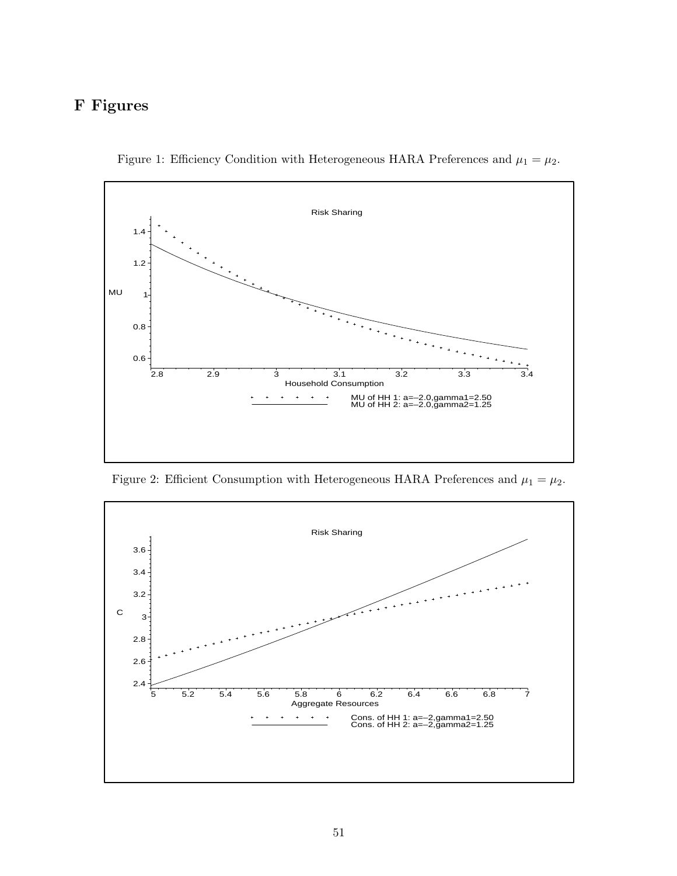# F Figures



Figure 1: Efficiency Condition with Heterogeneous HARA Preferences and  $\mu_1 = \mu_2$ .

Figure 2: Efficient Consumption with Heterogeneous HARA Preferences and  $\mu_1 = \mu_2$ .

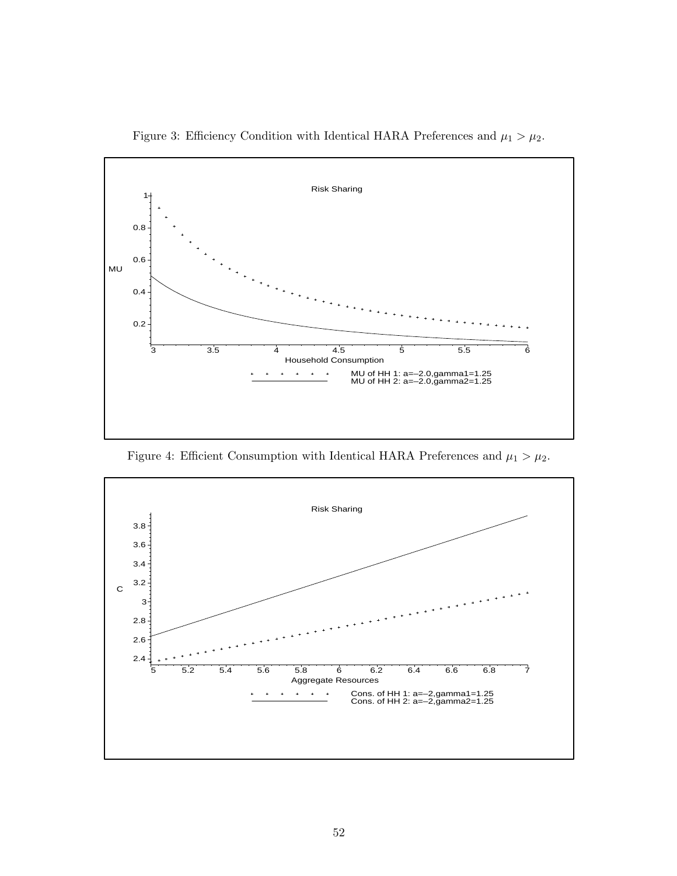

Figure 3: Efficiency Condition with Identical HARA Preferences and  $\mu_1 > \mu_2$ .

Figure 4: Efficient Consumption with Identical HARA Preferences and  $\mu_1 > \mu_2$ .

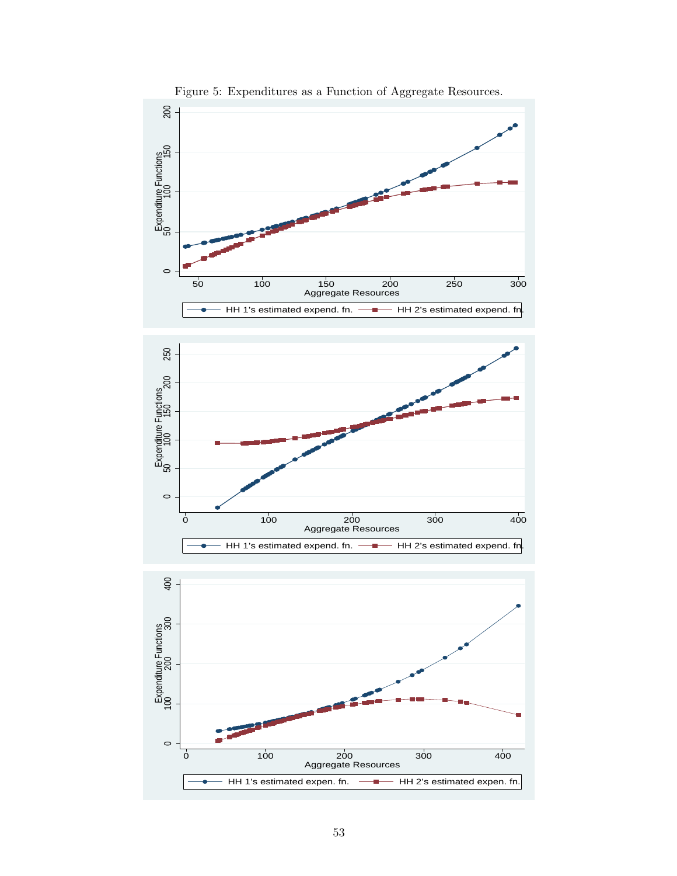

Figure 5: Expenditures as a Function of Aggregate Resources.